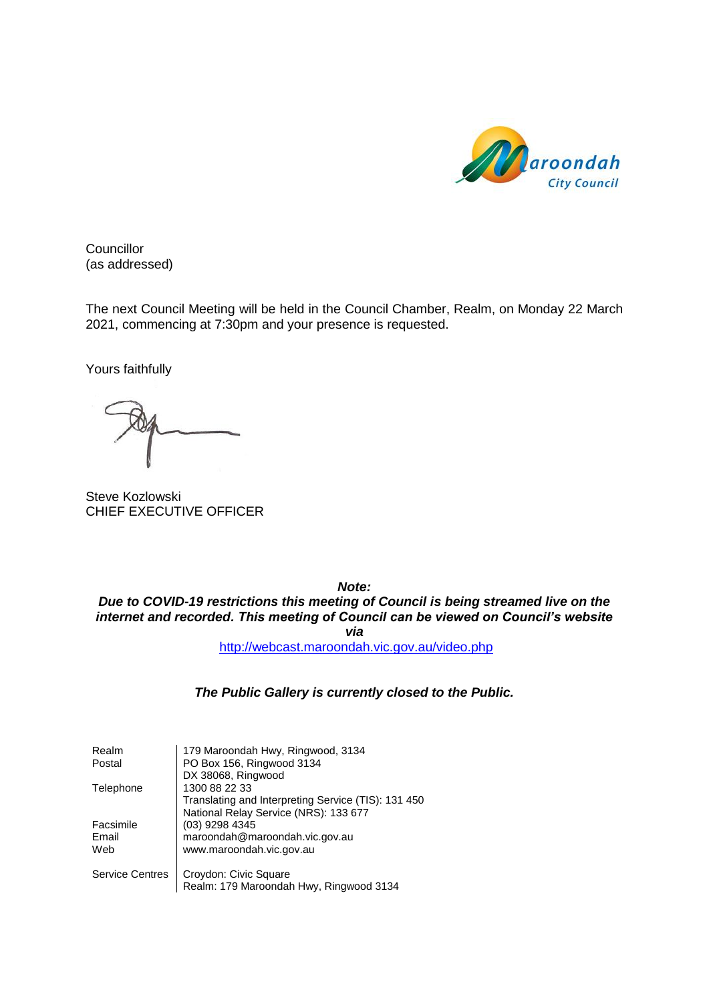

**Councillor** (as addressed)

The next Council Meeting will be held in the Council Chamber, Realm, on Monday 22 March 2021, commencing at 7:30pm and your presence is requested.

Yours faithfully

Steve Kozlowski CHIEF EXECUTIVE OFFICER

*Note: Due to COVID-19 restrictions this meeting of Council is being streamed live on the internet and recorded. This meeting of Council can be viewed on Council's website via* <http://webcast.maroondah.vic.gov.au/video.php>

#### *The Public Gallery is currently closed to the Public.*

| Realm                  | 179 Maroondah Hwy, Ringwood, 3134                   |
|------------------------|-----------------------------------------------------|
| Postal                 | PO Box 156, Ringwood 3134                           |
|                        | DX 38068, Ringwood                                  |
| Telephone              | 1300 88 22 33                                       |
|                        | Translating and Interpreting Service (TIS): 131 450 |
|                        | National Relay Service (NRS): 133 677               |
| Facsimile              | (03) 9298 4345                                      |
| Email                  | maroondah@maroondah.vic.gov.au                      |
| Web                    | www.maroondah.vic.gov.au                            |
| <b>Service Centres</b> | Croydon: Civic Square                               |
|                        | Realm: 179 Maroondah Hwy, Ringwood 3134             |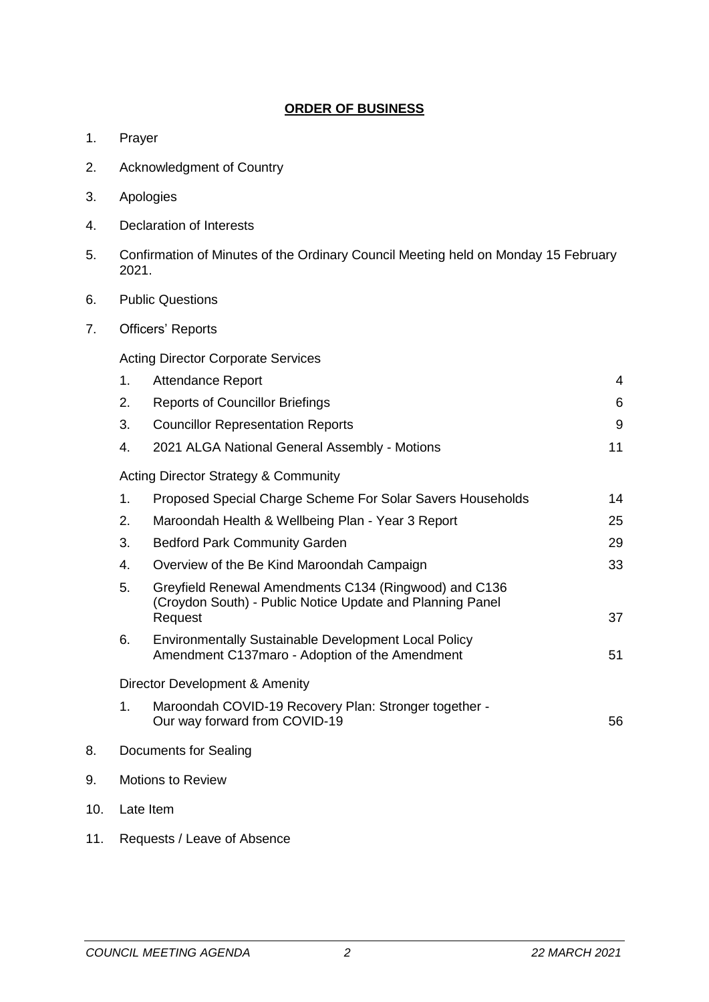### **ORDER OF BUSINESS**

- 1. Prayer
- 2. Acknowledgment of Country
- 3. Apologies
- 4. Declaration of Interests
- 5. Confirmation of Minutes of the Ordinary Council Meeting held on Monday 15 February 2021.
- 6. Public Questions
- 7. Officers' Reports

Acting Director Corporate Services

|     | 1.                       | <b>Attendance Report</b>                                                                                                      | 4  |
|-----|--------------------------|-------------------------------------------------------------------------------------------------------------------------------|----|
|     | 2.                       | <b>Reports of Councillor Briefings</b>                                                                                        | 6  |
|     | 3.                       | <b>Councillor Representation Reports</b>                                                                                      | 9  |
|     | 4.                       | 2021 ALGA National General Assembly - Motions                                                                                 | 11 |
|     |                          | <b>Acting Director Strategy &amp; Community</b>                                                                               |    |
|     | 1.                       | Proposed Special Charge Scheme For Solar Savers Households                                                                    | 14 |
|     | 2.                       | Maroondah Health & Wellbeing Plan - Year 3 Report                                                                             | 25 |
|     | 3.                       | <b>Bedford Park Community Garden</b>                                                                                          | 29 |
|     | 4.                       | Overview of the Be Kind Maroondah Campaign                                                                                    | 33 |
|     | 5.                       | Greyfield Renewal Amendments C134 (Ringwood) and C136<br>(Croydon South) - Public Notice Update and Planning Panel<br>Request | 37 |
|     | 6.                       | <b>Environmentally Sustainable Development Local Policy</b><br>Amendment C137maro - Adoption of the Amendment                 | 51 |
|     |                          | Director Development & Amenity                                                                                                |    |
|     | 1.                       | Maroondah COVID-19 Recovery Plan: Stronger together -<br>Our way forward from COVID-19                                        | 56 |
| 8.  |                          | <b>Documents for Sealing</b>                                                                                                  |    |
| 9.  | <b>Motions to Review</b> |                                                                                                                               |    |
| 10. | Late Item                |                                                                                                                               |    |

11. Requests / Leave of Absence

 $10.$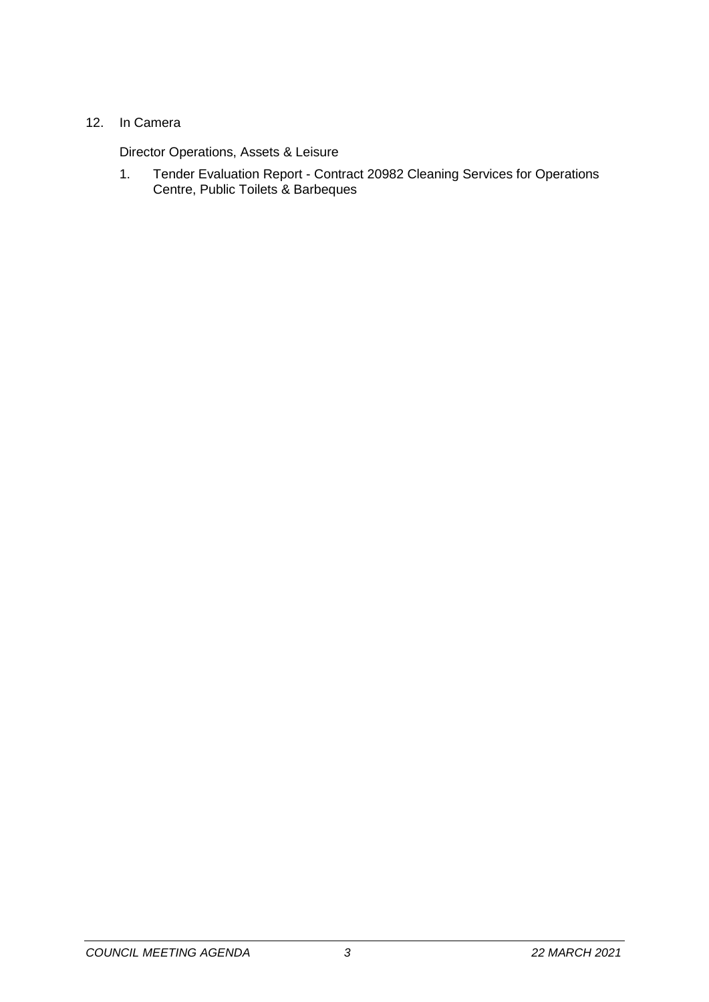### 12. In Camera

Director Operations, Assets & Leisure

1. Tender Evaluation Report - Contract 20982 Cleaning Services for Operations Centre, Public Toilets & Barbeques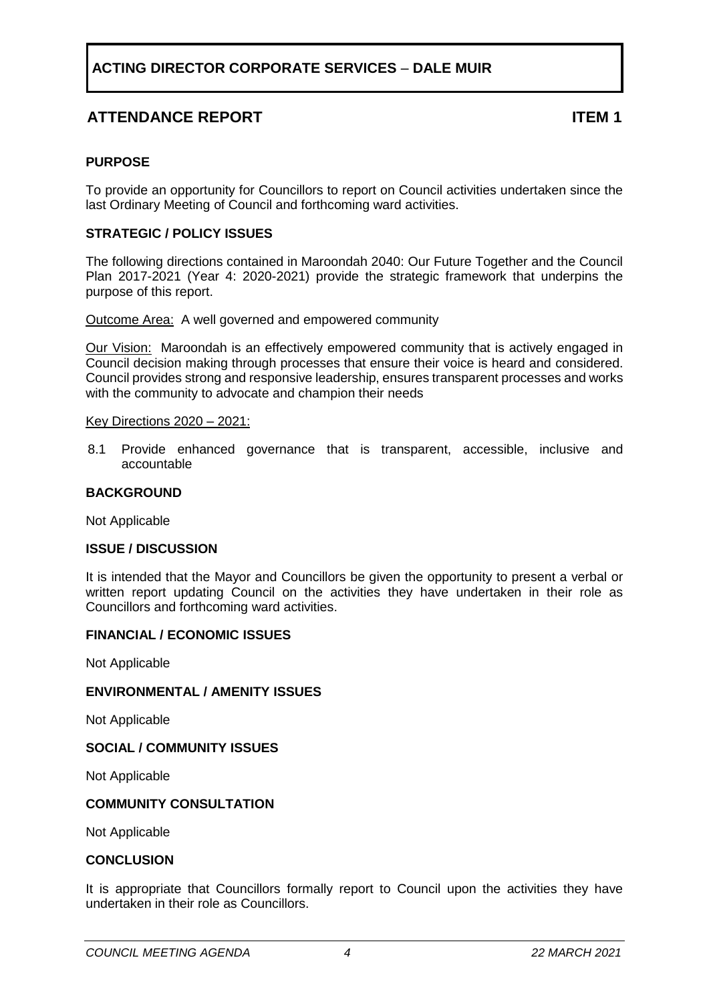## **ATTENDANCE REPORT ITEM 1**

#### <span id="page-3-0"></span>**PURPOSE**

To provide an opportunity for Councillors to report on Council activities undertaken since the last Ordinary Meeting of Council and forthcoming ward activities.

#### **STRATEGIC / POLICY ISSUES**

The following directions contained in Maroondah 2040: Our Future Together and the Council Plan 2017-2021 (Year 4: 2020-2021) provide the strategic framework that underpins the purpose of this report.

Outcome Area:A well governed and empowered community

Our Vision:Maroondah is an effectively empowered community that is actively engaged in Council decision making through processes that ensure their voice is heard and considered. Council provides strong and responsive leadership, ensures transparent processes and works with the community to advocate and champion their needs

#### Key Directions 2020 – 2021:

8.1 Provide enhanced governance that is transparent, accessible, inclusive and accountable

#### **BACKGROUND**

Not Applicable

#### **ISSUE / DISCUSSION**

It is intended that the Mayor and Councillors be given the opportunity to present a verbal or written report updating Council on the activities they have undertaken in their role as Councillors and forthcoming ward activities.

#### **FINANCIAL / ECONOMIC ISSUES**

Not Applicable

#### **ENVIRONMENTAL / AMENITY ISSUES**

Not Applicable

#### **SOCIAL / COMMUNITY ISSUES**

Not Applicable

#### **COMMUNITY CONSULTATION**

Not Applicable

#### **CONCLUSION**

It is appropriate that Councillors formally report to Council upon the activities they have undertaken in their role as Councillors.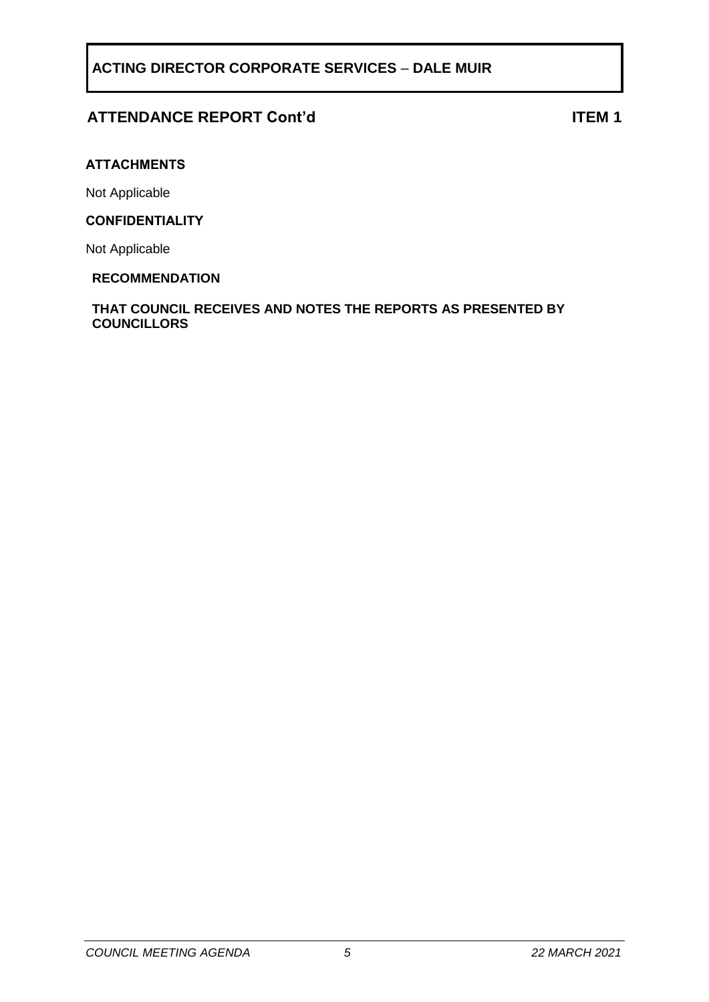## **ATTENDANCE REPORT Cont'd ITEM 1**

#### **ATTACHMENTS**

Not Applicable

#### **CONFIDENTIALITY**

Not Applicable

#### **RECOMMENDATION**

#### **THAT COUNCIL RECEIVES AND NOTES THE REPORTS AS PRESENTED BY COUNCILLORS**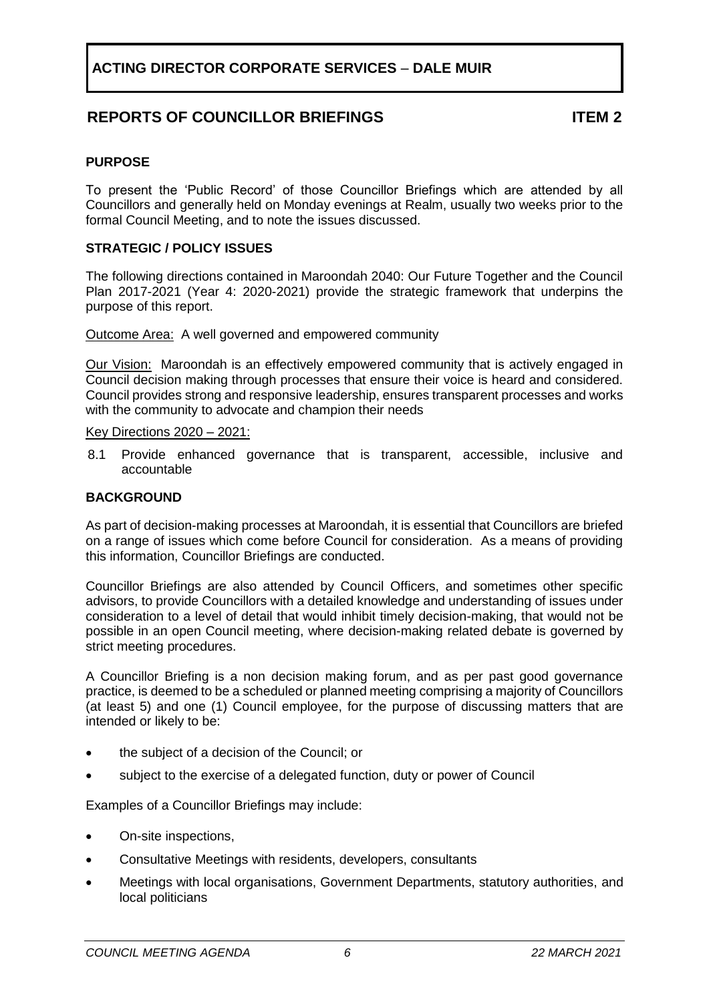## **REPORTS OF COUNCILLOR BRIEFINGS ITEM 2**

#### <span id="page-5-0"></span>**PURPOSE**

To present the 'Public Record' of those Councillor Briefings which are attended by all Councillors and generally held on Monday evenings at Realm, usually two weeks prior to the formal Council Meeting, and to note the issues discussed.

#### **STRATEGIC / POLICY ISSUES**

The following directions contained in Maroondah 2040: Our Future Together and the Council Plan 2017-2021 (Year 4: 2020-2021) provide the strategic framework that underpins the purpose of this report.

Outcome Area: A well governed and empowered community

Our Vision:Maroondah is an effectively empowered community that is actively engaged in Council decision making through processes that ensure their voice is heard and considered. Council provides strong and responsive leadership, ensures transparent processes and works with the community to advocate and champion their needs

Key Directions 2020 – 2021:

8.1 Provide enhanced governance that is transparent, accessible, inclusive and accountable

#### **BACKGROUND**

As part of decision-making processes at Maroondah, it is essential that Councillors are briefed on a range of issues which come before Council for consideration. As a means of providing this information, Councillor Briefings are conducted.

Councillor Briefings are also attended by Council Officers, and sometimes other specific advisors, to provide Councillors with a detailed knowledge and understanding of issues under consideration to a level of detail that would inhibit timely decision-making, that would not be possible in an open Council meeting, where decision-making related debate is governed by strict meeting procedures.

A Councillor Briefing is a non decision making forum, and as per past good governance practice, is deemed to be a scheduled or planned meeting comprising a majority of Councillors (at least 5) and one (1) Council employee, for the purpose of discussing matters that are intended or likely to be:

- the subject of a decision of the Council; or
- subject to the exercise of a delegated function, duty or power of Council

Examples of a Councillor Briefings may include:

- On-site inspections,
- Consultative Meetings with residents, developers, consultants
- Meetings with local organisations, Government Departments, statutory authorities, and local politicians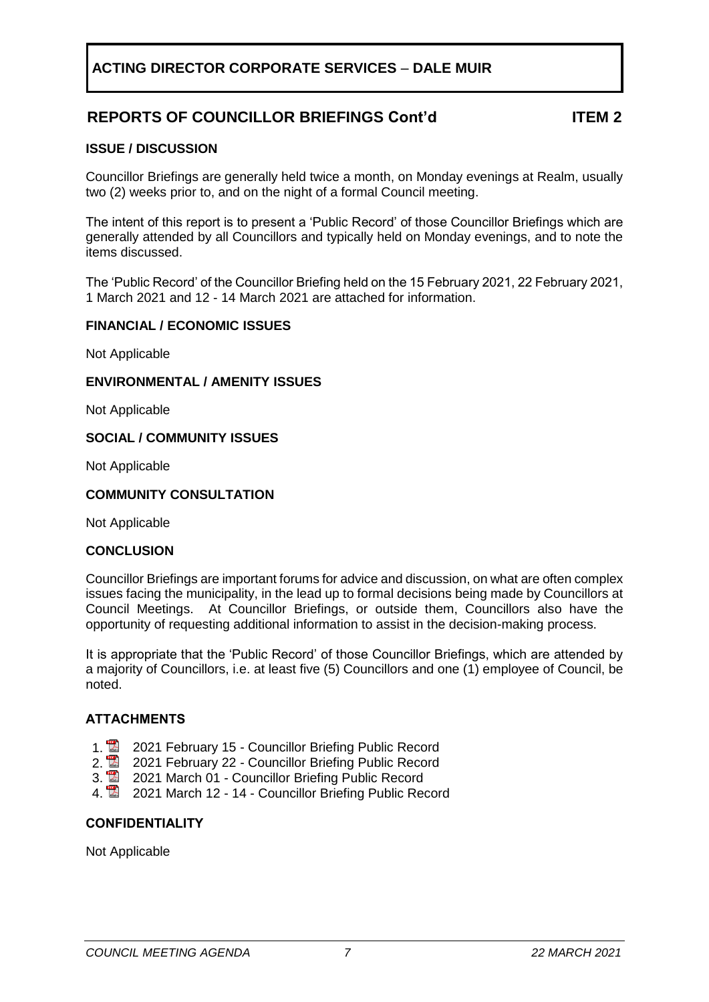## **ACTING DIRECTOR CORPORATE SERVICES** – **DALE MUIR**

## **REPORTS OF COUNCILLOR BRIEFINGS Cont'd ITEM 2**

#### **ISSUE / DISCUSSION**

Councillor Briefings are generally held twice a month, on Monday evenings at Realm, usually two (2) weeks prior to, and on the night of a formal Council meeting.

The intent of this report is to present a 'Public Record' of those Councillor Briefings which are generally attended by all Councillors and typically held on Monday evenings, and to note the items discussed.

The 'Public Record' of the Councillor Briefing held on the 15 February 2021, 22 February 2021, 1 March 2021 and 12 - 14 March 2021 are attached for information.

#### **FINANCIAL / ECONOMIC ISSUES**

Not Applicable

#### **ENVIRONMENTAL / AMENITY ISSUES**

Not Applicable

#### **SOCIAL / COMMUNITY ISSUES**

Not Applicable

#### **COMMUNITY CONSULTATION**

Not Applicable

#### **CONCLUSION**

Councillor Briefings are important forums for advice and discussion, on what are often complex issues facing the municipality, in the lead up to formal decisions being made by Councillors at Council Meetings. At Councillor Briefings, or outside them, Councillors also have the opportunity of requesting additional information to assist in the decision-making process.

It is appropriate that the 'Public Record' of those Councillor Briefings, which are attended by a majority of Councillors, i.e. at least five (5) Councillors and one (1) employee of Council, be noted.

#### **ATTACHMENTS**

- 
- 1. **2021 February 15 Councillor Briefing Public Record**<br>2. **2021 February 22 Councillor Briefing Public Record** 2. 2021 February 22 - Councillor Briefing Public Record<br>3. 2021 March 01 - Councillor Briefing Public Record
- 3. 2021 March 01 Councillor Briefing Public Record
- 4. **2021 March 12 14 Councillor Briefing Public Record**

#### **CONFIDENTIALITY**

Not Applicable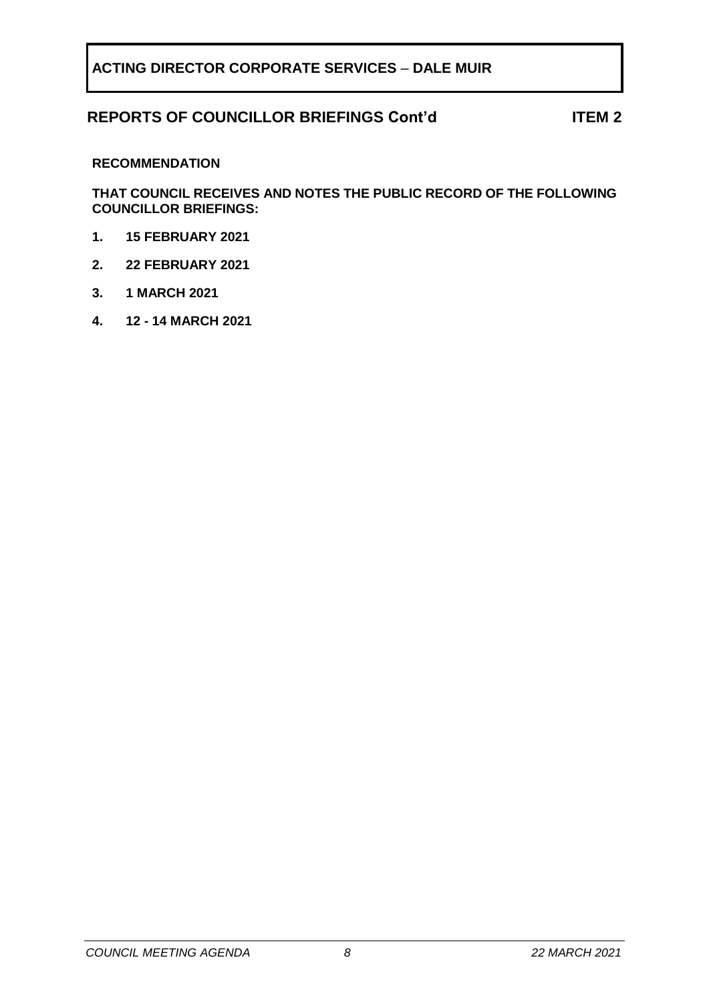### **REPORTS OF COUNCILLOR BRIEFINGS Cont'd ITEM 2**

#### **RECOMMENDATION**

**THAT COUNCIL RECEIVES AND NOTES THE PUBLIC RECORD OF THE FOLLOWING COUNCILLOR BRIEFINGS:**

- **1. 15 FEBRUARY 2021**
- **2. 22 FEBRUARY 2021**
- **3. 1 MARCH 2021**
- **4. 12 - 14 MARCH 2021**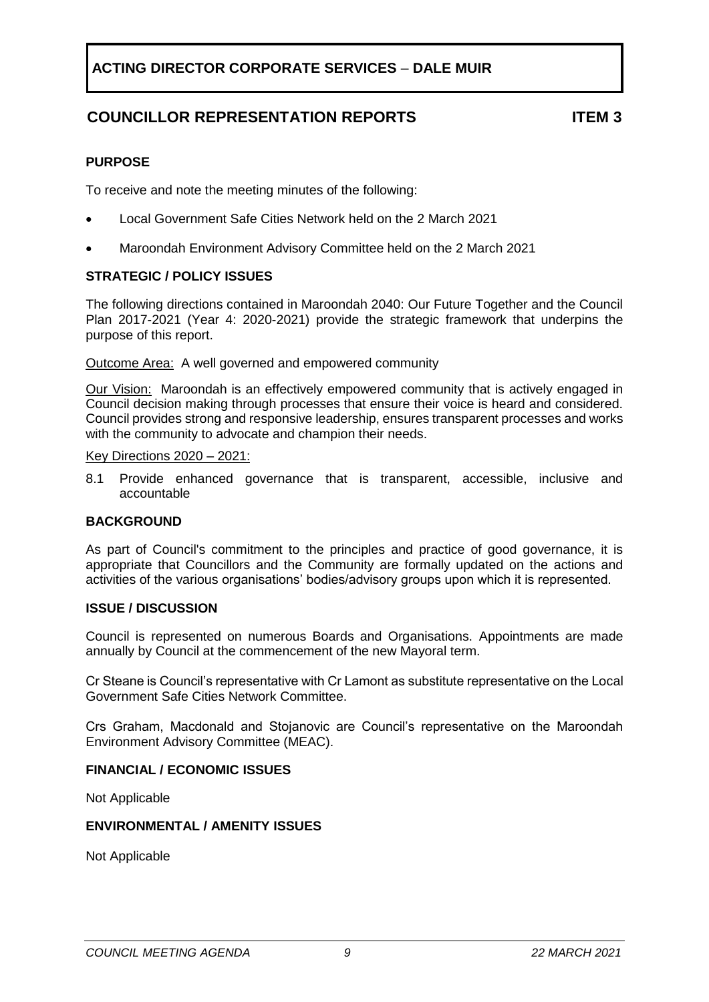# **COUNCILLOR REPRESENTATION REPORTS ITEM 3**

#### <span id="page-8-0"></span>**PURPOSE**

To receive and note the meeting minutes of the following:

- Local Government Safe Cities Network held on the 2 March 2021
- Maroondah Environment Advisory Committee held on the 2 March 2021

#### **STRATEGIC / POLICY ISSUES**

The following directions contained in Maroondah 2040: Our Future Together and the Council Plan 2017-2021 (Year 4: 2020-2021) provide the strategic framework that underpins the purpose of this report.

Outcome Area: A well governed and empowered community

Our Vision:Maroondah is an effectively empowered community that is actively engaged in Council decision making through processes that ensure their voice is heard and considered. Council provides strong and responsive leadership, ensures transparent processes and works with the community to advocate and champion their needs.

#### Key Directions 2020 – 2021:

8.1 Provide enhanced governance that is transparent, accessible, inclusive and accountable

#### **BACKGROUND**

As part of Council's commitment to the principles and practice of good governance, it is appropriate that Councillors and the Community are formally updated on the actions and activities of the various organisations' bodies/advisory groups upon which it is represented.

#### **ISSUE / DISCUSSION**

Council is represented on numerous Boards and Organisations. Appointments are made annually by Council at the commencement of the new Mayoral term.

Cr Steane is Council's representative with Cr Lamont as substitute representative on the Local Government Safe Cities Network Committee.

Crs Graham, Macdonald and Stojanovic are Council's representative on the Maroondah Environment Advisory Committee (MEAC).

#### **FINANCIAL / ECONOMIC ISSUES**

Not Applicable

#### **ENVIRONMENTAL / AMENITY ISSUES**

Not Applicable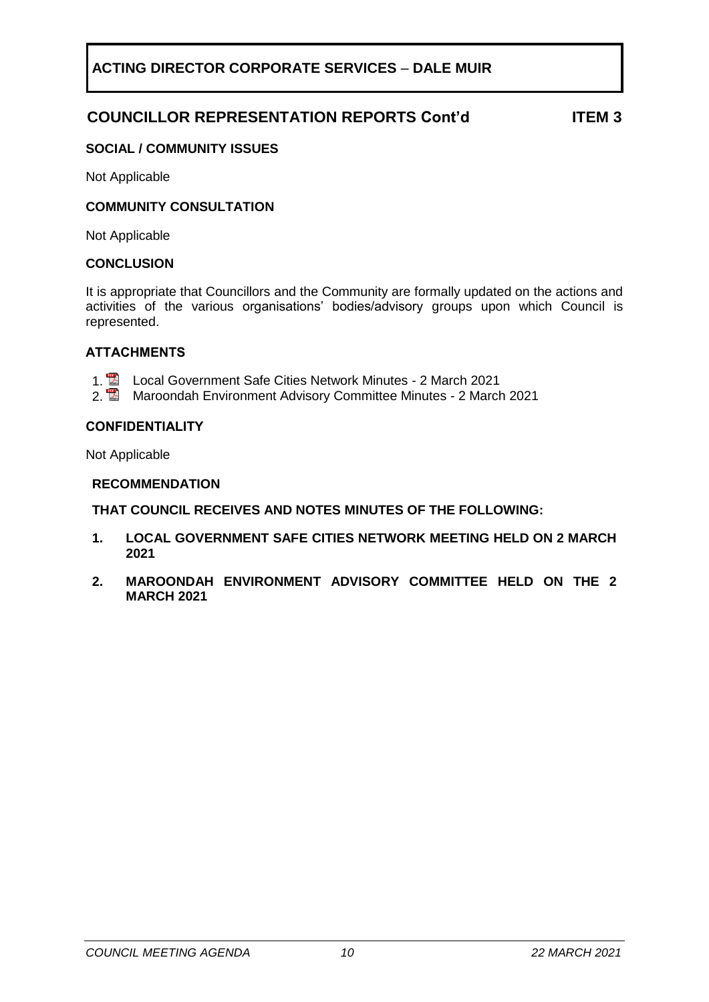## **COUNCILLOR REPRESENTATION REPORTS Cont'd ITEM 3**

### **SOCIAL / COMMUNITY ISSUES**

Not Applicable

#### **COMMUNITY CONSULTATION**

Not Applicable

#### **CONCLUSION**

It is appropriate that Councillors and the Community are formally updated on the actions and activities of the various organisations' bodies/advisory groups upon which Council is represented.

#### **ATTACHMENTS**

- 1. **2** Local Government Safe Cities Network Minutes 2 March 2021
- 2. **Maroondah Environment Advisory Committee Minutes 2 March 2021**

#### **CONFIDENTIALITY**

Not Applicable

#### **RECOMMENDATION**

**THAT COUNCIL RECEIVES AND NOTES MINUTES OF THE FOLLOWING:**

- **1. LOCAL GOVERNMENT SAFE CITIES NETWORK MEETING HELD ON 2 MARCH 2021**
- **2. MAROONDAH ENVIRONMENT ADVISORY COMMITTEE HELD ON THE 2 MARCH 2021**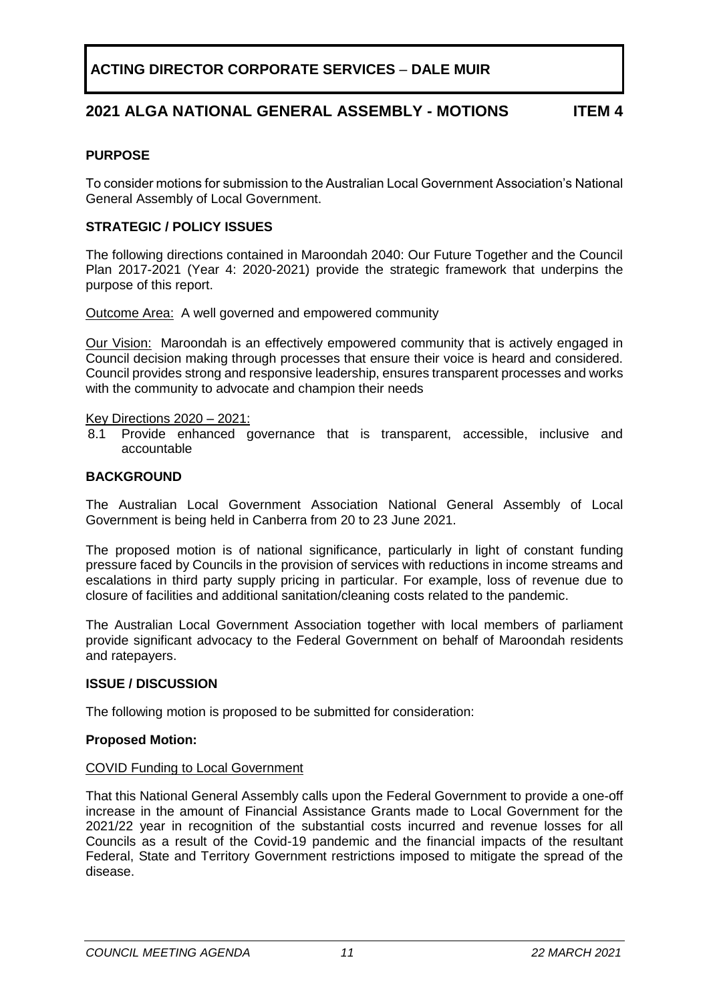## **2021 ALGA NATIONAL GENERAL ASSEMBLY - MOTIONS ITEM 4**

#### <span id="page-10-0"></span>**PURPOSE**

To consider motions for submission to the Australian Local Government Association's National General Assembly of Local Government.

#### **STRATEGIC / POLICY ISSUES**

The following directions contained in Maroondah 2040: Our Future Together and the Council Plan 2017-2021 (Year 4: 2020-2021) provide the strategic framework that underpins the purpose of this report.

Outcome Area: A well governed and empowered community

Our Vision:Maroondah is an effectively empowered community that is actively engaged in Council decision making through processes that ensure their voice is heard and considered. Council provides strong and responsive leadership, ensures transparent processes and works with the community to advocate and champion their needs

Key Directions 2020 – 2021:

8.1 Provide enhanced governance that is transparent, accessible, inclusive and accountable

#### **BACKGROUND**

The Australian Local Government Association National General Assembly of Local Government is being held in Canberra from 20 to 23 June 2021.

The proposed motion is of national significance, particularly in light of constant funding pressure faced by Councils in the provision of services with reductions in income streams and escalations in third party supply pricing in particular. For example, loss of revenue due to closure of facilities and additional sanitation/cleaning costs related to the pandemic.

The Australian Local Government Association together with local members of parliament provide significant advocacy to the Federal Government on behalf of Maroondah residents and ratepayers.

#### **ISSUE / DISCUSSION**

The following motion is proposed to be submitted for consideration:

#### **Proposed Motion:**

#### COVID Funding to Local Government

That this National General Assembly calls upon the Federal Government to provide a one-off increase in the amount of Financial Assistance Grants made to Local Government for the 2021/22 year in recognition of the substantial costs incurred and revenue losses for all Councils as a result of the Covid-19 pandemic and the financial impacts of the resultant Federal, State and Territory Government restrictions imposed to mitigate the spread of the disease.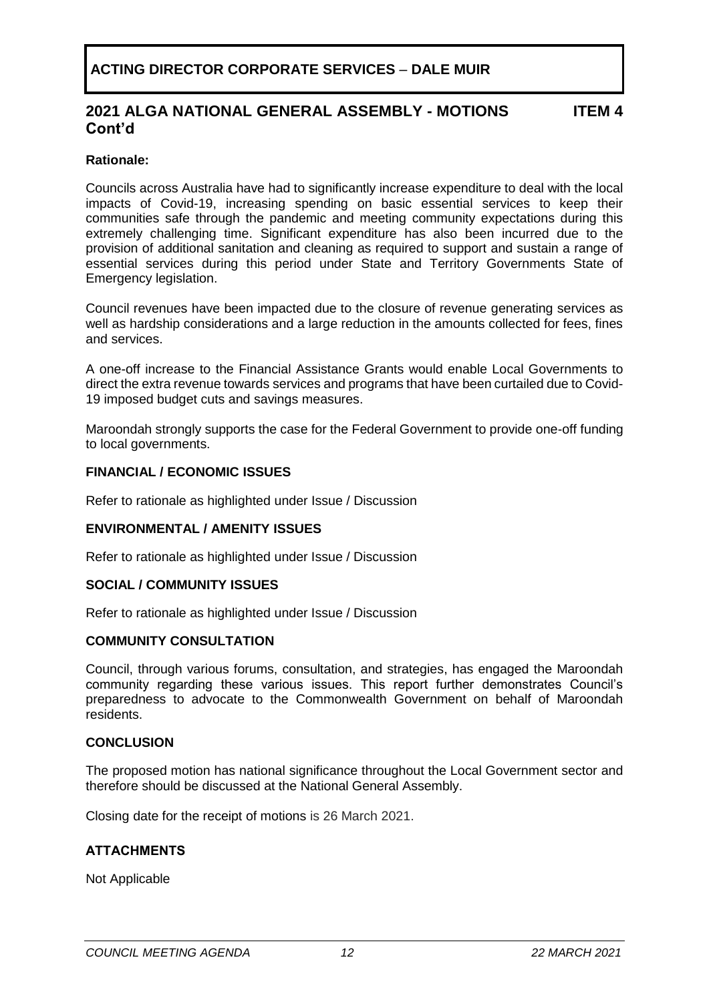### **2021 ALGA NATIONAL GENERAL ASSEMBLY - MOTIONS Cont'd**

**ITEM 4**

#### **Rationale:**

Councils across Australia have had to significantly increase expenditure to deal with the local impacts of Covid-19, increasing spending on basic essential services to keep their communities safe through the pandemic and meeting community expectations during this extremely challenging time. Significant expenditure has also been incurred due to the provision of additional sanitation and cleaning as required to support and sustain a range of essential services during this period under State and Territory Governments State of Emergency legislation.

Council revenues have been impacted due to the closure of revenue generating services as well as hardship considerations and a large reduction in the amounts collected for fees, fines and services.

A one-off increase to the Financial Assistance Grants would enable Local Governments to direct the extra revenue towards services and programs that have been curtailed due to Covid-19 imposed budget cuts and savings measures.

Maroondah strongly supports the case for the Federal Government to provide one-off funding to local governments.

#### **FINANCIAL / ECONOMIC ISSUES**

Refer to rationale as highlighted under Issue / Discussion

#### **ENVIRONMENTAL / AMENITY ISSUES**

Refer to rationale as highlighted under Issue / Discussion

#### **SOCIAL / COMMUNITY ISSUES**

Refer to rationale as highlighted under Issue / Discussion

#### **COMMUNITY CONSULTATION**

Council, through various forums, consultation, and strategies, has engaged the Maroondah community regarding these various issues. This report further demonstrates Council's preparedness to advocate to the Commonwealth Government on behalf of Maroondah residents.

#### **CONCLUSION**

The proposed motion has national significance throughout the Local Government sector and therefore should be discussed at the National General Assembly.

Closing date for the receipt of motions is 26 March 2021.

#### **ATTACHMENTS**

Not Applicable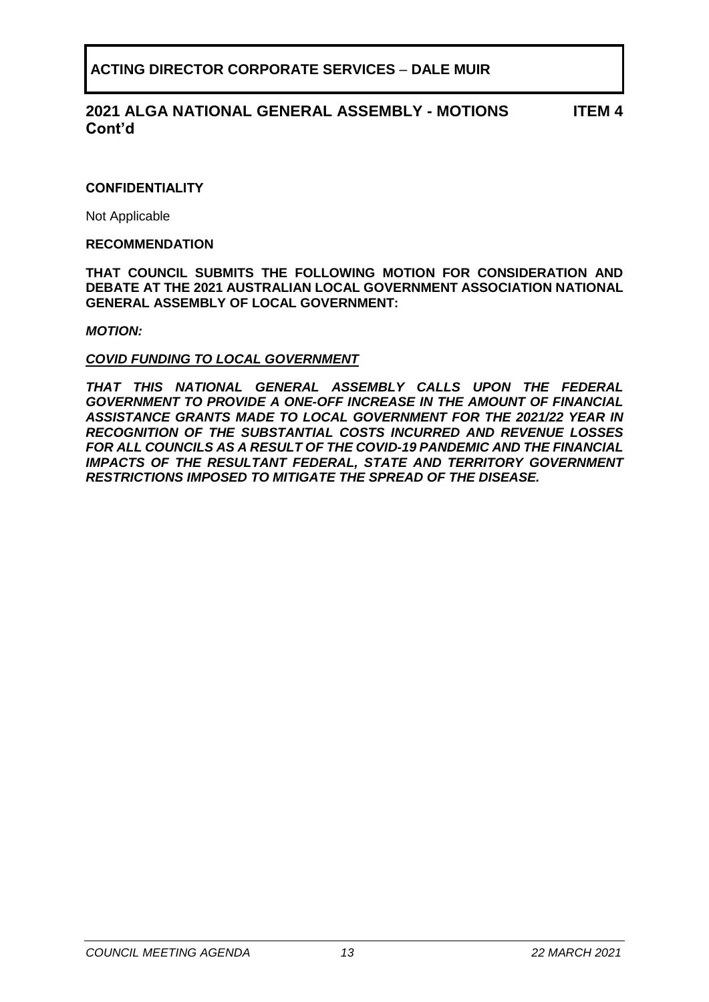#### **2021 ALGA NATIONAL GENERAL ASSEMBLY - MOTIONS Cont'd ITEM 4**

#### **CONFIDENTIALITY**

Not Applicable

#### **RECOMMENDATION**

**THAT COUNCIL SUBMITS THE FOLLOWING MOTION FOR CONSIDERATION AND DEBATE AT THE 2021 AUSTRALIAN LOCAL GOVERNMENT ASSOCIATION NATIONAL GENERAL ASSEMBLY OF LOCAL GOVERNMENT:**

#### *MOTION:*

#### *COVID FUNDING TO LOCAL GOVERNMENT*

*THAT THIS NATIONAL GENERAL ASSEMBLY CALLS UPON THE FEDERAL GOVERNMENT TO PROVIDE A ONE-OFF INCREASE IN THE AMOUNT OF FINANCIAL ASSISTANCE GRANTS MADE TO LOCAL GOVERNMENT FOR THE 2021/22 YEAR IN RECOGNITION OF THE SUBSTANTIAL COSTS INCURRED AND REVENUE LOSSES FOR ALL COUNCILS AS A RESULT OF THE COVID-19 PANDEMIC AND THE FINANCIAL IMPACTS OF THE RESULTANT FEDERAL, STATE AND TERRITORY GOVERNMENT RESTRICTIONS IMPOSED TO MITIGATE THE SPREAD OF THE DISEASE.*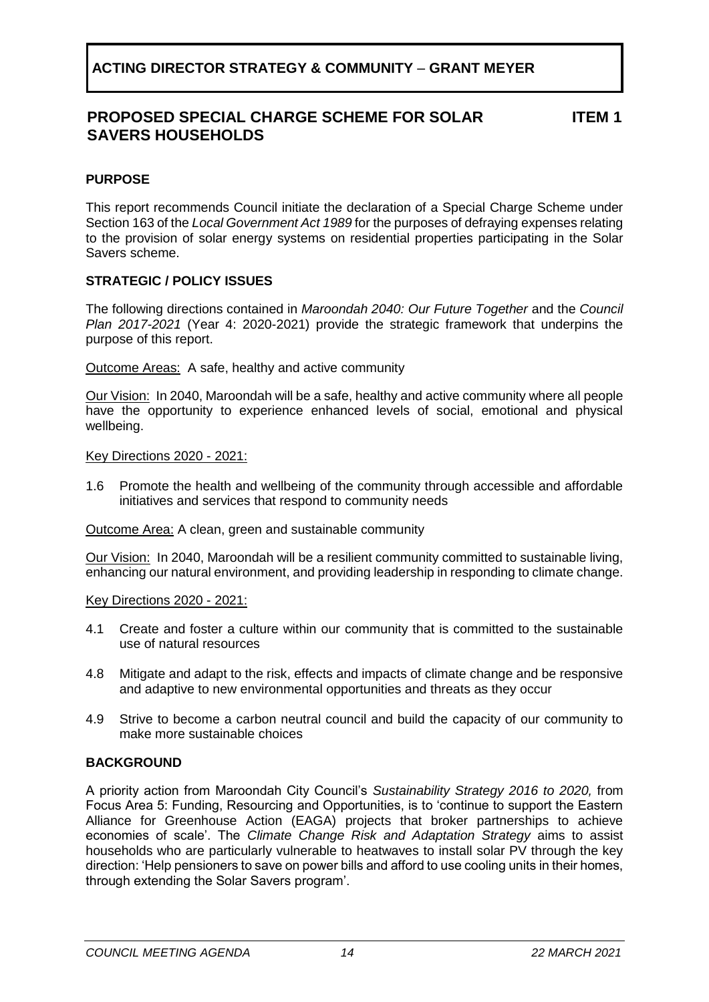### **PROPOSED SPECIAL CHARGE SCHEME FOR SOLAR SAVERS HOUSEHOLDS**

**ITEM 1**

### <span id="page-13-0"></span>**PURPOSE**

This report recommends Council initiate the declaration of a Special Charge Scheme under Section 163 of the *Local Government Act 1989* for the purposes of defraying expenses relating to the provision of solar energy systems on residential properties participating in the Solar Savers scheme.

### **STRATEGIC / POLICY ISSUES**

The following directions contained in *Maroondah 2040: Our Future Together* and the *Council Plan 2017-2021* (Year 4: 2020-2021) provide the strategic framework that underpins the purpose of this report.

Outcome Areas:A safe, healthy and active community

Our Vision: In 2040, Maroondah will be a safe, healthy and active community where all people have the opportunity to experience enhanced levels of social, emotional and physical wellbeing.

Key Directions 2020 - 2021:

1.6 Promote the health and wellbeing of the community through accessible and affordable initiatives and services that respond to community needs

Outcome Area: A clean, green and sustainable community

Our Vision:In 2040, Maroondah will be a resilient community committed to sustainable living, enhancing our natural environment, and providing leadership in responding to climate change.

Key Directions 2020 - 2021:

- 4.1 Create and foster a culture within our community that is committed to the sustainable use of natural resources
- 4.8 Mitigate and adapt to the risk, effects and impacts of climate change and be responsive and adaptive to new environmental opportunities and threats as they occur
- 4.9 Strive to become a carbon neutral council and build the capacity of our community to make more sustainable choices

### **BACKGROUND**

A priority action from Maroondah City Council's *Sustainability Strategy 2016 to 2020,* from Focus Area 5: Funding, Resourcing and Opportunities, is to 'continue to support the Eastern Alliance for Greenhouse Action (EAGA) projects that broker partnerships to achieve economies of scale'. The *Climate Change Risk and Adaptation Strategy* aims to assist households who are particularly vulnerable to heatwaves to install solar PV through the key direction: 'Help pensioners to save on power bills and afford to use cooling units in their homes, through extending the Solar Savers program'.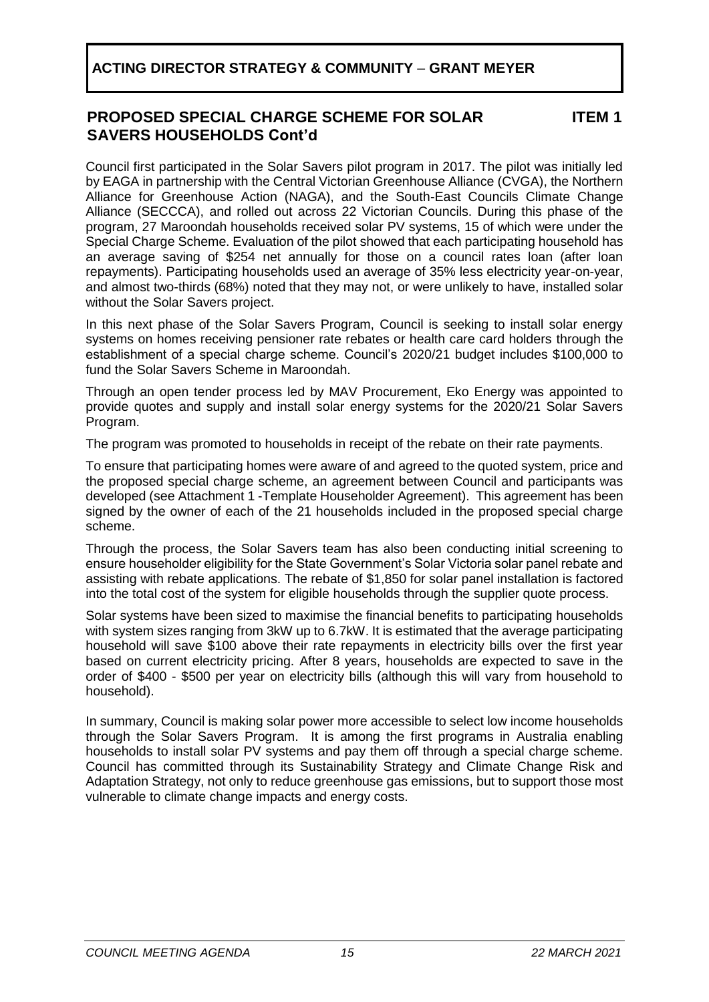### **PROPOSED SPECIAL CHARGE SCHEME FOR SOLAR SAVERS HOUSEHOLDS Cont'd**

**ITEM 1**

Council first participated in the Solar Savers pilot program in 2017. The pilot was initially led by EAGA in partnership with the Central Victorian Greenhouse Alliance (CVGA), the Northern Alliance for Greenhouse Action (NAGA), and the South-East Councils Climate Change Alliance (SECCCA), and rolled out across 22 Victorian Councils. During this phase of the program, 27 Maroondah households received solar PV systems, 15 of which were under the Special Charge Scheme. Evaluation of the pilot showed that each participating household has an average saving of \$254 net annually for those on a council rates loan (after loan repayments). Participating households used an average of 35% less electricity year-on-year, and almost two-thirds (68%) noted that they may not, or were unlikely to have, installed solar without the Solar Savers project.

In this next phase of the Solar Savers Program, Council is seeking to install solar energy systems on homes receiving pensioner rate rebates or health care card holders through the establishment of a special charge scheme. Council's 2020/21 budget includes \$100,000 to fund the Solar Savers Scheme in Maroondah.

Through an open tender process led by MAV Procurement, Eko Energy was appointed to provide quotes and supply and install solar energy systems for the 2020/21 Solar Savers Program.

The program was promoted to households in receipt of the rebate on their rate payments.

To ensure that participating homes were aware of and agreed to the quoted system, price and the proposed special charge scheme, an agreement between Council and participants was developed (see Attachment 1 -Template Householder Agreement). This agreement has been signed by the owner of each of the 21 households included in the proposed special charge scheme.

Through the process, the Solar Savers team has also been conducting initial screening to ensure householder eligibility for the State Government's Solar Victoria solar panel rebate and assisting with rebate applications. The rebate of \$1,850 for solar panel installation is factored into the total cost of the system for eligible households through the supplier quote process.

Solar systems have been sized to maximise the financial benefits to participating households with system sizes ranging from 3kW up to 6.7kW. It is estimated that the average participating household will save \$100 above their rate repayments in electricity bills over the first year based on current electricity pricing. After 8 years, households are expected to save in the order of \$400 - \$500 per year on electricity bills (although this will vary from household to household).

In summary, Council is making solar power more accessible to select low income households through the Solar Savers Program. It is among the first programs in Australia enabling households to install solar PV systems and pay them off through a special charge scheme. Council has committed through its Sustainability Strategy and Climate Change Risk and Adaptation Strategy, not only to reduce greenhouse gas emissions, but to support those most vulnerable to climate change impacts and energy costs.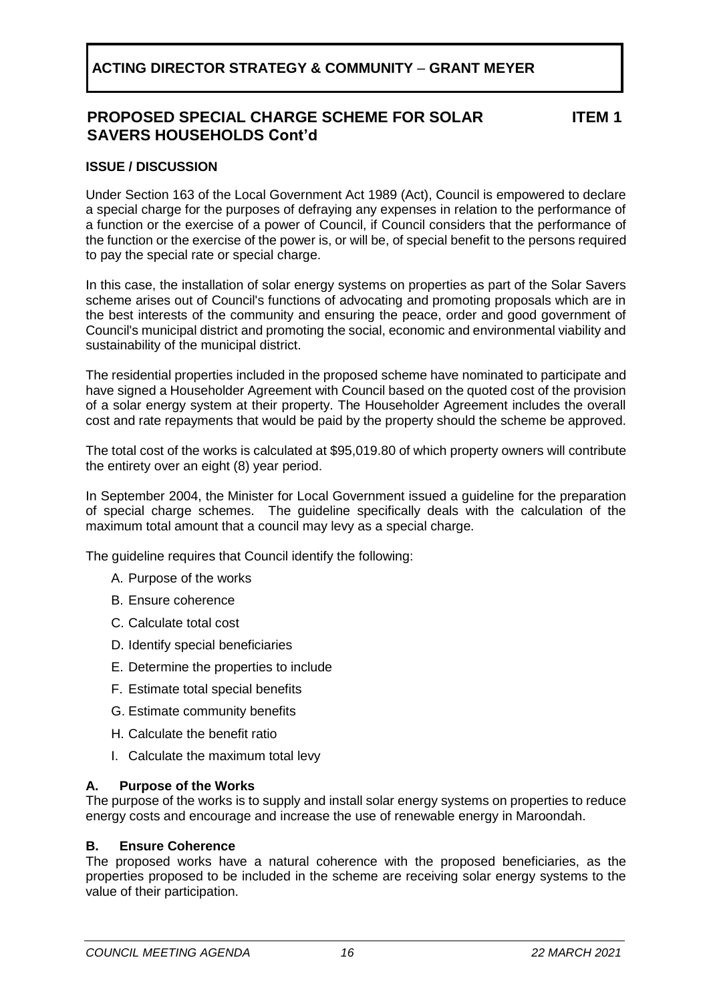### **PROPOSED SPECIAL CHARGE SCHEME FOR SOLAR SAVERS HOUSEHOLDS Cont'd**

**ITEM 1**

#### **ISSUE / DISCUSSION**

Under Section 163 of the Local Government Act 1989 (Act), Council is empowered to declare a special charge for the purposes of defraying any expenses in relation to the performance of a function or the exercise of a power of [Council,](http://www.austlii.edu.au/au/legis/vic/consol_act/lga1989182/s3.html#council) if [Council](http://www.austlii.edu.au/au/legis/vic/consol_act/lga1989182/s3.html#council) considers that the performance of the function or the exercise of the power is, or will be, of special benefit to the [persons](http://www.austlii.edu.au/au/legis/vic/consol_act/lga1989182/s3.html#person) required to pay the special rate or special charge.

In this case, the installation of solar energy systems on properties as part of the Solar Savers scheme arises out of Council's functions of advocating and promoting proposals which are in the best interests of the community and ensuring the peace, order and good government of Council's municipal district and promoting the social, economic and environmental viability and sustainability of the [municipal district](http://www.austlii.edu.au/au/legis/vic/consol_act/lga1989182/s3.html#municipal_district).

The residential properties included in the proposed scheme have nominated to participate and have signed a Householder Agreement with Council based on the quoted cost of the provision of a solar energy system at their property. The Householder Agreement includes the overall cost and rate repayments that would be paid by the property should the scheme be approved.

The total cost of the works is calculated at \$95,019.80 of which property owners will contribute the entirety over an eight (8) year period.

In September 2004, the Minister for Local Government issued a guideline for the preparation of special charge schemes. The guideline specifically deals with the calculation of the maximum total amount that a council may levy as a special charge.

The quideline requires that Council identify the following:

- A. Purpose of the works
- B. Ensure coherence
- C. Calculate total cost
- D. Identify special beneficiaries
- E. Determine the properties to include
- F. Estimate total special benefits
- G. Estimate community benefits
- H. Calculate the benefit ratio
- I. Calculate the maximum total levy

#### **A. Purpose of the Works**

The purpose of the works is to supply and install solar energy systems on properties to reduce energy costs and encourage and increase the use of renewable energy in Maroondah.

#### **B. Ensure Coherence**

The proposed works have a natural coherence with the proposed beneficiaries, as the properties proposed to be included in the scheme are receiving solar energy systems to the value of their participation.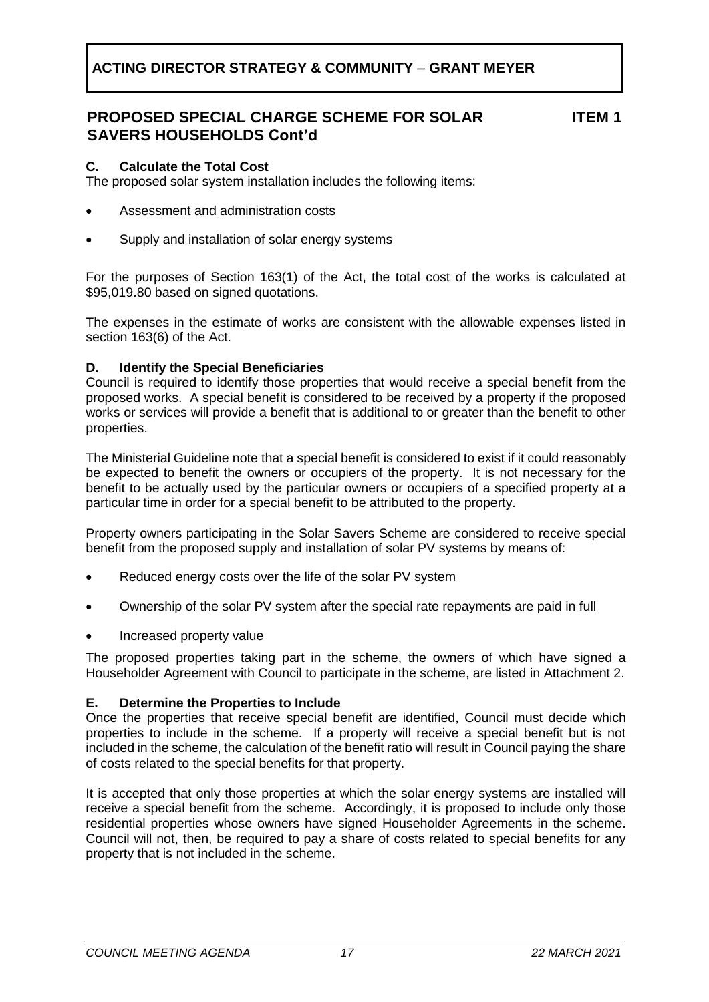### **PROPOSED SPECIAL CHARGE SCHEME FOR SOLAR SAVERS HOUSEHOLDS Cont'd**

**ITEM 1**

#### **C. Calculate the Total Cost**

The proposed solar system installation includes the following items:

- Assessment and administration costs
- Supply and installation of solar energy systems

For the purposes of Section 163(1) of the Act, the total cost of the works is calculated at \$95,019.80 based on signed quotations.

The expenses in the estimate of works are consistent with the allowable expenses listed in section 163(6) of the Act.

#### **D. Identify the Special Beneficiaries**

Council is required to identify those properties that would receive a special benefit from the proposed works. A special benefit is considered to be received by a property if the proposed works or services will provide a benefit that is additional to or greater than the benefit to other properties.

The Ministerial Guideline note that a special benefit is considered to exist if it could reasonably be expected to benefit the owners or occupiers of the property. It is not necessary for the benefit to be actually used by the particular owners or occupiers of a specified property at a particular time in order for a special benefit to be attributed to the property.

Property owners participating in the Solar Savers Scheme are considered to receive special benefit from the proposed supply and installation of solar PV systems by means of:

- Reduced energy costs over the life of the solar PV system
- Ownership of the solar PV system after the special rate repayments are paid in full
- Increased property value

The proposed properties taking part in the scheme, the owners of which have signed a Householder Agreement with Council to participate in the scheme, are listed in Attachment 2.

#### **E. Determine the Properties to Include**

Once the properties that receive special benefit are identified, Council must decide which properties to include in the scheme. If a property will receive a special benefit but is not included in the scheme, the calculation of the benefit ratio will result in Council paying the share of costs related to the special benefits for that property.

It is accepted that only those properties at which the solar energy systems are installed will receive a special benefit from the scheme. Accordingly, it is proposed to include only those residential properties whose owners have signed Householder Agreements in the scheme. Council will not, then, be required to pay a share of costs related to special benefits for any property that is not included in the scheme.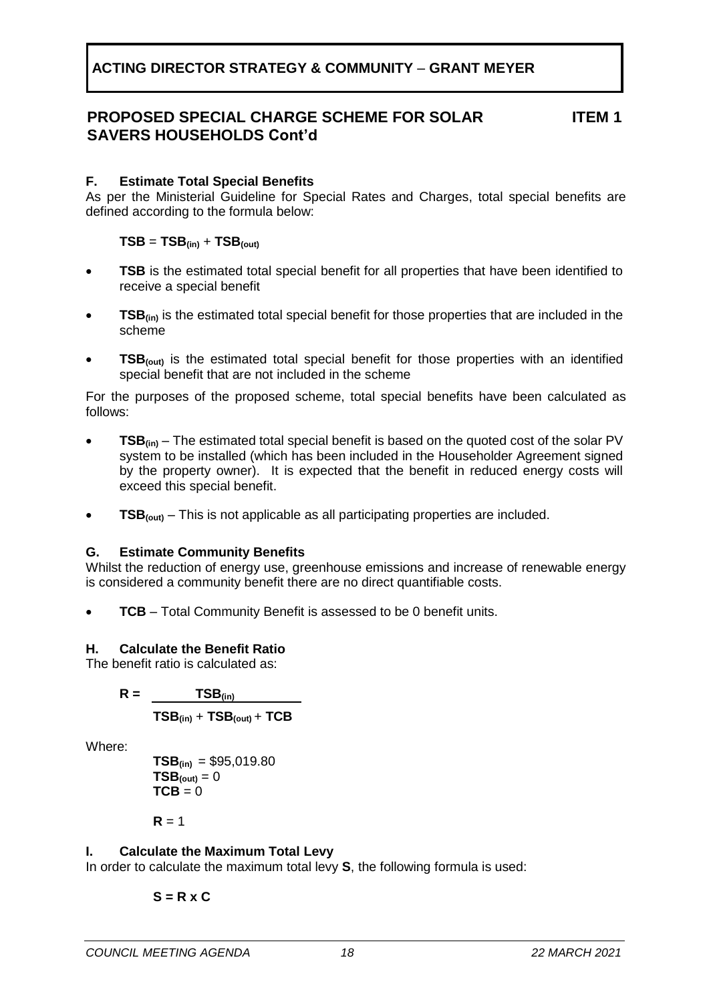### **PROPOSED SPECIAL CHARGE SCHEME FOR SOLAR SAVERS HOUSEHOLDS Cont'd**

**ITEM 1**

### **F. Estimate Total Special Benefits**

As per the Ministerial Guideline for Special Rates and Charges, total special benefits are defined according to the formula below:

### $TSB = TSB$ <sub>(in)</sub> +  $TSB$ <sub>(out)</sub>

- **TSB** is the estimated total special benefit for all properties that have been identified to receive a special benefit
- **TSB**<sub>(in)</sub> is the estimated total special benefit for those properties that are included in the scheme
- **TSB(out)** is the estimated total special benefit for those properties with an identified special benefit that are not included in the scheme

For the purposes of the proposed scheme, total special benefits have been calculated as follows:

- **TSB(in)** The estimated total special benefit is based on the quoted cost of the solar PV system to be installed (which has been included in the Householder Agreement signed by the property owner). It is expected that the benefit in reduced energy costs will exceed this special benefit.
- **TSB(out)** This is not applicable as all participating properties are included.

### **G. Estimate Community Benefits**

Whilst the reduction of energy use, greenhouse emissions and increase of renewable energy is considered a community benefit there are no direct quantifiable costs.

**TCB** – Total Community Benefit is assessed to be 0 benefit units.

### **H. Calculate the Benefit Ratio**

The benefit ratio is calculated as:

$$
R = \underline{\qquad \qquad TSB_{(in)}}
$$

$$
TSB_{(in)} + TSB_{(out)} + TCB
$$

Where:

$$
TSB_{(in)} = $95,019.80
$$
  
\n
$$
TSB_{(out)} = 0
$$
  
\n
$$
TCB = 0
$$

 $R = 1$ 

### **I. Calculate the Maximum Total Levy**

In order to calculate the maximum total levy **S**, the following formula is used:

$$
S = R \times C
$$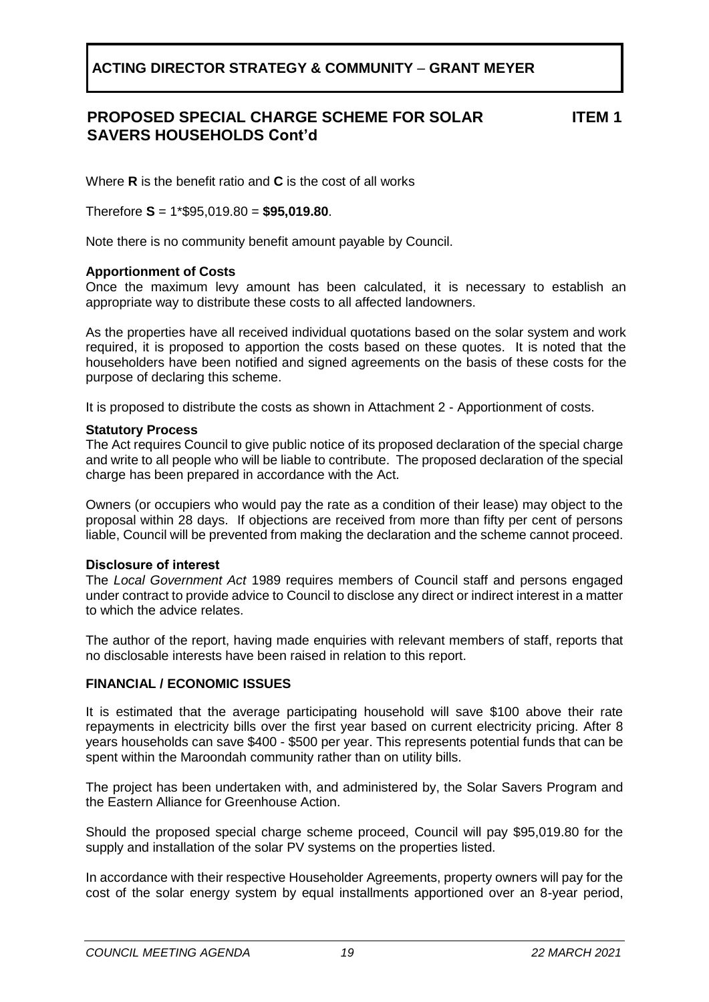### **PROPOSED SPECIAL CHARGE SCHEME FOR SOLAR SAVERS HOUSEHOLDS Cont'd**

**ITEM 1**

Where **R** is the benefit ratio and **C** is the cost of all works

Therefore **S** = 1\*\$95,019.80 = **\$95,019.80**.

Note there is no community benefit amount payable by Council.

#### **Apportionment of Costs**

Once the maximum levy amount has been calculated, it is necessary to establish an appropriate way to distribute these costs to all affected landowners.

As the properties have all received individual quotations based on the solar system and work required, it is proposed to apportion the costs based on these quotes. It is noted that the householders have been notified and signed agreements on the basis of these costs for the purpose of declaring this scheme.

It is proposed to distribute the costs as shown in Attachment 2 - Apportionment of costs.

#### **Statutory Process**

The Act requires Council to give public notice of its proposed declaration of the special charge and write to all people who will be liable to contribute. The proposed declaration of the special charge has been prepared in accordance with the Act.

Owners (or occupiers who would pay the rate as a condition of their lease) may object to the proposal within 28 days. If objections are received from more than fifty per cent of persons liable, Council will be prevented from making the declaration and the scheme cannot proceed.

#### **Disclosure of interest**

The *Local Government Act* 1989 requires members of Council staff and persons engaged under contract to provide advice to Council to disclose any direct or indirect interest in a matter to which the advice relates.

The author of the report, having made enquiries with relevant members of staff, reports that no disclosable interests have been raised in relation to this report.

#### **FINANCIAL / ECONOMIC ISSUES**

It is estimated that the average participating household will save \$100 above their rate repayments in electricity bills over the first year based on current electricity pricing. After 8 years households can save \$400 - \$500 per year. This represents potential funds that can be spent within the Maroondah community rather than on utility bills.

The project has been undertaken with, and administered by, the Solar Savers Program and the Eastern Alliance for Greenhouse Action.

Should the proposed special charge scheme proceed, Council will pay \$95,019.80 for the supply and installation of the solar PV systems on the properties listed.

In accordance with their respective Householder Agreements, property owners will pay for the cost of the solar energy system by equal installments apportioned over an 8-year period,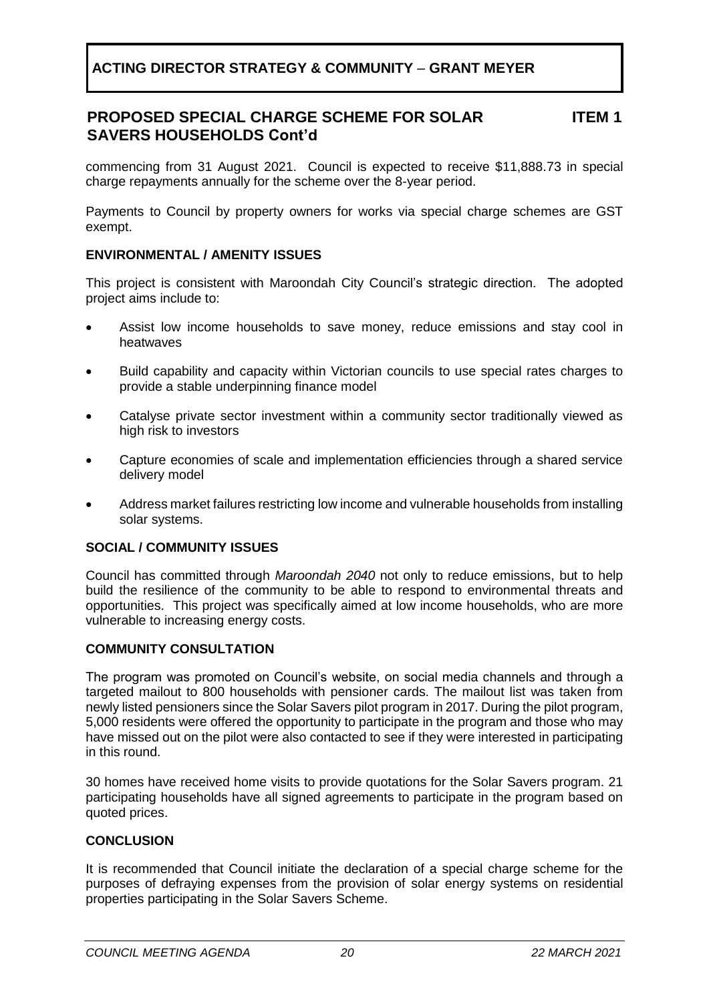#### **PROPOSED SPECIAL CHARGE SCHEME FOR SOLAR SAVERS HOUSEHOLDS Cont'd ITEM 1**

commencing from 31 August 2021. Council is expected to receive \$11,888.73 in special charge repayments annually for the scheme over the 8-year period.

Payments to Council by property owners for works via special charge schemes are GST exempt.

### **ENVIRONMENTAL / AMENITY ISSUES**

This project is consistent with Maroondah City Council's strategic direction. The adopted project aims include to:

- Assist low income households to save money, reduce emissions and stay cool in heatwaves
- Build capability and capacity within Victorian councils to use special rates charges to provide a stable underpinning finance model
- Catalyse private sector investment within a community sector traditionally viewed as high risk to investors
- Capture economies of scale and implementation efficiencies through a shared service delivery model
- Address market failures restricting low income and vulnerable households from installing solar systems.

### **SOCIAL / COMMUNITY ISSUES**

Council has committed through *Maroondah 2040* not only to reduce emissions, but to help build the resilience of the community to be able to respond to environmental threats and opportunities. This project was specifically aimed at low income households, who are more vulnerable to increasing energy costs.

### **COMMUNITY CONSULTATION**

The program was promoted on Council's website, on social media channels and through a targeted mailout to 800 households with pensioner cards. The mailout list was taken from newly listed pensioners since the Solar Savers pilot program in 2017. During the pilot program, 5,000 residents were offered the opportunity to participate in the program and those who may have missed out on the pilot were also contacted to see if they were interested in participating in this round.

30 homes have received home visits to provide quotations for the Solar Savers program. 21 participating households have all signed agreements to participate in the program based on quoted prices.

#### **CONCLUSION**

It is recommended that Council initiate the declaration of a special charge scheme for the purposes of defraying expenses from the provision of solar energy systems on residential properties participating in the Solar Savers Scheme.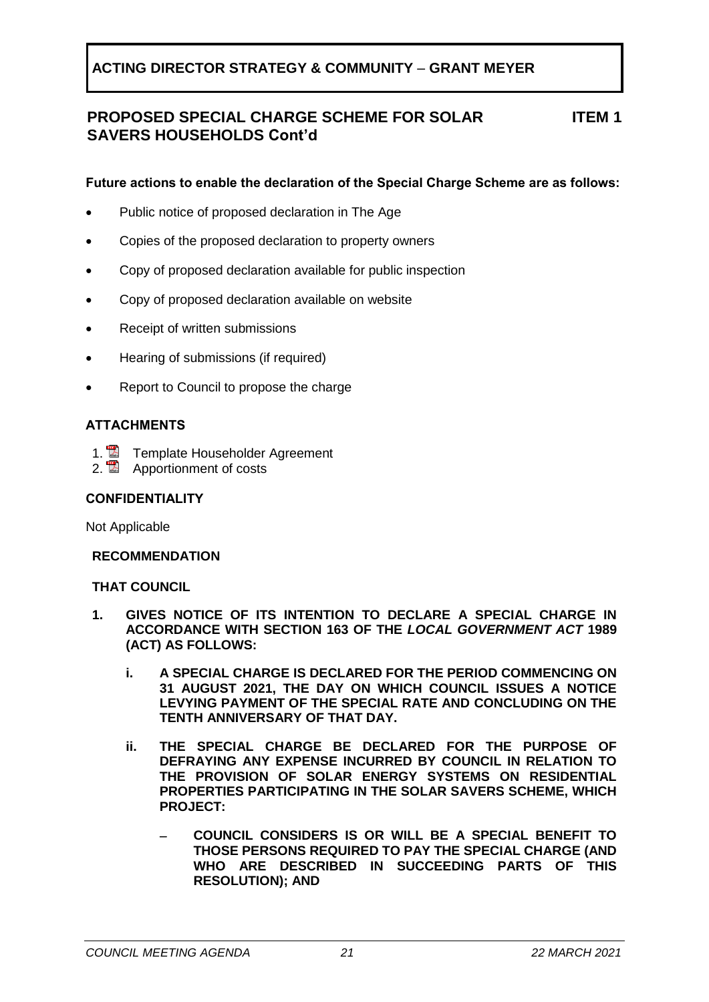#### **PROPOSED SPECIAL CHARGE SCHEME FOR SOLAR SAVERS HOUSEHOLDS Cont'd ITEM 1**

### **Future actions to enable the declaration of the Special Charge Scheme are as follows:**

- Public notice of proposed declaration in The Age
- Copies of the proposed declaration to property owners
- Copy of proposed declaration available for public inspection
- Copy of proposed declaration available on website
- Receipt of written submissions
- Hearing of submissions (if required)
- Report to Council to propose the charge

#### **ATTACHMENTS**

- 1. **2** Template Householder Agreement
- 2. **Apportionment of costs**

#### **CONFIDENTIALITY**

Not Applicable

#### **RECOMMENDATION**

#### **THAT COUNCIL**

- **1. GIVES NOTICE OF ITS INTENTION TO DECLARE A SPECIAL CHARGE IN ACCORDANCE WITH SECTION 163 OF THE** *LOCAL GOVERNMENT ACT* **1989 (ACT) AS FOLLOWS:** 
	- **i. A SPECIAL CHARGE IS DECLARED FOR THE PERIOD COMMENCING ON 31 AUGUST 2021, THE DAY ON WHICH COUNCIL ISSUES A NOTICE LEVYING PAYMENT OF THE SPECIAL RATE AND CONCLUDING ON THE TENTH ANNIVERSARY OF THAT DAY.**
	- **ii. THE SPECIAL CHARGE BE DECLARED FOR THE PURPOSE OF DEFRAYING ANY EXPENSE INCURRED BY COUNCIL IN RELATION TO THE PROVISION OF SOLAR ENERGY SYSTEMS ON RESIDENTIAL PROPERTIES PARTICIPATING IN THE SOLAR SAVERS SCHEME, WHICH PROJECT:**
		- − **COUNCIL CONSIDERS IS OR WILL BE A SPECIAL BENEFIT TO THOSE PERSONS REQUIRED TO PAY THE SPECIAL CHARGE (AND WHO ARE DESCRIBED IN SUCCEEDING PARTS OF THIS RESOLUTION); AND**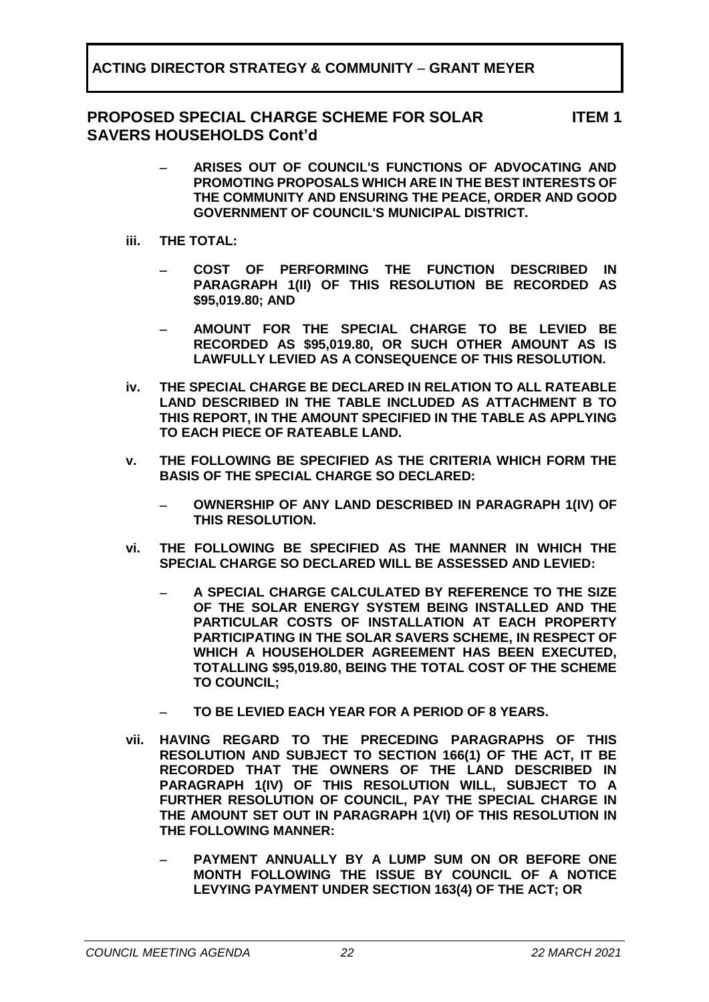### **PROPOSED SPECIAL CHARGE SCHEME FOR SOLAR SAVERS HOUSEHOLDS Cont'd**

**ITEM 1**

- − **ARISES OUT OF COUNCIL'S FUNCTIONS OF ADVOCATING AND PROMOTING PROPOSALS WHICH ARE IN THE BEST INTERESTS OF THE COMMUNITY AND ENSURING THE PEACE, ORDER AND GOOD GOVERNMENT OF COUNCIL'S MUNICIPAL DISTRICT.**
- **iii. THE TOTAL:**
	- − **COST OF PERFORMING THE FUNCTION DESCRIBED IN PARAGRAPH 1(II) OF THIS RESOLUTION BE RECORDED AS \$95,019.80; AND**
	- − **AMOUNT FOR THE SPECIAL CHARGE TO BE LEVIED BE RECORDED AS \$95,019.80, OR SUCH OTHER AMOUNT AS IS LAWFULLY LEVIED AS A CONSEQUENCE OF THIS RESOLUTION.**
- **iv. THE SPECIAL CHARGE BE DECLARED IN RELATION TO ALL RATEABLE LAND DESCRIBED IN THE TABLE INCLUDED AS ATTACHMENT B TO THIS REPORT, IN THE AMOUNT SPECIFIED IN THE TABLE AS APPLYING TO EACH PIECE OF RATEABLE LAND.**
- **v. THE FOLLOWING BE SPECIFIED AS THE CRITERIA WHICH FORM THE BASIS OF THE SPECIAL CHARGE SO DECLARED:**
	- − **OWNERSHIP OF ANY LAND DESCRIBED IN PARAGRAPH 1(IV) OF THIS RESOLUTION.**
- **vi. THE FOLLOWING BE SPECIFIED AS THE MANNER IN WHICH THE SPECIAL CHARGE SO DECLARED WILL BE ASSESSED AND LEVIED:**
	- − **A SPECIAL CHARGE CALCULATED BY REFERENCE TO THE SIZE OF THE SOLAR ENERGY SYSTEM BEING INSTALLED AND THE PARTICULAR COSTS OF INSTALLATION AT EACH PROPERTY PARTICIPATING IN THE SOLAR SAVERS SCHEME, IN RESPECT OF WHICH A HOUSEHOLDER AGREEMENT HAS BEEN EXECUTED, TOTALLING \$95,019.80, BEING THE TOTAL COST OF THE SCHEME TO COUNCIL;**
	- − **TO BE LEVIED EACH YEAR FOR A PERIOD OF 8 YEARS.**
- **vii. HAVING REGARD TO THE PRECEDING PARAGRAPHS OF THIS RESOLUTION AND SUBJECT TO SECTION 166(1) OF THE ACT, IT BE RECORDED THAT THE OWNERS OF THE LAND DESCRIBED IN PARAGRAPH 1(IV) OF THIS RESOLUTION WILL, SUBJECT TO A FURTHER RESOLUTION OF COUNCIL, PAY THE SPECIAL CHARGE IN THE AMOUNT SET OUT IN PARAGRAPH 1(VI) OF THIS RESOLUTION IN THE FOLLOWING MANNER:**
	- − **PAYMENT ANNUALLY BY A LUMP SUM ON OR BEFORE ONE MONTH FOLLOWING THE ISSUE BY COUNCIL OF A NOTICE LEVYING PAYMENT UNDER SECTION 163(4) OF THE ACT; OR**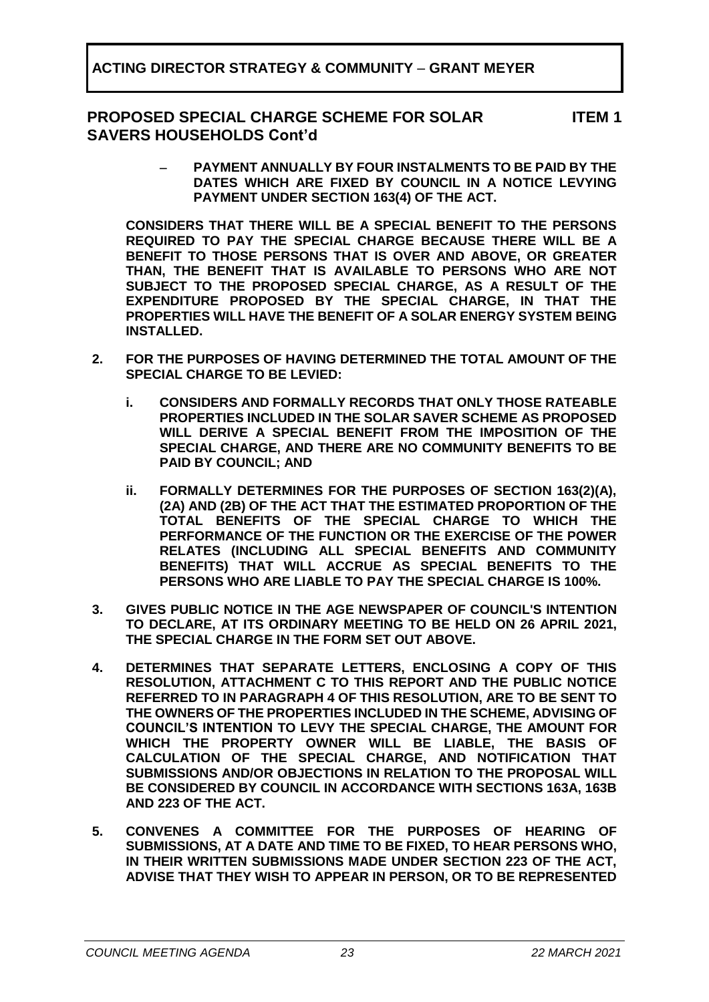### **PROPOSED SPECIAL CHARGE SCHEME FOR SOLAR SAVERS HOUSEHOLDS Cont'd**

**ITEM 1**

− **PAYMENT ANNUALLY BY FOUR INSTALMENTS TO BE PAID BY THE DATES WHICH ARE FIXED BY COUNCIL IN A NOTICE LEVYING PAYMENT UNDER SECTION 163(4) OF THE ACT.**

**CONSIDERS THAT THERE WILL BE A SPECIAL BENEFIT TO THE PERSONS REQUIRED TO PAY THE SPECIAL CHARGE BECAUSE THERE WILL BE A BENEFIT TO THOSE PERSONS THAT IS OVER AND ABOVE, OR GREATER THAN, THE BENEFIT THAT IS AVAILABLE TO PERSONS WHO ARE NOT SUBJECT TO THE PROPOSED SPECIAL CHARGE, AS A RESULT OF THE EXPENDITURE PROPOSED BY THE SPECIAL CHARGE, IN THAT THE PROPERTIES WILL HAVE THE BENEFIT OF A SOLAR ENERGY SYSTEM BEING INSTALLED.**

- **2. FOR THE PURPOSES OF HAVING DETERMINED THE TOTAL AMOUNT OF THE SPECIAL CHARGE TO BE LEVIED:**
	- **i. CONSIDERS AND FORMALLY RECORDS THAT ONLY THOSE RATEABLE PROPERTIES INCLUDED IN THE SOLAR SAVER SCHEME AS PROPOSED WILL DERIVE A SPECIAL BENEFIT FROM THE IMPOSITION OF THE SPECIAL CHARGE, AND THERE ARE NO COMMUNITY BENEFITS TO BE PAID BY COUNCIL; AND**
	- **ii. FORMALLY DETERMINES FOR THE PURPOSES OF SECTION 163(2)(A), (2A) AND (2B) OF THE ACT THAT THE ESTIMATED PROPORTION OF THE TOTAL BENEFITS OF THE SPECIAL CHARGE TO WHICH THE PERFORMANCE OF THE FUNCTION OR THE EXERCISE OF THE POWER RELATES (INCLUDING ALL SPECIAL BENEFITS AND COMMUNITY BENEFITS) THAT WILL ACCRUE AS SPECIAL BENEFITS TO THE PERSONS WHO ARE LIABLE TO PAY THE SPECIAL CHARGE IS 100%.**
- **3. GIVES PUBLIC NOTICE IN THE AGE NEWSPAPER OF COUNCIL'S INTENTION TO DECLARE, AT ITS ORDINARY MEETING TO BE HELD ON 26 APRIL 2021, THE SPECIAL CHARGE IN THE FORM SET OUT ABOVE.**
- **4. DETERMINES THAT SEPARATE LETTERS, ENCLOSING A COPY OF THIS RESOLUTION, ATTACHMENT C TO THIS REPORT AND THE PUBLIC NOTICE REFERRED TO IN PARAGRAPH 4 OF THIS RESOLUTION, ARE TO BE SENT TO THE OWNERS OF THE PROPERTIES INCLUDED IN THE SCHEME, ADVISING OF COUNCIL'S INTENTION TO LEVY THE SPECIAL CHARGE, THE AMOUNT FOR WHICH THE PROPERTY OWNER WILL BE LIABLE, THE BASIS OF CALCULATION OF THE SPECIAL CHARGE, AND NOTIFICATION THAT SUBMISSIONS AND/OR OBJECTIONS IN RELATION TO THE PROPOSAL WILL BE CONSIDERED BY COUNCIL IN ACCORDANCE WITH SECTIONS 163A, 163B AND 223 OF THE ACT.**
- **5. CONVENES A COMMITTEE FOR THE PURPOSES OF HEARING OF SUBMISSIONS, AT A DATE AND TIME TO BE FIXED, TO HEAR PERSONS WHO, IN THEIR WRITTEN SUBMISSIONS MADE UNDER SECTION 223 OF THE ACT, ADVISE THAT THEY WISH TO APPEAR IN PERSON, OR TO BE REPRESENTED**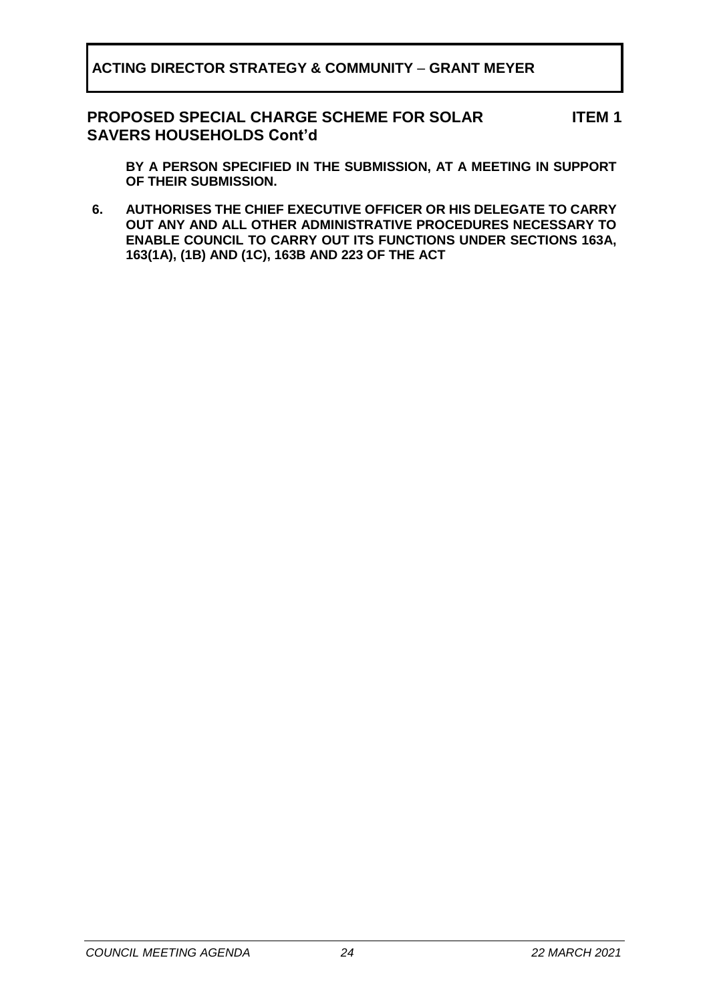#### **PROPOSED SPECIAL CHARGE SCHEME FOR SOLAR SAVERS HOUSEHOLDS Cont'd ITEM 1**

**BY A PERSON SPECIFIED IN THE SUBMISSION, AT A MEETING IN SUPPORT OF THEIR SUBMISSION.**

**6. AUTHORISES THE CHIEF EXECUTIVE OFFICER OR HIS DELEGATE TO CARRY OUT ANY AND ALL OTHER ADMINISTRATIVE PROCEDURES NECESSARY TO ENABLE COUNCIL TO CARRY OUT ITS FUNCTIONS UNDER SECTIONS 163A, 163(1A), (1B) AND (1C), 163B AND 223 OF THE ACT**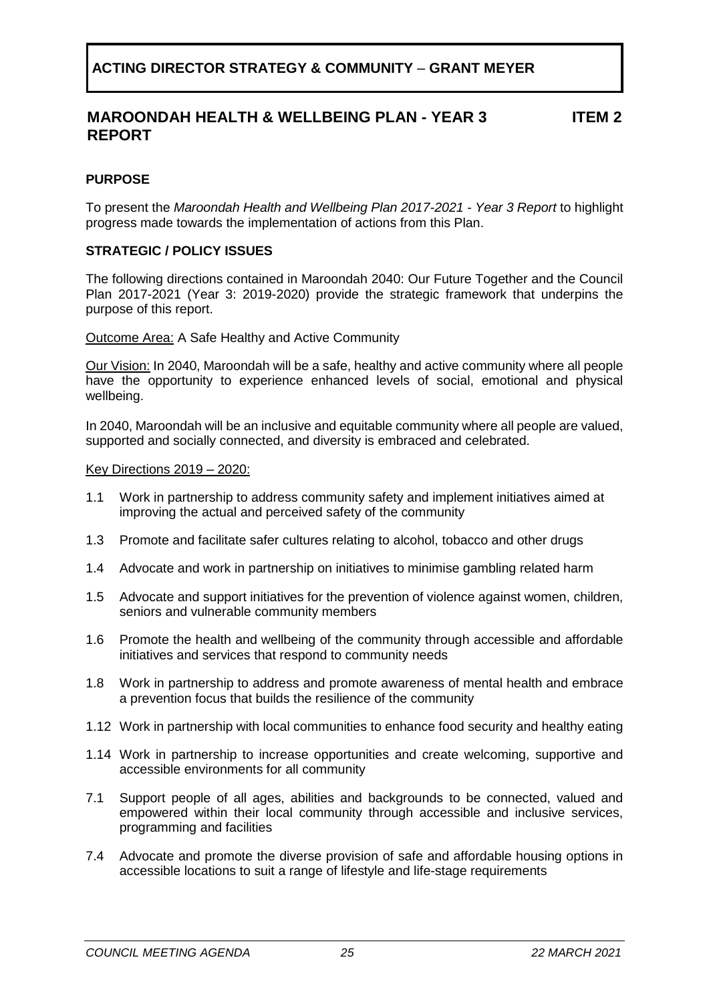#### **MAROONDAH HEALTH & WELLBEING PLAN - YEAR 3 REPORT ITEM 2**

### <span id="page-24-0"></span>**PURPOSE**

To present the *Maroondah Health and Wellbeing Plan 2017-2021 - Year 3 Report* to highlight progress made towards the implementation of actions from this Plan.

#### **STRATEGIC / POLICY ISSUES**

The following directions contained in Maroondah 2040: Our Future Together and the Council Plan 2017-2021 (Year 3: 2019-2020) provide the strategic framework that underpins the purpose of this report.

Outcome Area: A Safe Healthy and Active Community

Our Vision: In 2040, Maroondah will be a safe, healthy and active community where all people have the opportunity to experience enhanced levels of social, emotional and physical wellbeing.

In 2040, Maroondah will be an inclusive and equitable community where all people are valued, supported and socially connected, and diversity is embraced and celebrated.

#### Key Directions 2019 – 2020:

- 1.1 Work in partnership to address community safety and implement initiatives aimed at improving the actual and perceived safety of the community
- 1.3 Promote and facilitate safer cultures relating to alcohol, tobacco and other drugs
- 1.4 Advocate and work in partnership on initiatives to minimise gambling related harm
- 1.5 Advocate and support initiatives for the prevention of violence against women, children, seniors and vulnerable community members
- 1.6 Promote the health and wellbeing of the community through accessible and affordable initiatives and services that respond to community needs
- 1.8 Work in partnership to address and promote awareness of mental health and embrace a prevention focus that builds the resilience of the community
- 1.12 Work in partnership with local communities to enhance food security and healthy eating
- 1.14 Work in partnership to increase opportunities and create welcoming, supportive and accessible environments for all community
- 7.1 Support people of all ages, abilities and backgrounds to be connected, valued and empowered within their local community through accessible and inclusive services, programming and facilities
- 7.4 Advocate and promote the diverse provision of safe and affordable housing options in accessible locations to suit a range of lifestyle and life-stage requirements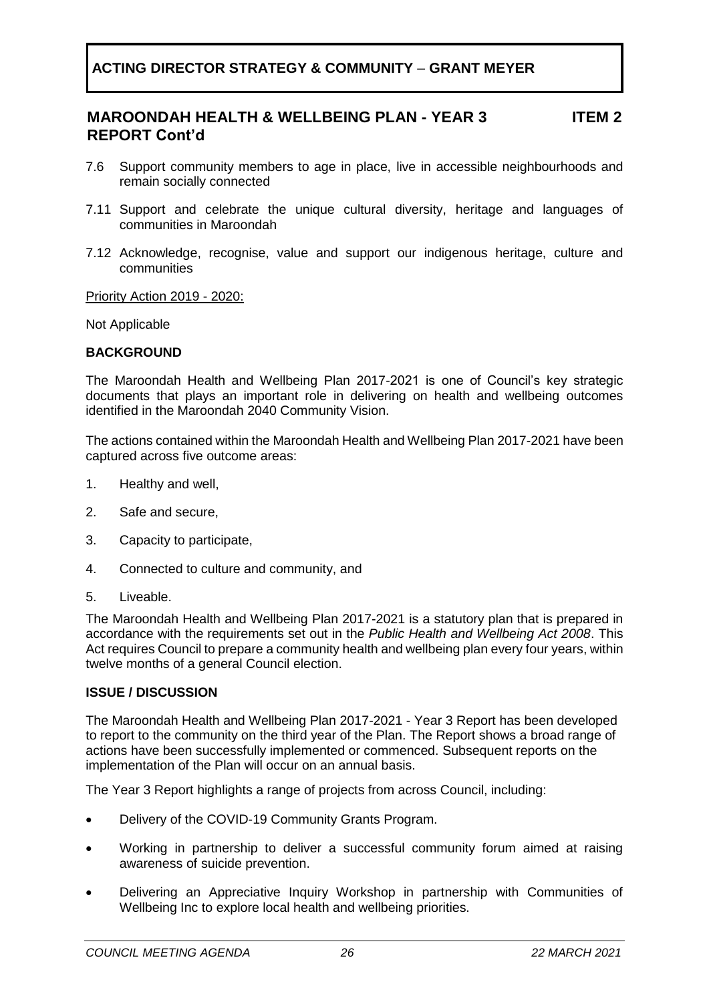#### **MAROONDAH HEALTH & WELLBEING PLAN - YEAR 3 REPORT Cont'd ITEM 2**

- 7.6 Support community members to age in place, live in accessible neighbourhoods and remain socially connected
- 7.11 Support and celebrate the unique cultural diversity, heritage and languages of communities in Maroondah
- 7.12 Acknowledge, recognise, value and support our indigenous heritage, culture and communities

Priority Action 2019 - 2020:

Not Applicable

#### **BACKGROUND**

The Maroondah Health and Wellbeing Plan 2017-2021 is one of Council's key strategic documents that plays an important role in delivering on health and wellbeing outcomes identified in the Maroondah 2040 Community Vision.

The actions contained within the Maroondah Health and Wellbeing Plan 2017-2021 have been captured across five outcome areas:

- 1. Healthy and well,
- 2. Safe and secure,
- 3. Capacity to participate,
- 4. Connected to culture and community, and
- 5. Liveable.

The Maroondah Health and Wellbeing Plan 2017-2021 is a statutory plan that is prepared in accordance with the requirements set out in the *Public Health and Wellbeing Act 2008*. This Act requires Council to prepare a community health and wellbeing plan every four years, within twelve months of a general Council election.

#### **ISSUE / DISCUSSION**

The Maroondah Health and Wellbeing Plan 2017-2021 - Year 3 Report has been developed to report to the community on the third year of the Plan. The Report shows a broad range of actions have been successfully implemented or commenced. Subsequent reports on the implementation of the Plan will occur on an annual basis.

The Year 3 Report highlights a range of projects from across Council, including:

- Delivery of the COVID-19 Community Grants Program.
- Working in partnership to deliver a successful community forum aimed at raising awareness of suicide prevention.
- Delivering an Appreciative Inquiry Workshop in partnership with Communities of Wellbeing Inc to explore local health and wellbeing priorities.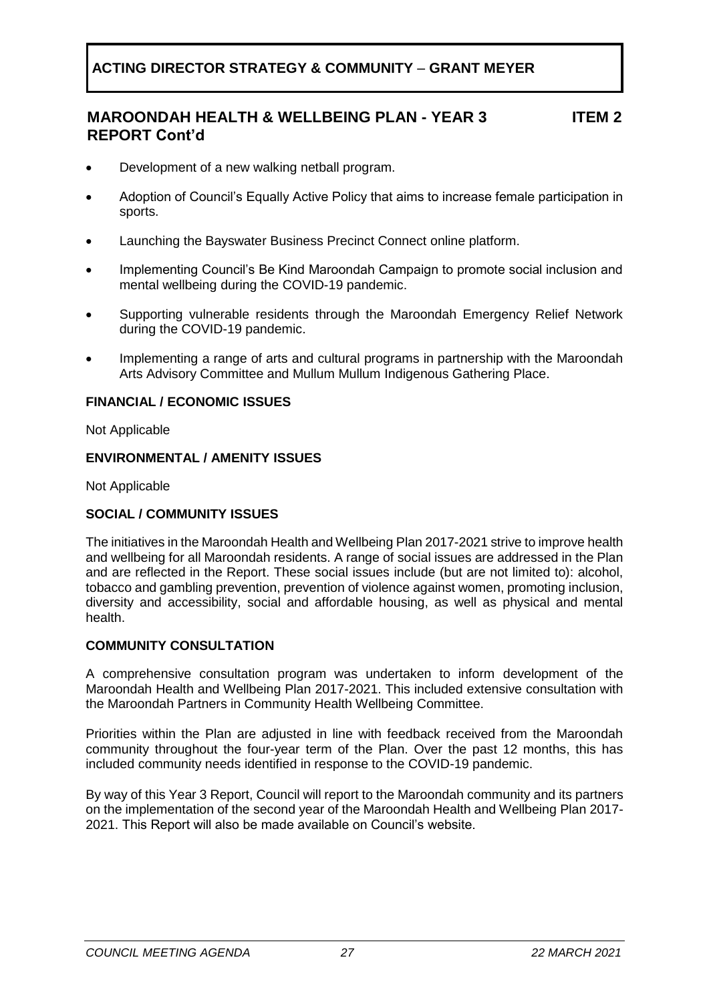#### **MAROONDAH HEALTH & WELLBEING PLAN - YEAR 3 REPORT Cont'd ITEM 2**

- Development of a new walking netball program.
- Adoption of Council's Equally Active Policy that aims to increase female participation in sports.
- Launching the Bayswater Business Precinct Connect online platform.
- Implementing Council's Be Kind Maroondah Campaign to promote social inclusion and mental wellbeing during the COVID-19 pandemic.
- Supporting vulnerable residents through the Maroondah Emergency Relief Network during the COVID-19 pandemic.
- Implementing a range of arts and cultural programs in partnership with the Maroondah Arts Advisory Committee and Mullum Mullum Indigenous Gathering Place.

#### **FINANCIAL / ECONOMIC ISSUES**

Not Applicable

#### **ENVIRONMENTAL / AMENITY ISSUES**

Not Applicable

#### **SOCIAL / COMMUNITY ISSUES**

The initiatives in the Maroondah Health and Wellbeing Plan 2017-2021 strive to improve health and wellbeing for all Maroondah residents. A range of social issues are addressed in the Plan and are reflected in the Report. These social issues include (but are not limited to): alcohol, tobacco and gambling prevention, prevention of violence against women, promoting inclusion, diversity and accessibility, social and affordable housing, as well as physical and mental health.

#### **COMMUNITY CONSULTATION**

A comprehensive consultation program was undertaken to inform development of the Maroondah Health and Wellbeing Plan 2017-2021. This included extensive consultation with the Maroondah Partners in Community Health Wellbeing Committee.

Priorities within the Plan are adjusted in line with feedback received from the Maroondah community throughout the four-year term of the Plan. Over the past 12 months, this has included community needs identified in response to the COVID-19 pandemic.

By way of this Year 3 Report, Council will report to the Maroondah community and its partners on the implementation of the second year of the Maroondah Health and Wellbeing Plan 2017- 2021. This Report will also be made available on Council's website.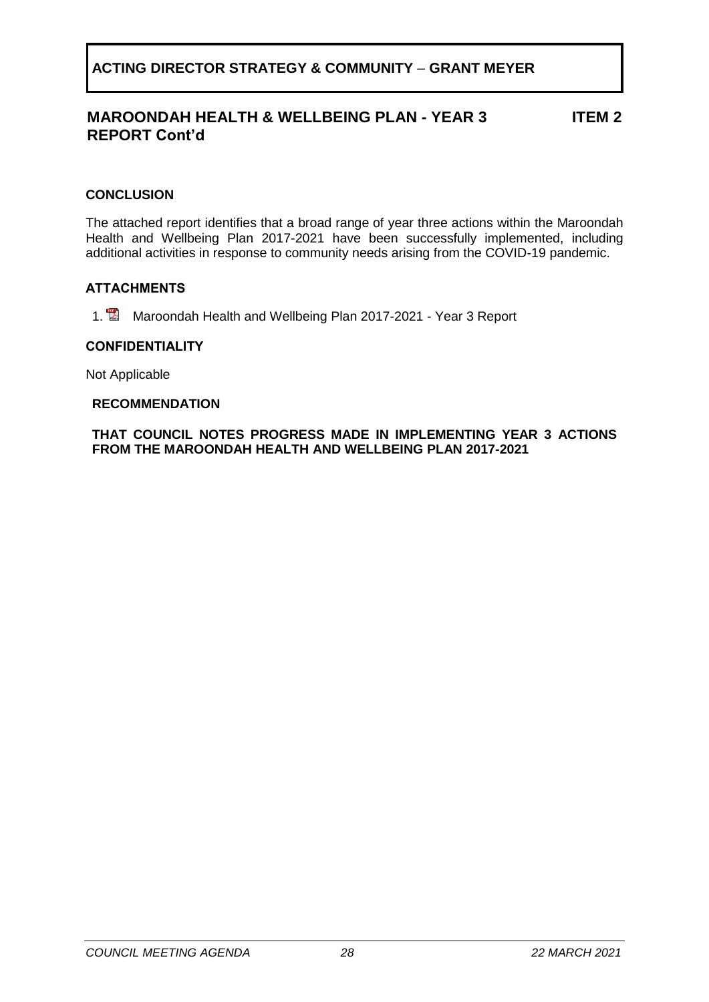#### **MAROONDAH HEALTH & WELLBEING PLAN - YEAR 3 REPORT Cont'd ITEM 2**

### **CONCLUSION**

The attached report identifies that a broad range of year three actions within the Maroondah Health and Wellbeing Plan 2017-2021 have been successfully implemented, including additional activities in response to community needs arising from the COVID-19 pandemic.

#### **ATTACHMENTS**

1. **Maroondah Health and Wellbeing Plan 2017-2021 - Year 3 Report** 

#### **CONFIDENTIALITY**

Not Applicable

#### **RECOMMENDATION**

**THAT COUNCIL NOTES PROGRESS MADE IN IMPLEMENTING YEAR 3 ACTIONS FROM THE MAROONDAH HEALTH AND WELLBEING PLAN 2017-2021**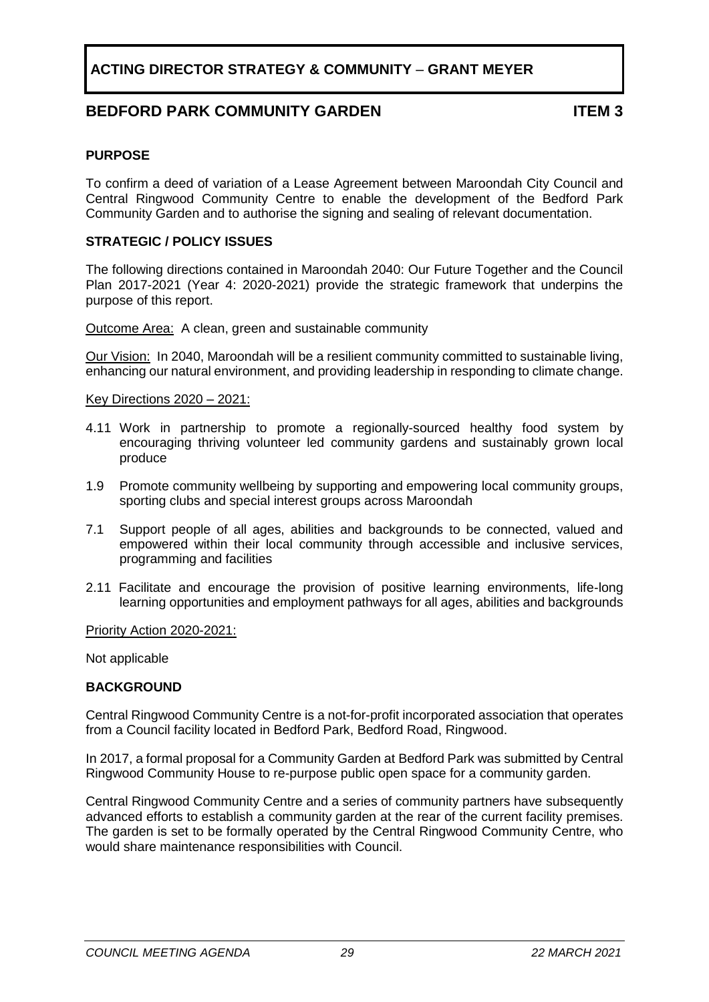### **BEDFORD PARK COMMUNITY GARDEN ITEM 3**

#### <span id="page-28-0"></span>**PURPOSE**

To confirm a deed of variation of a Lease Agreement between Maroondah City Council and Central Ringwood Community Centre to enable the development of the Bedford Park Community Garden and to authorise the signing and sealing of relevant documentation.

#### **STRATEGIC / POLICY ISSUES**

The following directions contained in Maroondah 2040: Our Future Together and the Council Plan 2017-2021 (Year 4: 2020-2021) provide the strategic framework that underpins the purpose of this report.

Outcome Area:A clean, green and sustainable community

Our Vision:In 2040, Maroondah will be a resilient community committed to sustainable living, enhancing our natural environment, and providing leadership in responding to climate change.

Key Directions 2020 – 2021:

- 4.11 Work in partnership to promote a regionally-sourced healthy food system by encouraging thriving volunteer led community gardens and sustainably grown local produce
- 1.9 Promote community wellbeing by supporting and empowering local community groups, sporting clubs and special interest groups across Maroondah
- 7.1 Support people of all ages, abilities and backgrounds to be connected, valued and empowered within their local community through accessible and inclusive services, programming and facilities
- 2.11 Facilitate and encourage the provision of positive learning environments, life-long learning opportunities and employment pathways for all ages, abilities and backgrounds

Priority Action 2020-2021:

Not applicable

#### **BACKGROUND**

Central Ringwood Community Centre is a not-for-profit incorporated association that operates from a Council facility located in Bedford Park, Bedford Road, Ringwood.

In 2017, a formal proposal for a Community Garden at Bedford Park was submitted by Central Ringwood Community House to re-purpose public open space for a community garden.

Central Ringwood Community Centre and a series of community partners have subsequently advanced efforts to establish a community garden at the rear of the current facility premises. The garden is set to be formally operated by the Central Ringwood Community Centre, who would share maintenance responsibilities with Council.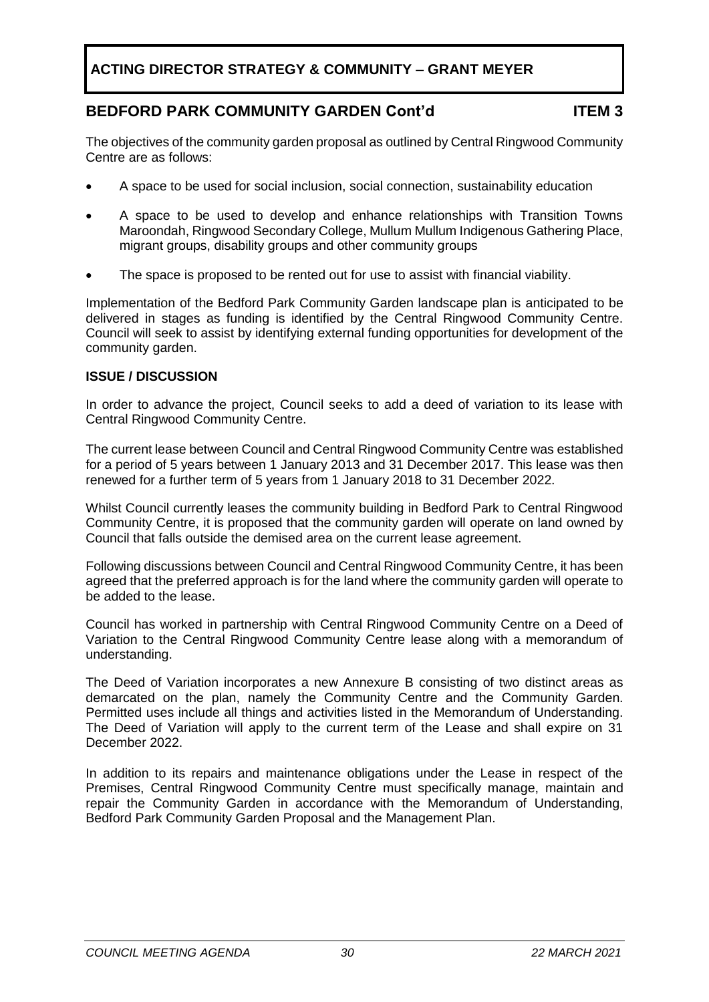### **BEDFORD PARK COMMUNITY GARDEN Cont'd ITEM 3**

The objectives of the community garden proposal as outlined by Central Ringwood Community Centre are as follows:

- A space to be used for social inclusion, social connection, sustainability education
- A space to be used to develop and enhance relationships with Transition Towns Maroondah, Ringwood Secondary College, Mullum Mullum Indigenous Gathering Place, migrant groups, disability groups and other community groups
- The space is proposed to be rented out for use to assist with financial viability.

Implementation of the Bedford Park Community Garden landscape plan is anticipated to be delivered in stages as funding is identified by the Central Ringwood Community Centre. Council will seek to assist by identifying external funding opportunities for development of the community garden.

#### **ISSUE / DISCUSSION**

In order to advance the project, Council seeks to add a deed of variation to its lease with Central Ringwood Community Centre.

The current lease between Council and Central Ringwood Community Centre was established for a period of 5 years between 1 January 2013 and 31 December 2017. This lease was then renewed for a further term of 5 years from 1 January 2018 to 31 December 2022.

Whilst Council currently leases the community building in Bedford Park to Central Ringwood Community Centre, it is proposed that the community garden will operate on land owned by Council that falls outside the demised area on the current lease agreement.

Following discussions between Council and Central Ringwood Community Centre, it has been agreed that the preferred approach is for the land where the community garden will operate to be added to the lease.

Council has worked in partnership with Central Ringwood Community Centre on a Deed of Variation to the Central Ringwood Community Centre lease along with a memorandum of understanding.

The Deed of Variation incorporates a new Annexure B consisting of two distinct areas as demarcated on the plan, namely the Community Centre and the Community Garden. Permitted uses include all things and activities listed in the Memorandum of Understanding. The Deed of Variation will apply to the current term of the Lease and shall expire on 31 December 2022.

In addition to its repairs and maintenance obligations under the Lease in respect of the Premises, Central Ringwood Community Centre must specifically manage, maintain and repair the Community Garden in accordance with the Memorandum of Understanding, Bedford Park Community Garden Proposal and the Management Plan.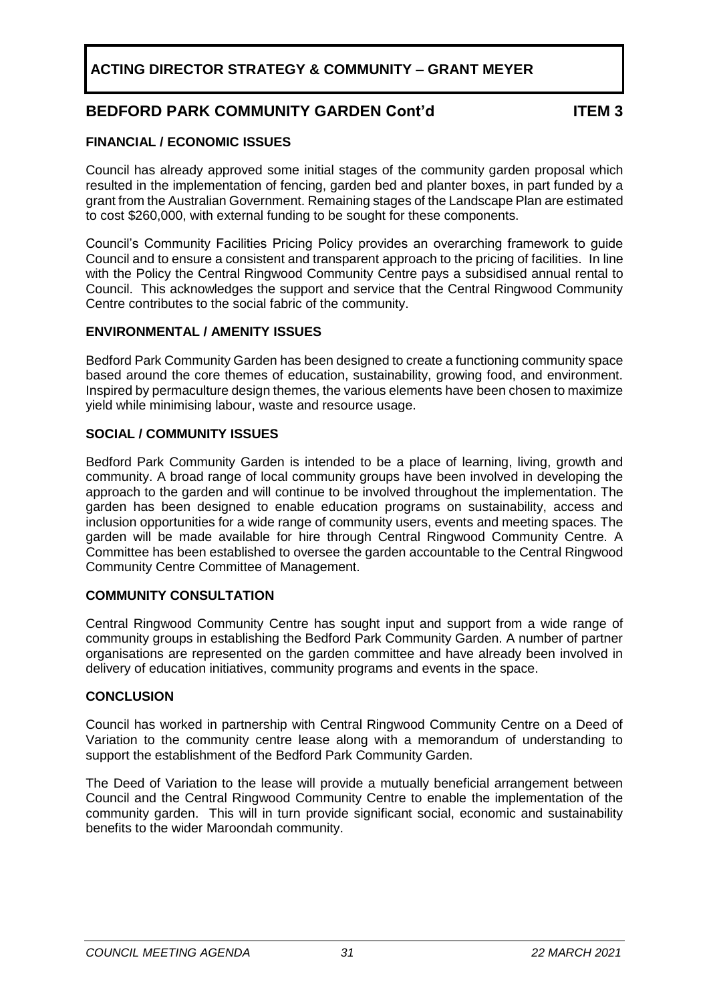## **BEDFORD PARK COMMUNITY GARDEN Cont'd ITEM 3**

### **FINANCIAL / ECONOMIC ISSUES**

Council has already approved some initial stages of the community garden proposal which resulted in the implementation of fencing, garden bed and planter boxes, in part funded by a grant from the Australian Government. Remaining stages of the Landscape Plan are estimated to cost \$260,000, with external funding to be sought for these components.

Council's Community Facilities Pricing Policy provides an overarching framework to guide Council and to ensure a consistent and transparent approach to the pricing of facilities. In line with the Policy the Central Ringwood Community Centre pays a subsidised annual rental to Council. This acknowledges the support and service that the Central Ringwood Community Centre contributes to the social fabric of the community.

### **ENVIRONMENTAL / AMENITY ISSUES**

Bedford Park Community Garden has been designed to create a functioning community space based around the core themes of education, sustainability, growing food, and environment. Inspired by permaculture design themes, the various elements have been chosen to maximize yield while minimising labour, waste and resource usage.

### **SOCIAL / COMMUNITY ISSUES**

Bedford Park Community Garden is intended to be a place of learning, living, growth and community. A broad range of local community groups have been involved in developing the approach to the garden and will continue to be involved throughout the implementation. The garden has been designed to enable education programs on sustainability, access and inclusion opportunities for a wide range of community users, events and meeting spaces. The garden will be made available for hire through Central Ringwood Community Centre. A Committee has been established to oversee the garden accountable to the Central Ringwood Community Centre Committee of Management.

### **COMMUNITY CONSULTATION**

Central Ringwood Community Centre has sought input and support from a wide range of community groups in establishing the Bedford Park Community Garden. A number of partner organisations are represented on the garden committee and have already been involved in delivery of education initiatives, community programs and events in the space.

#### **CONCLUSION**

Council has worked in partnership with Central Ringwood Community Centre on a Deed of Variation to the community centre lease along with a memorandum of understanding to support the establishment of the Bedford Park Community Garden.

The Deed of Variation to the lease will provide a mutually beneficial arrangement between Council and the Central Ringwood Community Centre to enable the implementation of the community garden. This will in turn provide significant social, economic and sustainability benefits to the wider Maroondah community.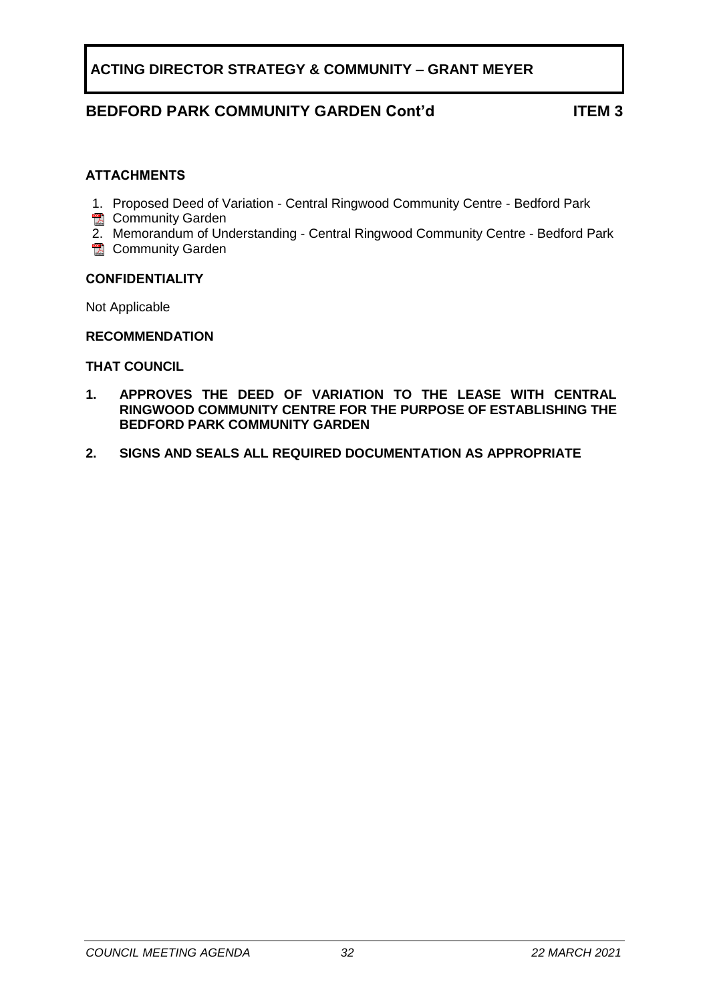### **BEDFORD PARK COMMUNITY GARDEN Cont'd ITEM 3**

#### **ATTACHMENTS**

- 1. Proposed Deed of Variation Central Ringwood Community Centre Bedford Park
- **R** Community Garden
- 2. Memorandum of Understanding Central Ringwood Community Centre Bedford Park
- **E** Community Garden

#### **CONFIDENTIALITY**

Not Applicable

#### **RECOMMENDATION**

#### **THAT COUNCIL**

- **1. APPROVES THE DEED OF VARIATION TO THE LEASE WITH CENTRAL RINGWOOD COMMUNITY CENTRE FOR THE PURPOSE OF ESTABLISHING THE BEDFORD PARK COMMUNITY GARDEN**
- **2. SIGNS AND SEALS ALL REQUIRED DOCUMENTATION AS APPROPRIATE**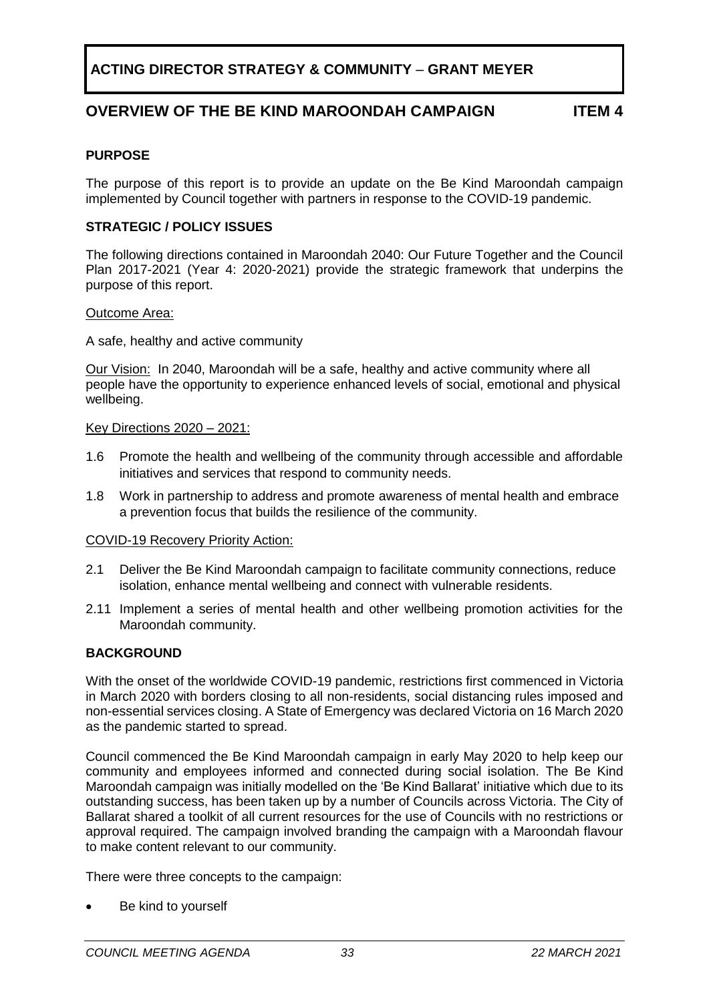### **OVERVIEW OF THE BE KIND MAROONDAH CAMPAIGN ITEM 4**

#### <span id="page-32-0"></span>**PURPOSE**

The purpose of this report is to provide an update on the Be Kind Maroondah campaign implemented by Council together with partners in response to the COVID-19 pandemic.

#### **STRATEGIC / POLICY ISSUES**

The following directions contained in Maroondah 2040: Our Future Together and the Council Plan 2017-2021 (Year 4: 2020-2021) provide the strategic framework that underpins the purpose of this report.

#### Outcome Area:

A safe, healthy and active community

Our Vision: In 2040, Maroondah will be a safe, healthy and active community where all people have the opportunity to experience enhanced levels of social, emotional and physical wellbeing.

#### Key Directions 2020 – 2021:

- 1.6 Promote the health and wellbeing of the community through accessible and affordable initiatives and services that respond to community needs.
- 1.8 Work in partnership to address and promote awareness of mental health and embrace a prevention focus that builds the resilience of the community.

#### COVID-19 Recovery Priority Action:

- 2.1 Deliver the Be Kind Maroondah campaign to facilitate community connections, reduce isolation, enhance mental wellbeing and connect with vulnerable residents.
- 2.11 Implement a series of mental health and other wellbeing promotion activities for the Maroondah community.

#### **BACKGROUND**

With the onset of the worldwide COVID-19 pandemic, restrictions first commenced in Victoria in March 2020 with borders closing to all non-residents, social distancing rules imposed and non-essential services closing. A State of Emergency was declared Victoria on 16 March 2020 as the pandemic started to spread.

Council commenced the Be Kind Maroondah campaign in early May 2020 to help keep our community and employees informed and connected during social isolation. The Be Kind Maroondah campaign was initially modelled on the 'Be Kind Ballarat' initiative which due to its outstanding success, has been taken up by a number of Councils across Victoria. The City of Ballarat shared a toolkit of all current resources for the use of Councils with no restrictions or approval required. The campaign involved branding the campaign with a Maroondah flavour to make content relevant to our community.

There were three concepts to the campaign:

Be kind to yourself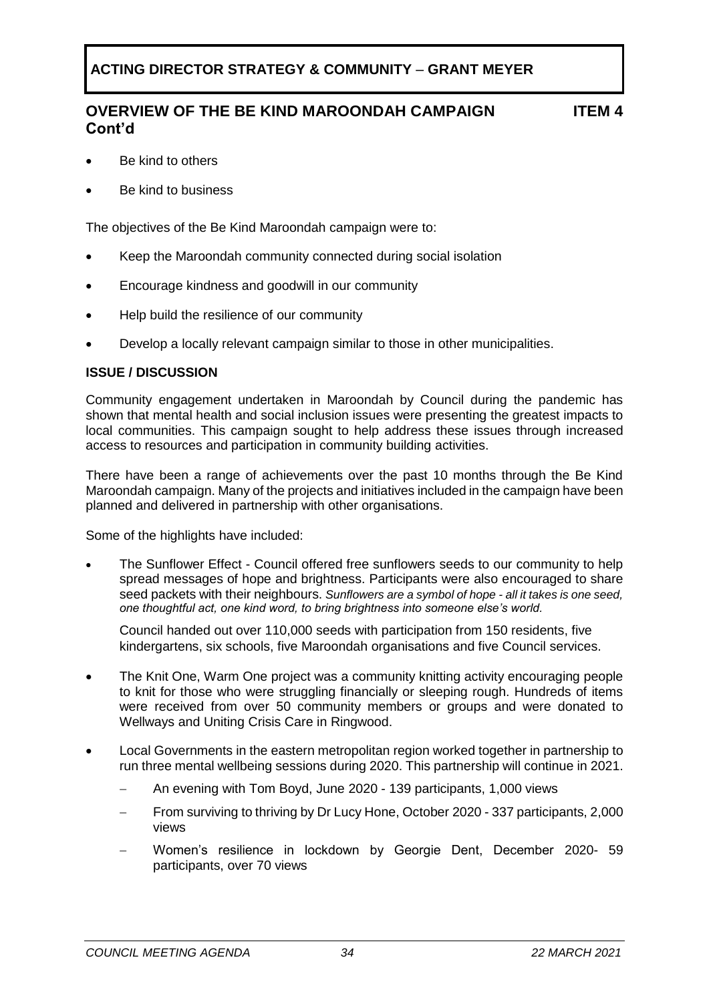## **OVERVIEW OF THE BE KIND MAROONDAH CAMPAIGN Cont'd**

- Be kind to others
- Be kind to business

The objectives of the Be Kind Maroondah campaign were to:

- Keep the Maroondah community connected during social isolation
- Encourage kindness and goodwill in our community
- Help build the resilience of our community
- Develop a locally relevant campaign similar to those in other municipalities.

#### **ISSUE / DISCUSSION**

Community engagement undertaken in Maroondah by Council during the pandemic has shown that mental health and social inclusion issues were presenting the greatest impacts to local communities. This campaign sought to help address these issues through increased access to resources and participation in community building activities.

There have been a range of achievements over the past 10 months through the Be Kind Maroondah campaign. Many of the projects and initiatives included in the campaign have been planned and delivered in partnership with other organisations.

Some of the highlights have included:

• The Sunflower Effect - Council offered free sunflowers seeds to our community to help spread messages of hope and brightness. Participants were also encouraged to share seed packets with their neighbours. *Sunflowers are a symbol of hope - all it takes is one seed, one thoughtful act, one kind word, to bring brightness into someone else's world.* 

Council handed out over 110,000 seeds with participation from 150 residents, five kindergartens, six schools, five Maroondah organisations and five Council services.

- The Knit One, Warm One project was a community knitting activity encouraging people to knit for those who were struggling financially or sleeping rough. Hundreds of items were received from over 50 community members or groups and were donated to Wellways and Uniting Crisis Care in Ringwood.
- Local Governments in the eastern metropolitan region worked together in partnership to run three mental wellbeing sessions during 2020. This partnership will continue in 2021.
	- − An evening with Tom Boyd, June 2020 139 participants, 1,000 views
	- − From surviving to thriving by Dr Lucy Hone, October 2020 337 participants, 2,000 views
	- − Women's resilience in lockdown by Georgie Dent, December 2020- 59 participants, over 70 views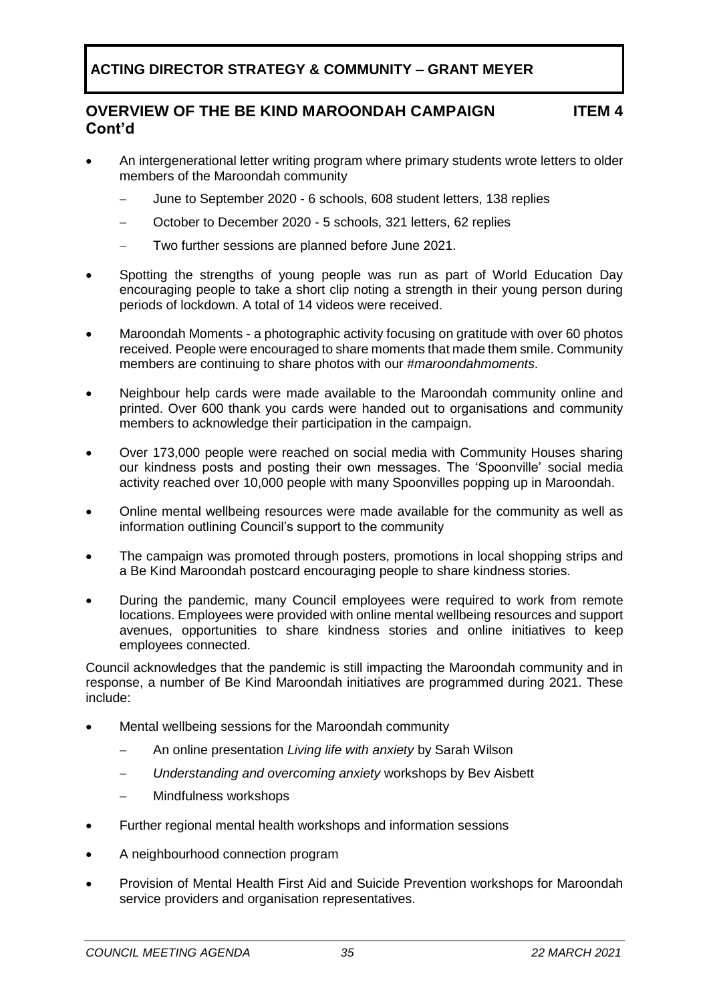### **OVERVIEW OF THE BE KIND MAROONDAH CAMPAIGN Cont'd**

- An intergenerational letter writing program where primary students wrote letters to older members of the Maroondah community
	- − June to September 2020 6 schools, 608 student letters, 138 replies
	- − October to December 2020 5 schools, 321 letters, 62 replies
	- − Two further sessions are planned before June 2021.
- Spotting the strengths of young people was run as part of World Education Day encouraging people to take a short clip noting a strength in their young person during periods of lockdown. A total of 14 videos were received.
- Maroondah Moments a photographic activity focusing on gratitude with over 60 photos received. People were encouraged to share moments that made them smile. Community members are continuing to share photos with our *#maroondahmoments*.
- Neighbour help cards were made available to the Maroondah community online and printed. Over 600 thank you cards were handed out to organisations and community members to acknowledge their participation in the campaign.
- Over 173,000 people were reached on social media with Community Houses sharing our kindness posts and posting their own messages. The 'Spoonville' social media activity reached over 10,000 people with many Spoonvilles popping up in Maroondah.
- Online mental wellbeing resources were made available for the community as well as information outlining Council's support to the community
- The campaign was promoted through posters, promotions in local shopping strips and a Be Kind Maroondah postcard encouraging people to share kindness stories.
- During the pandemic, many Council employees were required to work from remote locations. Employees were provided with online mental wellbeing resources and support avenues, opportunities to share kindness stories and online initiatives to keep employees connected.

Council acknowledges that the pandemic is still impacting the Maroondah community and in response, a number of Be Kind Maroondah initiatives are programmed during 2021. These include:

- Mental wellbeing sessions for the Maroondah community
	- − An online presentation *Living life with anxiety* by Sarah Wilson
	- − *Understanding and overcoming anxiety* workshops by Bev Aisbett
	- − Mindfulness workshops
- Further regional mental health workshops and information sessions
- A neighbourhood connection program
- Provision of Mental Health First Aid and Suicide Prevention workshops for Maroondah service providers and organisation representatives.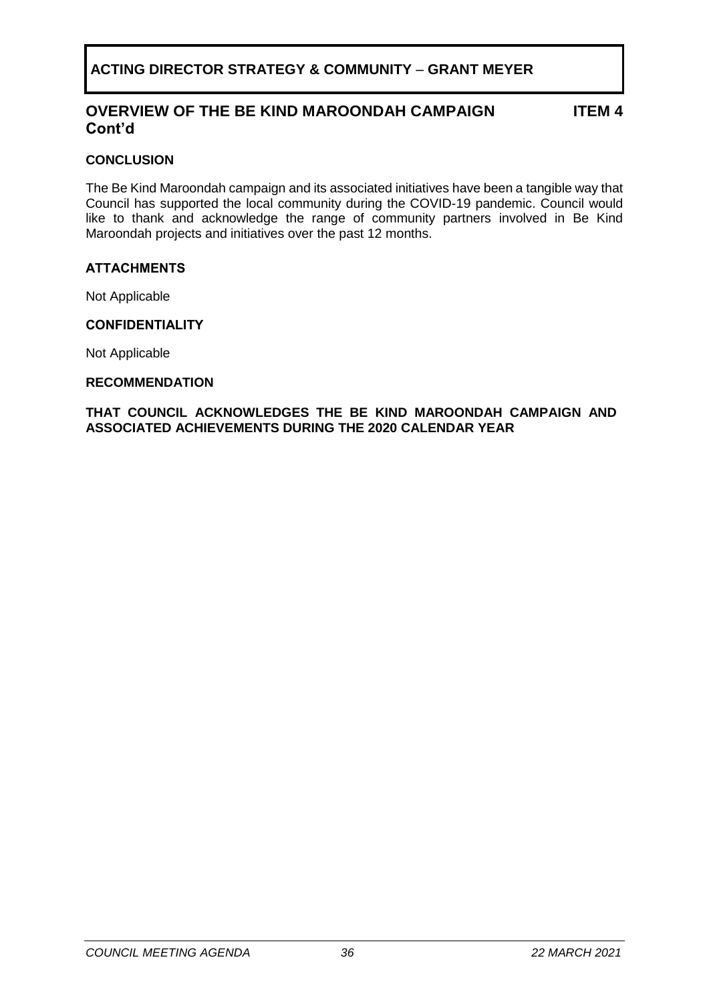### **OVERVIEW OF THE BE KIND MAROONDAH CAMPAIGN Cont'd**

**ITEM 4**

#### **CONCLUSION**

The Be Kind Maroondah campaign and its associated initiatives have been a tangible way that Council has supported the local community during the COVID-19 pandemic. Council would like to thank and acknowledge the range of community partners involved in Be Kind Maroondah projects and initiatives over the past 12 months.

#### **ATTACHMENTS**

Not Applicable

#### **CONFIDENTIALITY**

Not Applicable

#### **RECOMMENDATION**

**THAT COUNCIL ACKNOWLEDGES THE BE KIND MAROONDAH CAMPAIGN AND ASSOCIATED ACHIEVEMENTS DURING THE 2020 CALENDAR YEAR**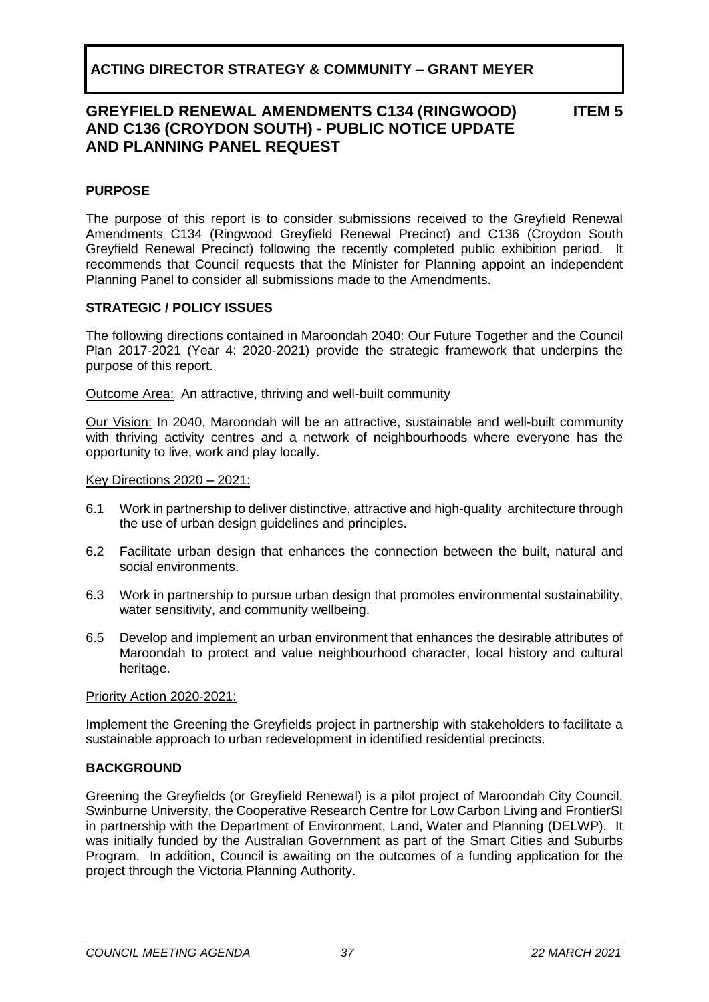**ITEM 5**

### <span id="page-36-0"></span>**PURPOSE**

The purpose of this report is to consider submissions received to the Greyfield Renewal Amendments C134 (Ringwood Greyfield Renewal Precinct) and C136 (Croydon South Greyfield Renewal Precinct) following the recently completed public exhibition period. It recommends that Council requests that the Minister for Planning appoint an independent Planning Panel to consider all submissions made to the Amendments.

#### **STRATEGIC / POLICY ISSUES**

The following directions contained in Maroondah 2040: Our Future Together and the Council Plan 2017-2021 (Year 4: 2020-2021) provide the strategic framework that underpins the purpose of this report.

Outcome Area:An attractive, thriving and well-built community

Our Vision: In 2040, Maroondah will be an attractive, sustainable and well-built community with thriving activity centres and a network of neighbourhoods where everyone has the opportunity to live, work and play locally.

#### Key Directions 2020 – 2021:

- 6.1 Work in partnership to deliver distinctive, attractive and high-quality architecture through the use of urban design guidelines and principles.
- 6.2 Facilitate urban design that enhances the connection between the built, natural and social environments.
- 6.3 Work in partnership to pursue urban design that promotes environmental sustainability, water sensitivity, and community wellbeing.
- 6.5 Develop and implement an urban environment that enhances the desirable attributes of Maroondah to protect and value neighbourhood character, local history and cultural heritage.

#### Priority Action 2020-2021:

Implement the Greening the Greyfields project in partnership with stakeholders to facilitate a sustainable approach to urban redevelopment in identified residential precincts.

### **BACKGROUND**

Greening the Greyfields (or Greyfield Renewal) is a pilot project of Maroondah City Council, Swinburne University, the Cooperative Research Centre for Low Carbon Living and FrontierSI in partnership with the Department of Environment, Land, Water and Planning (DELWP). It was initially funded by the Australian Government as part of the Smart Cities and Suburbs Program. In addition, Council is awaiting on the outcomes of a funding application for the project through the Victoria Planning Authority.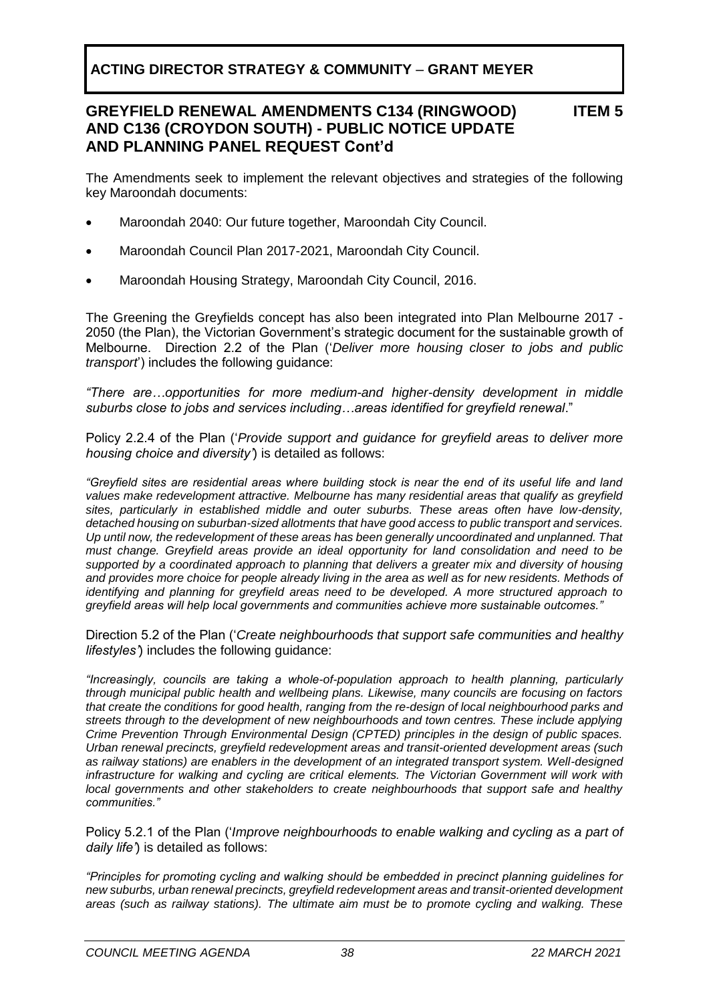#### **GREYFIELD RENEWAL AMENDMENTS C134 (RINGWOOD) AND C136 (CROYDON SOUTH) - PUBLIC NOTICE UPDATE AND PLANNING PANEL REQUEST Cont'd ITEM 5**

The Amendments seek to implement the relevant objectives and strategies of the following key Maroondah documents:

- Maroondah 2040: Our future together, Maroondah City Council.
- Maroondah Council Plan 2017-2021, Maroondah City Council.
- Maroondah Housing Strategy, Maroondah City Council, 2016.

The Greening the Greyfields concept has also been integrated into Plan Melbourne 2017 - 2050 (the Plan), the Victorian Government's strategic document for the sustainable growth of Melbourne. Direction 2.2 of the Plan ('*Deliver more housing closer to jobs and public transport*') includes the following guidance:

*"There are…opportunities for more medium-and higher-density development in middle suburbs close to jobs and services including…areas identified for greyfield renewal*."

Policy 2.2.4 of the Plan ('*Provide support and guidance for greyfield areas to deliver more housing choice and diversity'*) is detailed as follows:

*"Greyfield sites are residential areas where building stock is near the end of its useful life and land values make redevelopment attractive. Melbourne has many residential areas that qualify as greyfield sites, particularly in established middle and outer suburbs. These areas often have low-density, detached housing on suburban-sized allotments that have good access to public transport and services. Up until now, the redevelopment of these areas has been generally uncoordinated and unplanned. That must change. Greyfield areas provide an ideal opportunity for land consolidation and need to be supported by a coordinated approach to planning that delivers a greater mix and diversity of housing and provides more choice for people already living in the area as well as for new residents. Methods of identifying and planning for greyfield areas need to be developed. A more structured approach to greyfield areas will help local governments and communities achieve more sustainable outcomes."*

Direction 5.2 of the Plan ('*Create neighbourhoods that support safe communities and healthy lifestyles'*) includes the following guidance:

*"Increasingly, councils are taking a whole-of-population approach to health planning, particularly through municipal public health and wellbeing plans. Likewise, many councils are focusing on factors that create the conditions for good health, ranging from the re-design of local neighbourhood parks and streets through to the development of new neighbourhoods and town centres. These include applying Crime Prevention Through Environmental Design (CPTED) principles in the design of public spaces. Urban renewal precincts, greyfield redevelopment areas and transit-oriented development areas (such as railway stations) are enablers in the development of an integrated transport system. Well-designed infrastructure for walking and cycling are critical elements. The Victorian Government will work with local governments and other stakeholders to create neighbourhoods that support safe and healthy communities."*

Policy 5.2.1 of the Plan ('*Improve neighbourhoods to enable walking and cycling as a part of daily life'*) is detailed as follows:

*"Principles for promoting cycling and walking should be embedded in precinct planning guidelines for new suburbs, urban renewal precincts, greyfield redevelopment areas and transit-oriented development areas (such as railway stations). The ultimate aim must be to promote cycling and walking. These*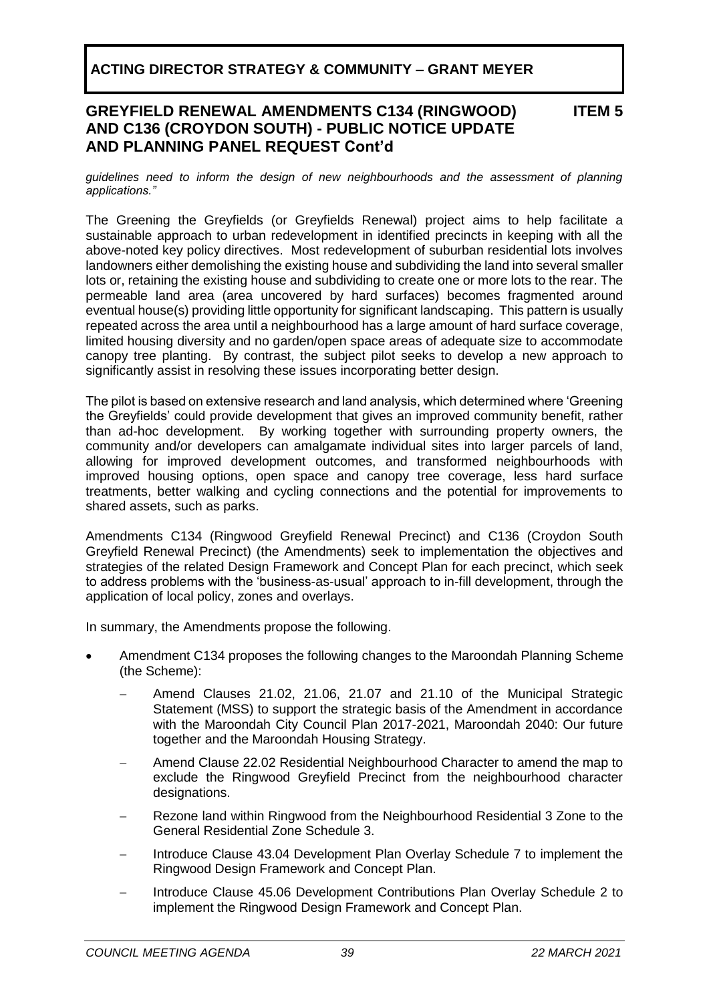### **GREYFIELD RENEWAL AMENDMENTS C134 (RINGWOOD) AND C136 (CROYDON SOUTH) - PUBLIC NOTICE UPDATE AND PLANNING PANEL REQUEST Cont'd**

#### **ITEM 5**

*guidelines need to inform the design of new neighbourhoods and the assessment of planning applications."*

The Greening the Greyfields (or Greyfields Renewal) project aims to help facilitate a sustainable approach to urban redevelopment in identified precincts in keeping with all the above-noted key policy directives. Most redevelopment of suburban residential lots involves landowners either demolishing the existing house and subdividing the land into several smaller lots or, retaining the existing house and subdividing to create one or more lots to the rear. The permeable land area (area uncovered by hard surfaces) becomes fragmented around eventual house(s) providing little opportunity for significant landscaping. This pattern is usually repeated across the area until a neighbourhood has a large amount of hard surface coverage, limited housing diversity and no garden/open space areas of adequate size to accommodate canopy tree planting. By contrast, the subject pilot seeks to develop a new approach to significantly assist in resolving these issues incorporating better design.

The pilot is based on extensive research and land analysis, which determined where 'Greening the Greyfields' could provide development that gives an improved community benefit, rather than ad-hoc development. By working together with surrounding property owners, the community and/or developers can amalgamate individual sites into larger parcels of land, allowing for improved development outcomes, and transformed neighbourhoods with improved housing options, open space and canopy tree coverage, less hard surface treatments, better walking and cycling connections and the potential for improvements to shared assets, such as parks.

Amendments C134 (Ringwood Greyfield Renewal Precinct) and C136 (Croydon South Greyfield Renewal Precinct) (the Amendments) seek to implementation the objectives and strategies of the related Design Framework and Concept Plan for each precinct, which seek to address problems with the 'business-as-usual' approach to in-fill development, through the application of local policy, zones and overlays.

In summary, the Amendments propose the following.

- Amendment C134 proposes the following changes to the Maroondah Planning Scheme (the Scheme):
	- − Amend Clauses 21.02, 21.06, 21.07 and 21.10 of the Municipal Strategic Statement (MSS) to support the strategic basis of the Amendment in accordance with the Maroondah City Council Plan 2017-2021, Maroondah 2040: Our future together and the Maroondah Housing Strategy.
	- − Amend Clause 22.02 Residential Neighbourhood Character to amend the map to exclude the Ringwood Greyfield Precinct from the neighbourhood character designations.
	- − Rezone land within Ringwood from the Neighbourhood Residential 3 Zone to the General Residential Zone Schedule 3.
	- − Introduce Clause 43.04 Development Plan Overlay Schedule 7 to implement the Ringwood Design Framework and Concept Plan.
	- − Introduce Clause 45.06 Development Contributions Plan Overlay Schedule 2 to implement the Ringwood Design Framework and Concept Plan.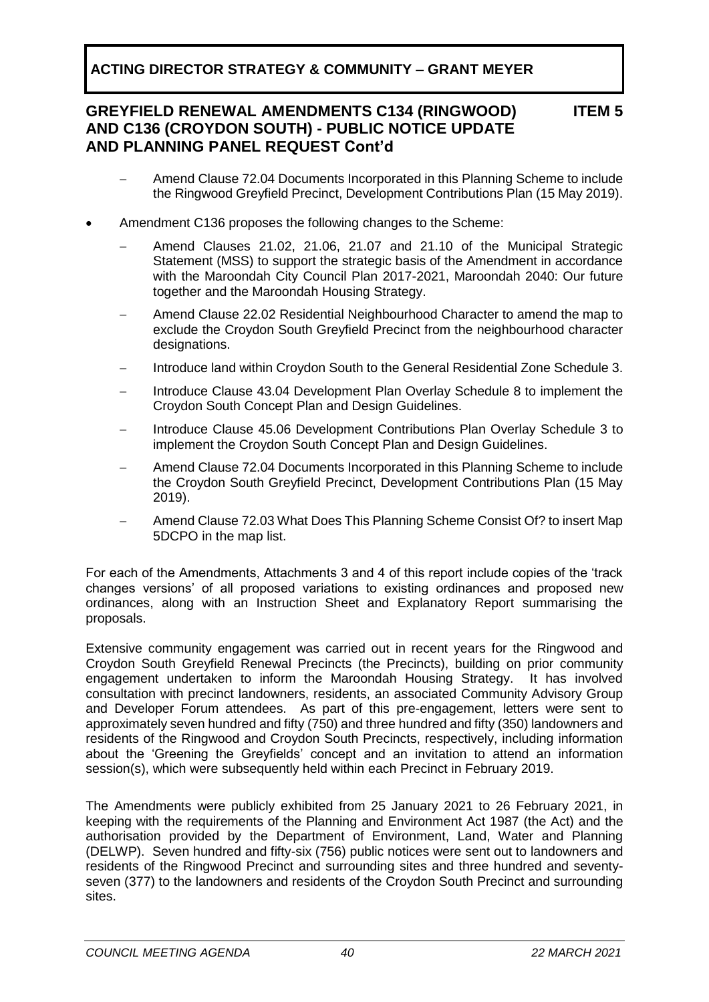### **GREYFIELD RENEWAL AMENDMENTS C134 (RINGWOOD) AND C136 (CROYDON SOUTH) - PUBLIC NOTICE UPDATE AND PLANNING PANEL REQUEST Cont'd**

### **ITEM 5**

- − Amend Clause 72.04 Documents Incorporated in this Planning Scheme to include the Ringwood Greyfield Precinct, Development Contributions Plan (15 May 2019).
- Amendment C136 proposes the following changes to the Scheme:
	- − Amend Clauses 21.02, 21.06, 21.07 and 21.10 of the Municipal Strategic Statement (MSS) to support the strategic basis of the Amendment in accordance with the Maroondah City Council Plan 2017-2021, Maroondah 2040: Our future together and the Maroondah Housing Strategy.
	- − Amend Clause 22.02 Residential Neighbourhood Character to amend the map to exclude the Croydon South Greyfield Precinct from the neighbourhood character designations.
	- − Introduce land within Croydon South to the General Residential Zone Schedule 3.
	- − Introduce Clause 43.04 Development Plan Overlay Schedule 8 to implement the Croydon South Concept Plan and Design Guidelines.
	- − Introduce Clause 45.06 Development Contributions Plan Overlay Schedule 3 to implement the Croydon South Concept Plan and Design Guidelines.
	- − Amend Clause 72.04 Documents Incorporated in this Planning Scheme to include the Croydon South Greyfield Precinct, Development Contributions Plan (15 May 2019).
	- − Amend Clause 72.03 What Does This Planning Scheme Consist Of? to insert Map 5DCPO in the map list.

For each of the Amendments, Attachments 3 and 4 of this report include copies of the 'track changes versions' of all proposed variations to existing ordinances and proposed new ordinances, along with an Instruction Sheet and Explanatory Report summarising the proposals.

Extensive community engagement was carried out in recent years for the Ringwood and Croydon South Greyfield Renewal Precincts (the Precincts), building on prior community engagement undertaken to inform the Maroondah Housing Strategy. It has involved consultation with precinct landowners, residents, an associated Community Advisory Group and Developer Forum attendees. As part of this pre-engagement, letters were sent to approximately seven hundred and fifty (750) and three hundred and fifty (350) landowners and residents of the Ringwood and Croydon South Precincts, respectively, including information about the 'Greening the Greyfields' concept and an invitation to attend an information session(s), which were subsequently held within each Precinct in February 2019.

The Amendments were publicly exhibited from 25 January 2021 to 26 February 2021, in keeping with the requirements of the Planning and Environment Act 1987 (the Act) and the authorisation provided by the Department of Environment, Land, Water and Planning (DELWP). Seven hundred and fifty-six (756) public notices were sent out to landowners and residents of the Ringwood Precinct and surrounding sites and three hundred and seventyseven (377) to the landowners and residents of the Croydon South Precinct and surrounding sites.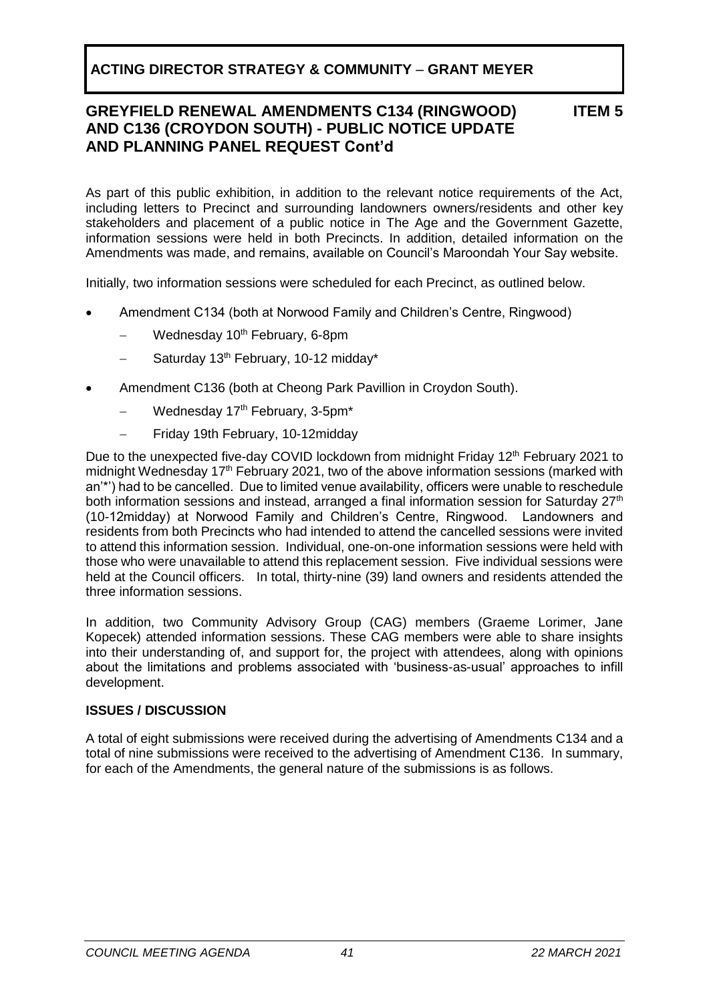### **GREYFIELD RENEWAL AMENDMENTS C134 (RINGWOOD) AND C136 (CROYDON SOUTH) - PUBLIC NOTICE UPDATE AND PLANNING PANEL REQUEST Cont'd**

**ITEM 5**

As part of this public exhibition, in addition to the relevant notice requirements of the Act, including letters to Precinct and surrounding landowners owners/residents and other key stakeholders and placement of a public notice in The Age and the Government Gazette, information sessions were held in both Precincts. In addition, detailed information on the Amendments was made, and remains, available on Council's Maroondah Your Say website.

Initially, two information sessions were scheduled for each Precinct, as outlined below.

- Amendment C134 (both at Norwood Family and Children's Centre, Ringwood)
	- Wednesday 10<sup>th</sup> February, 6-8pm
	- Saturday 13<sup>th</sup> February, 10-12 midday<sup>\*</sup>
- Amendment C136 (both at Cheong Park Pavillion in Croydon South).
	- − Wednesday 17th February, 3-5pm\*
	- − Friday 19th February, 10-12midday

Due to the unexpected five-day COVID lockdown from midnight Friday 12<sup>th</sup> February 2021 to midnight Wednesday 17<sup>th</sup> February 2021, two of the above information sessions (marked with an'\*') had to be cancelled. Due to limited venue availability, officers were unable to reschedule both information sessions and instead, arranged a final information session for Saturday 27<sup>th</sup> (10-12midday) at Norwood Family and Children's Centre, Ringwood. Landowners and residents from both Precincts who had intended to attend the cancelled sessions were invited to attend this information session. Individual, one-on-one information sessions were held with those who were unavailable to attend this replacement session. Five individual sessions were held at the Council officers. In total, thirty-nine (39) land owners and residents attended the three information sessions.

In addition, two Community Advisory Group (CAG) members (Graeme Lorimer, Jane Kopecek) attended information sessions. These CAG members were able to share insights into their understanding of, and support for, the project with attendees, along with opinions about the limitations and problems associated with 'business-as-usual' approaches to infill development.

### **ISSUES / DISCUSSION**

A total of eight submissions were received during the advertising of Amendments C134 and a total of nine submissions were received to the advertising of Amendment C136. In summary, for each of the Amendments, the general nature of the submissions is as follows.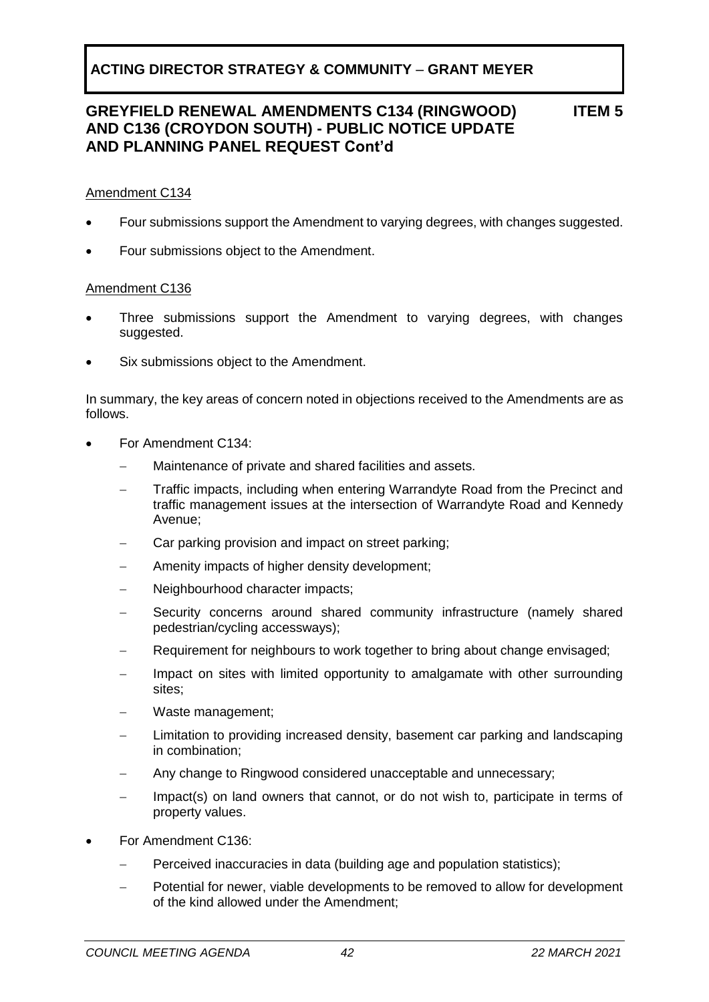**ITEM 5**

#### Amendment C134

- Four submissions support the Amendment to varying degrees, with changes suggested.
- Four submissions object to the Amendment.

#### Amendment C136

- Three submissions support the Amendment to varying degrees, with changes suggested.
- Six submissions object to the Amendment.

In summary, the key areas of concern noted in objections received to the Amendments are as follows.

- For Amendment C134:
	- Maintenance of private and shared facilities and assets.
	- Traffic impacts, including when entering Warrandyte Road from the Precinct and traffic management issues at the intersection of Warrandyte Road and Kennedy Avenue;
	- Car parking provision and impact on street parking:
	- Amenity impacts of higher density development;
	- − Neighbourhood character impacts;
	- Security concerns around shared community infrastructure (namely shared pedestrian/cycling accessways);
	- − Requirement for neighbours to work together to bring about change envisaged;
	- Impact on sites with limited opportunity to amalgamate with other surrounding sites;
	- − Waste management;
	- Limitation to providing increased density, basement car parking and landscaping in combination;
	- Any change to Ringwood considered unacceptable and unnecessary;
	- Impact(s) on land owners that cannot, or do not wish to, participate in terms of property values.
- For Amendment C136:
	- Perceived inaccuracies in data (building age and population statistics);
	- Potential for newer, viable developments to be removed to allow for development of the kind allowed under the Amendment;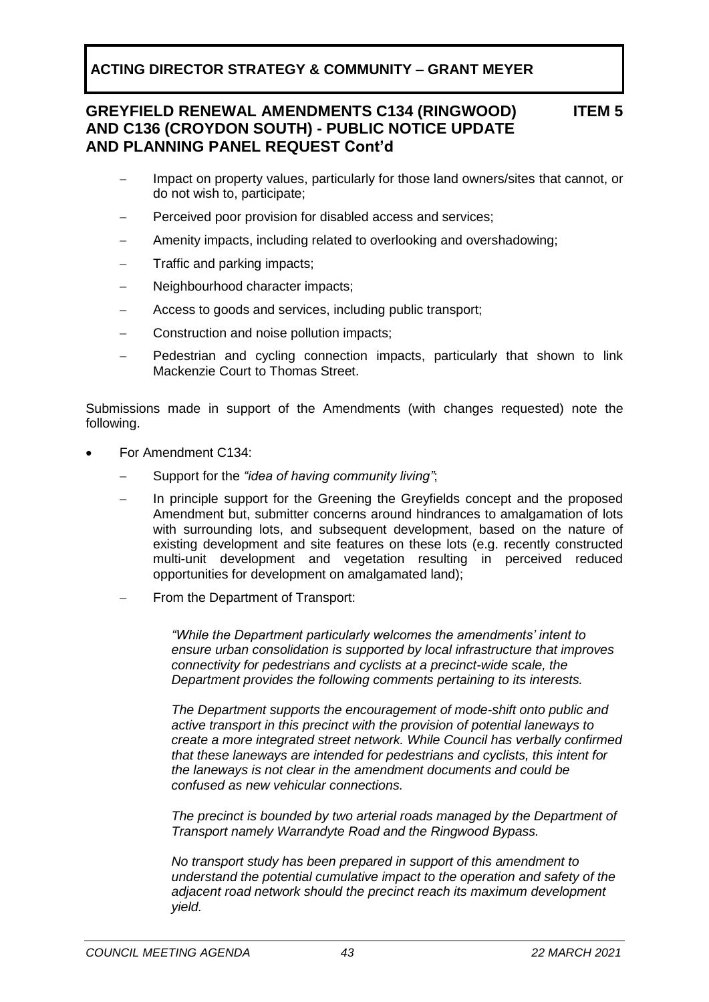### **GREYFIELD RENEWAL AMENDMENTS C134 (RINGWOOD) AND C136 (CROYDON SOUTH) - PUBLIC NOTICE UPDATE AND PLANNING PANEL REQUEST Cont'd**

**ITEM 5**

- − Impact on property values, particularly for those land owners/sites that cannot, or do not wish to, participate;
- Perceived poor provision for disabled access and services;
- Amenity impacts, including related to overlooking and overshadowing;
- − Traffic and parking impacts;
- − Neighbourhood character impacts;
- − Access to goods and services, including public transport;
- − Construction and noise pollution impacts;
- Pedestrian and cycling connection impacts, particularly that shown to link Mackenzie Court to Thomas Street.

Submissions made in support of the Amendments (with changes requested) note the following.

- For Amendment C134:
	- − Support for the *"idea of having community living"*;
	- In principle support for the Greening the Greyfields concept and the proposed Amendment but, submitter concerns around hindrances to amalgamation of lots with surrounding lots, and subsequent development, based on the nature of existing development and site features on these lots (e.g. recently constructed multi-unit development and vegetation resulting in perceived reduced opportunities for development on amalgamated land);
	- From the Department of Transport:

*"While the Department particularly welcomes the amendments' intent to ensure urban consolidation is supported by local infrastructure that improves connectivity for pedestrians and cyclists at a precinct-wide scale, the Department provides the following comments pertaining to its interests.*

*The Department supports the encouragement of mode-shift onto public and active transport in this precinct with the provision of potential laneways to create a more integrated street network. While Council has verbally confirmed that these laneways are intended for pedestrians and cyclists, this intent for the laneways is not clear in the amendment documents and could be confused as new vehicular connections.* 

*The precinct is bounded by two arterial roads managed by the Department of Transport namely Warrandyte Road and the Ringwood Bypass.* 

*No transport study has been prepared in support of this amendment to understand the potential cumulative impact to the operation and safety of the adjacent road network should the precinct reach its maximum development yield.*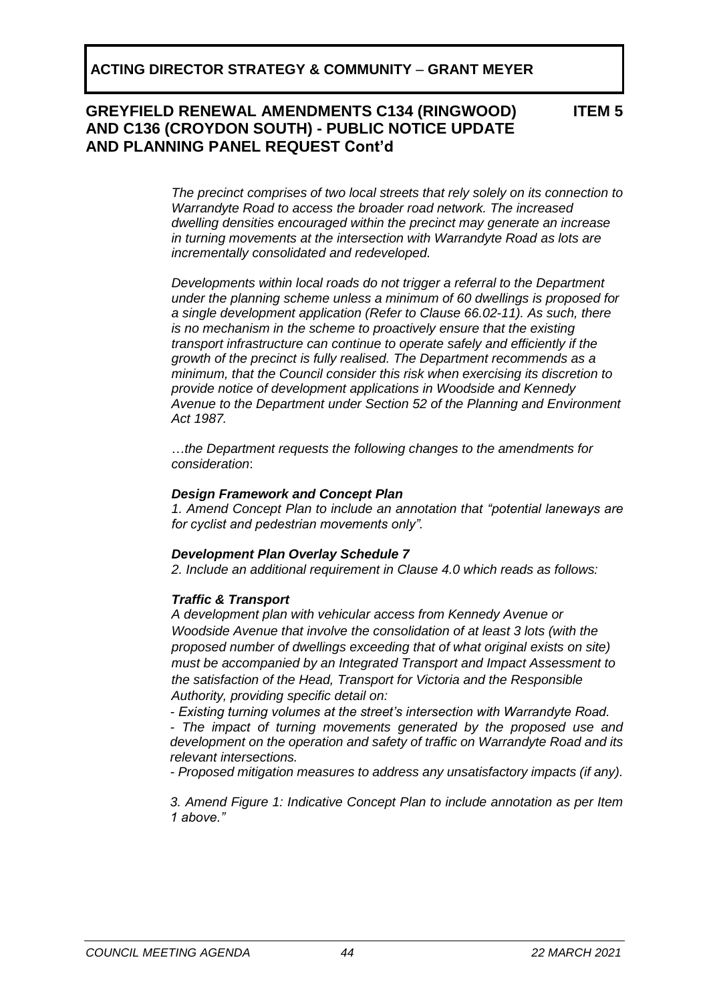**ITEM 5**

*The precinct comprises of two local streets that rely solely on its connection to Warrandyte Road to access the broader road network. The increased dwelling densities encouraged within the precinct may generate an increase in turning movements at the intersection with Warrandyte Road as lots are incrementally consolidated and redeveloped.* 

*Developments within local roads do not trigger a referral to the Department under the planning scheme unless a minimum of 60 dwellings is proposed for a single development application (Refer to Clause 66.02-11). As such, there is no mechanism in the scheme to proactively ensure that the existing transport infrastructure can continue to operate safely and efficiently if the growth of the precinct is fully realised. The Department recommends as a minimum, that the Council consider this risk when exercising its discretion to provide notice of development applications in Woodside and Kennedy Avenue to the Department under Section 52 of the Planning and Environment Act 1987.* 

…*the Department requests the following changes to the amendments for consideration*:

#### *Design Framework and Concept Plan*

*1. Amend Concept Plan to include an annotation that "potential laneways are for cyclist and pedestrian movements only".* 

### *Development Plan Overlay Schedule 7*

*2. Include an additional requirement in Clause 4.0 which reads as follows:* 

### *Traffic & Transport*

*A development plan with vehicular access from Kennedy Avenue or Woodside Avenue that involve the consolidation of at least 3 lots (with the proposed number of dwellings exceeding that of what original exists on site) must be accompanied by an Integrated Transport and Impact Assessment to the satisfaction of the Head, Transport for Victoria and the Responsible Authority, providing specific detail on:* 

*- Existing turning volumes at the street's intersection with Warrandyte Road. - The impact of turning movements generated by the proposed use and development on the operation and safety of traffic on Warrandyte Road and its relevant intersections.* 

*- Proposed mitigation measures to address any unsatisfactory impacts (if any).* 

*3. Amend Figure 1: Indicative Concept Plan to include annotation as per Item 1 above."*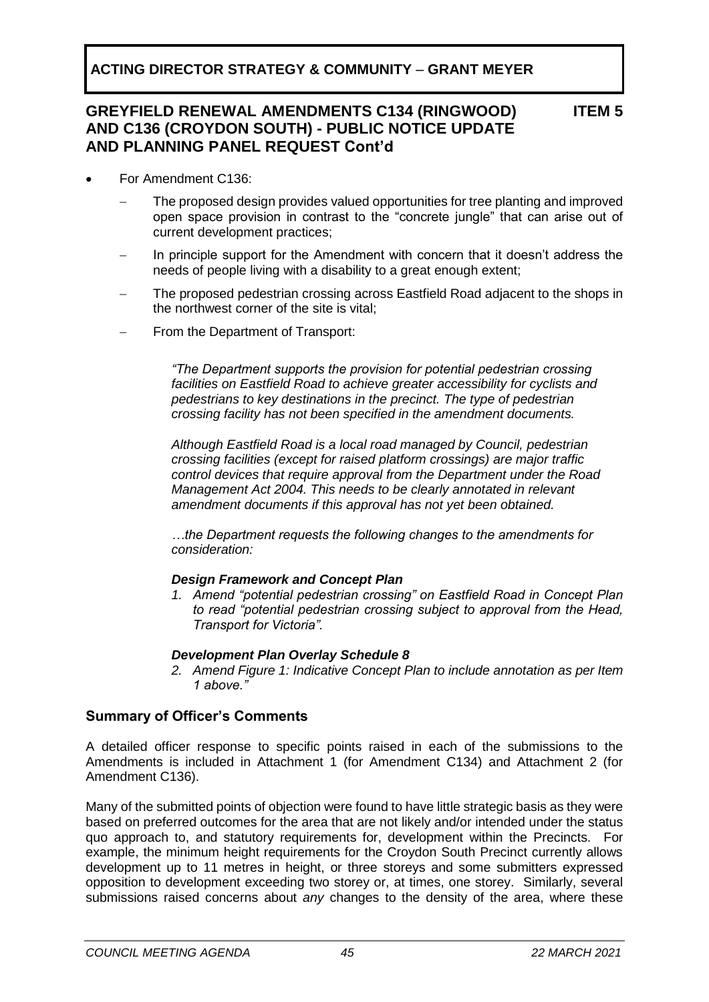**ITEM 5**

- For Amendment C136:
	- The proposed design provides valued opportunities for tree planting and improved open space provision in contrast to the "concrete jungle" that can arise out of current development practices;
	- In principle support for the Amendment with concern that it doesn't address the needs of people living with a disability to a great enough extent;
	- The proposed pedestrian crossing across Eastfield Road adjacent to the shops in the northwest corner of the site is vital;
	- From the Department of Transport:

*"The Department supports the provision for potential pedestrian crossing facilities on Eastfield Road to achieve greater accessibility for cyclists and pedestrians to key destinations in the precinct. The type of pedestrian crossing facility has not been specified in the amendment documents.* 

*Although Eastfield Road is a local road managed by Council, pedestrian crossing facilities (except for raised platform crossings) are major traffic control devices that require approval from the Department under the Road Management Act 2004. This needs to be clearly annotated in relevant amendment documents if this approval has not yet been obtained.* 

*…the Department requests the following changes to the amendments for consideration:*

#### *Design Framework and Concept Plan*

*1. Amend "potential pedestrian crossing" on Eastfield Road in Concept Plan to read "potential pedestrian crossing subject to approval from the Head, Transport for Victoria".* 

### *Development Plan Overlay Schedule 8*

*2. Amend Figure 1: Indicative Concept Plan to include annotation as per Item 1 above."*

### **Summary of Officer's Comments**

A detailed officer response to specific points raised in each of the submissions to the Amendments is included in Attachment 1 (for Amendment C134) and Attachment 2 (for Amendment C136).

Many of the submitted points of objection were found to have little strategic basis as they were based on preferred outcomes for the area that are not likely and/or intended under the status quo approach to, and statutory requirements for, development within the Precincts. For example, the minimum height requirements for the Croydon South Precinct currently allows development up to 11 metres in height, or three storeys and some submitters expressed opposition to development exceeding two storey or, at times, one storey. Similarly, several submissions raised concerns about *any* changes to the density of the area, where these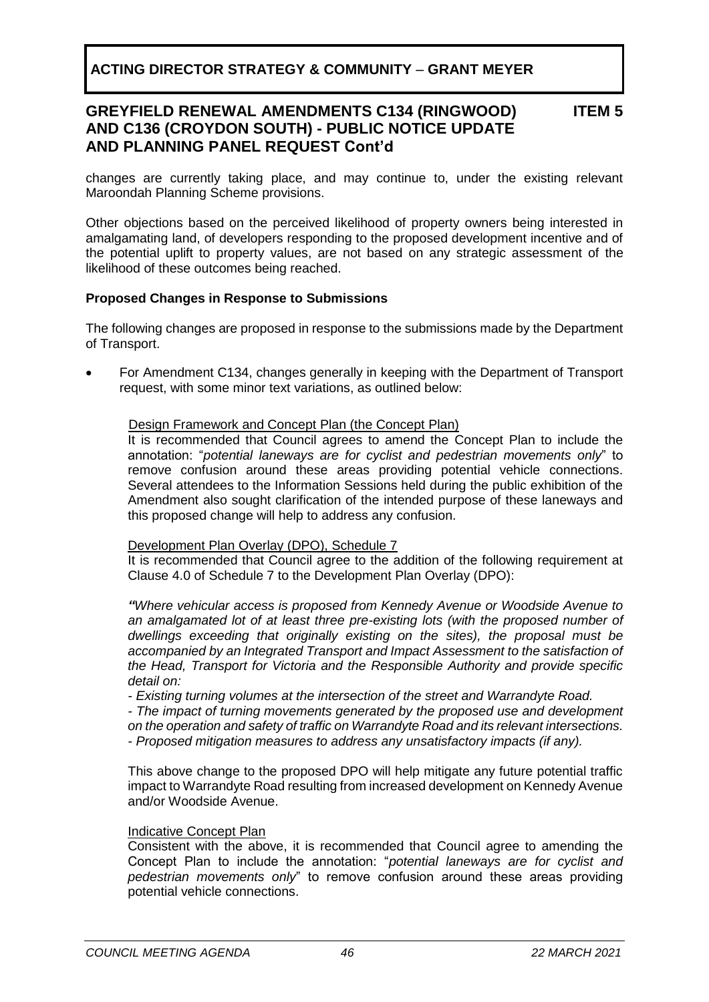#### **GREYFIELD RENEWAL AMENDMENTS C134 (RINGWOOD) AND C136 (CROYDON SOUTH) - PUBLIC NOTICE UPDATE AND PLANNING PANEL REQUEST Cont'd ITEM 5**

changes are currently taking place, and may continue to, under the existing relevant Maroondah Planning Scheme provisions.

Other objections based on the perceived likelihood of property owners being interested in amalgamating land, of developers responding to the proposed development incentive and of the potential uplift to property values, are not based on any strategic assessment of the likelihood of these outcomes being reached.

#### **Proposed Changes in Response to Submissions**

The following changes are proposed in response to the submissions made by the Department of Transport.

• For Amendment C134, changes generally in keeping with the Department of Transport request, with some minor text variations, as outlined below:

#### Design Framework and Concept Plan (the Concept Plan)

It is recommended that Council agrees to amend the Concept Plan to include the annotation: "*potential laneways are for cyclist and pedestrian movements only*" to remove confusion around these areas providing potential vehicle connections. Several attendees to the Information Sessions held during the public exhibition of the Amendment also sought clarification of the intended purpose of these laneways and this proposed change will help to address any confusion.

#### Development Plan Overlay (DPO), Schedule 7

It is recommended that Council agree to the addition of the following requirement at Clause 4.0 of Schedule 7 to the Development Plan Overlay (DPO):

*"Where vehicular access is proposed from Kennedy Avenue or Woodside Avenue to an amalgamated lot of at least three pre-existing lots (with the proposed number of dwellings exceeding that originally existing on the sites), the proposal must be accompanied by an Integrated Transport and Impact Assessment to the satisfaction of the Head, Transport for Victoria and the Responsible Authority and provide specific detail on:* 

*- Existing turning volumes at the intersection of the street and Warrandyte Road. - The impact of turning movements generated by the proposed use and development* 

*on the operation and safety of traffic on Warrandyte Road and its relevant intersections. - Proposed mitigation measures to address any unsatisfactory impacts (if any).* 

This above change to the proposed DPO will help mitigate any future potential traffic impact to Warrandyte Road resulting from increased development on Kennedy Avenue and/or Woodside Avenue.

#### Indicative Concept Plan

Consistent with the above, it is recommended that Council agree to amending the Concept Plan to include the annotation: "*potential laneways are for cyclist and pedestrian movements only*" to remove confusion around these areas providing potential vehicle connections.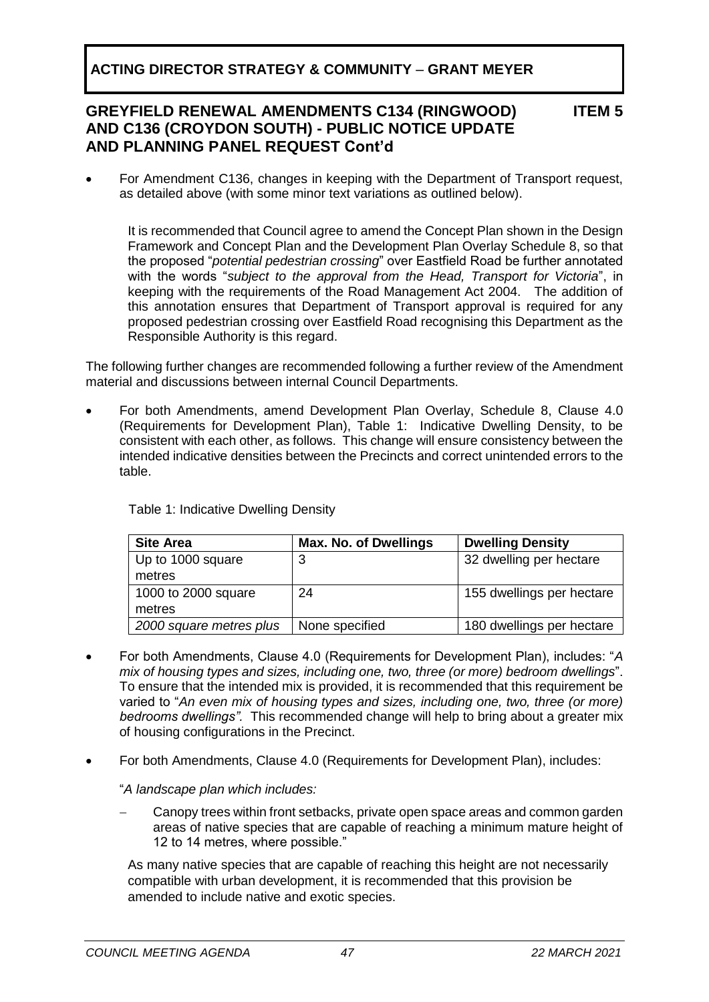### **GREYFIELD RENEWAL AMENDMENTS C134 (RINGWOOD) AND C136 (CROYDON SOUTH) - PUBLIC NOTICE UPDATE AND PLANNING PANEL REQUEST Cont'd**

#### **ITEM 5**

• For Amendment C136, changes in keeping with the Department of Transport request, as detailed above (with some minor text variations as outlined below).

It is recommended that Council agree to amend the Concept Plan shown in the Design Framework and Concept Plan and the Development Plan Overlay Schedule 8, so that the proposed "*potential pedestrian crossing*" over Eastfield Road be further annotated with the words "*subject to the approval from the Head, Transport for Victoria*", in keeping with the requirements of the Road Management Act 2004. The addition of this annotation ensures that Department of Transport approval is required for any proposed pedestrian crossing over Eastfield Road recognising this Department as the Responsible Authority is this regard.

The following further changes are recommended following a further review of the Amendment material and discussions between internal Council Departments.

• For both Amendments, amend Development Plan Overlay, Schedule 8, Clause 4.0 (Requirements for Development Plan), Table 1: Indicative Dwelling Density, to be consistent with each other, as follows. This change will ensure consistency between the intended indicative densities between the Precincts and correct unintended errors to the table.

| <b>Site Area</b>        | <b>Max. No. of Dwellings</b> | <b>Dwelling Density</b>   |
|-------------------------|------------------------------|---------------------------|
| Up to 1000 square       | 3                            | 32 dwelling per hectare   |
| metres                  |                              |                           |
| 1000 to 2000 square     | 24                           | 155 dwellings per hectare |
| metres                  |                              |                           |
| 2000 square metres plus | None specified               | 180 dwellings per hectare |

Table 1: Indicative Dwelling Density

- For both Amendments, Clause 4.0 (Requirements for Development Plan), includes: "*A mix of housing types and sizes, including one, two, three (or more) bedroom dwellings*". To ensure that the intended mix is provided, it is recommended that this requirement be varied to "*An even mix of housing types and sizes, including one, two, three (or more) bedrooms dwellings".* This recommended change will help to bring about a greater mix of housing configurations in the Precinct.
- For both Amendments, Clause 4.0 (Requirements for Development Plan), includes:

"*A landscape plan which includes:*

Canopy trees within front setbacks, private open space areas and common garden areas of native species that are capable of reaching a minimum mature height of 12 to 14 metres, where possible."

As many native species that are capable of reaching this height are not necessarily compatible with urban development, it is recommended that this provision be amended to include native and exotic species.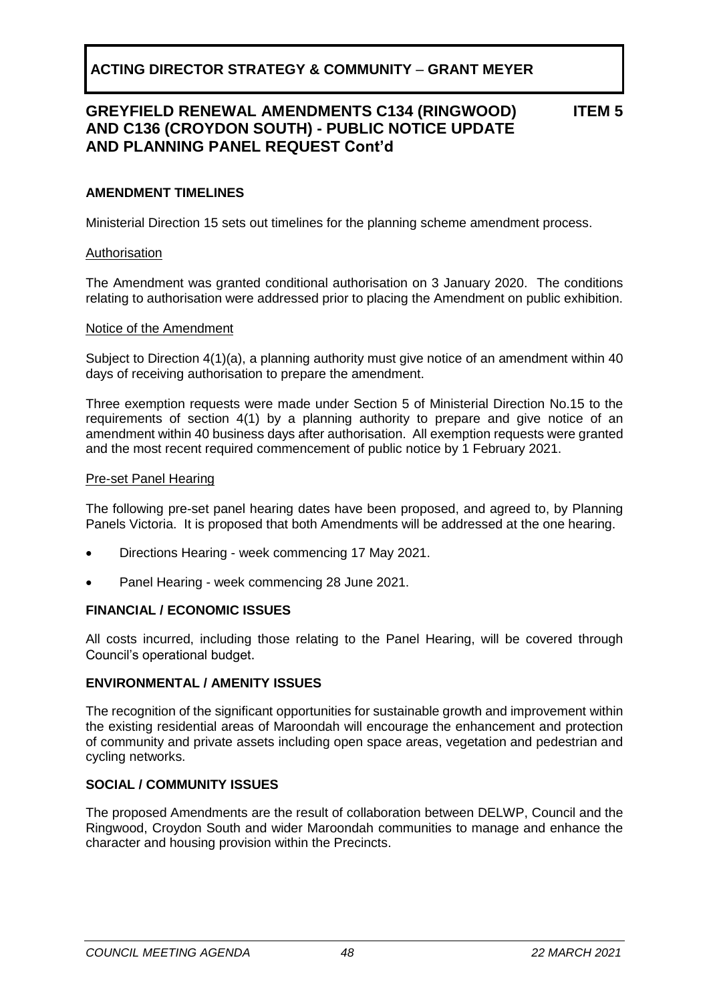**ITEM 5**

#### **AMENDMENT TIMELINES**

Ministerial Direction 15 sets out timelines for the planning scheme amendment process.

#### Authorisation

The Amendment was granted conditional authorisation on 3 January 2020. The conditions relating to authorisation were addressed prior to placing the Amendment on public exhibition.

#### Notice of the Amendment

Subject to Direction 4(1)(a), a planning authority must give notice of an amendment within 40 days of receiving authorisation to prepare the amendment.

Three exemption requests were made under Section 5 of Ministerial Direction No.15 to the requirements of section 4(1) by a planning authority to prepare and give notice of an amendment within 40 business days after authorisation. All exemption requests were granted and the most recent required commencement of public notice by 1 February 2021.

#### Pre-set Panel Hearing

The following pre-set panel hearing dates have been proposed, and agreed to, by Planning Panels Victoria. It is proposed that both Amendments will be addressed at the one hearing.

- Directions Hearing week commencing 17 May 2021.
- Panel Hearing week commencing 28 June 2021.

#### **FINANCIAL / ECONOMIC ISSUES**

All costs incurred, including those relating to the Panel Hearing, will be covered through Council's operational budget.

#### **ENVIRONMENTAL / AMENITY ISSUES**

The recognition of the significant opportunities for sustainable growth and improvement within the existing residential areas of Maroondah will encourage the enhancement and protection of community and private assets including open space areas, vegetation and pedestrian and cycling networks.

#### **SOCIAL / COMMUNITY ISSUES**

The proposed Amendments are the result of collaboration between DELWP, Council and the Ringwood, Croydon South and wider Maroondah communities to manage and enhance the character and housing provision within the Precincts.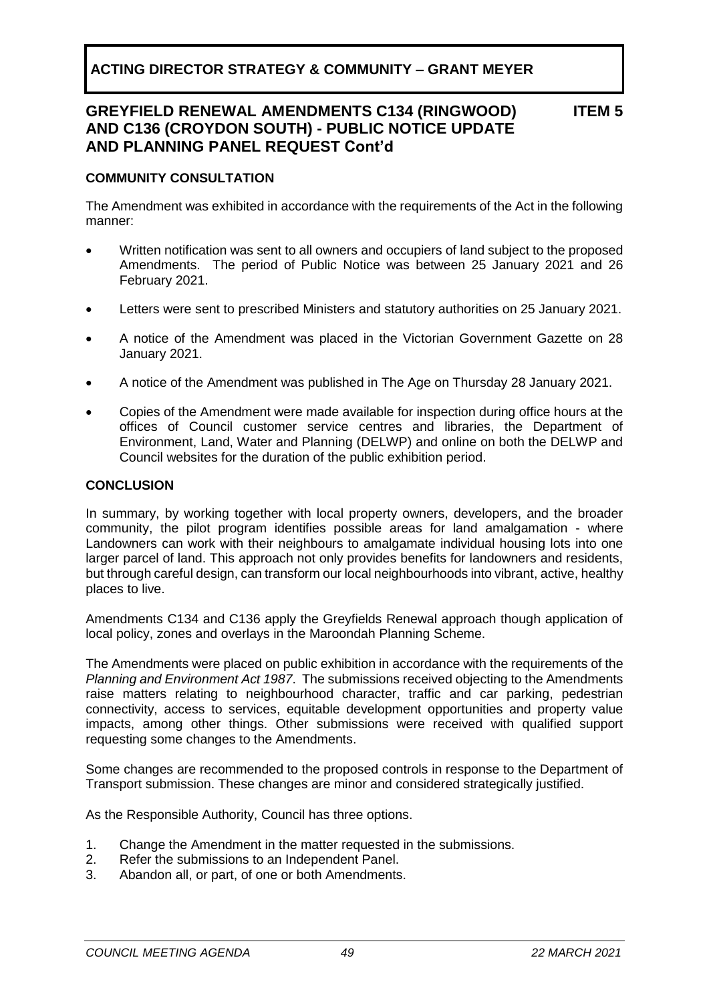**ITEM 5**

#### **COMMUNITY CONSULTATION**

The Amendment was exhibited in accordance with the requirements of the Act in the following manner:

- Written notification was sent to all owners and occupiers of land subject to the proposed Amendments. The period of Public Notice was between 25 January 2021 and 26 February 2021.
- Letters were sent to prescribed Ministers and statutory authorities on 25 January 2021.
- A notice of the Amendment was placed in the Victorian Government Gazette on 28 January 2021.
- A notice of the Amendment was published in The Age on Thursday 28 January 2021.
- Copies of the Amendment were made available for inspection during office hours at the offices of Council customer service centres and libraries, the Department of Environment, Land, Water and Planning (DELWP) and online on both the DELWP and Council websites for the duration of the public exhibition period.

#### **CONCLUSION**

In summary, by working together with local property owners, developers, and the broader community, the pilot program identifies possible areas for land amalgamation - where Landowners can work with their neighbours to amalgamate individual housing lots into one larger parcel of land. This approach not only provides benefits for landowners and residents, but through careful design, can transform our local neighbourhoods into vibrant, active, healthy places to live.

Amendments C134 and C136 apply the Greyfields Renewal approach though application of local policy, zones and overlays in the Maroondah Planning Scheme.

The Amendments were placed on public exhibition in accordance with the requirements of the *Planning and Environment Act 1987*. The submissions received objecting to the Amendments raise matters relating to neighbourhood character, traffic and car parking, pedestrian connectivity, access to services, equitable development opportunities and property value impacts, among other things. Other submissions were received with qualified support requesting some changes to the Amendments.

Some changes are recommended to the proposed controls in response to the Department of Transport submission. These changes are minor and considered strategically justified.

As the Responsible Authority, Council has three options.

- 1. Change the Amendment in the matter requested in the submissions.
- 2. Refer the submissions to an Independent Panel.
- 3. Abandon all, or part, of one or both Amendments.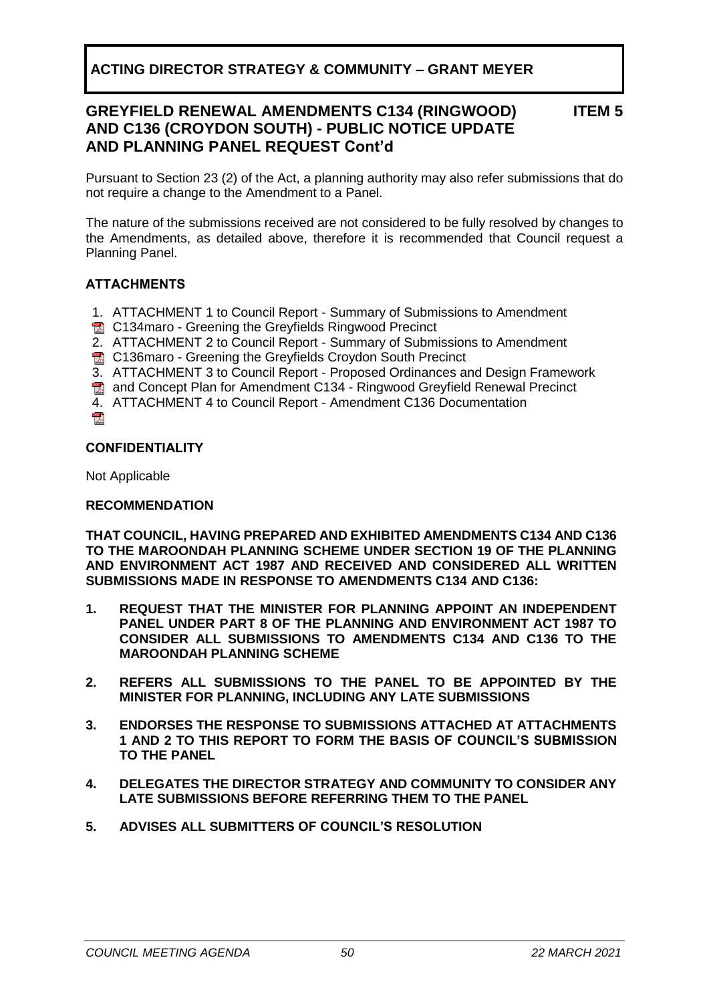**ITEM 5**

Pursuant to Section 23 (2) of the Act, a planning authority may also refer submissions that do not require a change to the Amendment to a Panel.

The nature of the submissions received are not considered to be fully resolved by changes to the Amendments, as detailed above, therefore it is recommended that Council request a Planning Panel.

### **ATTACHMENTS**

- 1. ATTACHMENT 1 to Council Report Summary of Submissions to Amendment
- **A** C134maro Greening the Greyfields Ringwood Precinct
- 2. ATTACHMENT 2 to Council Report Summary of Submissions to Amendment
- **图 C136maro Greening the Greyfields Croydon South Precinct**
- 3. ATTACHMENT 3 to Council Report Proposed Ordinances and Design Framework
- **Th** and Concept Plan for Amendment C134 Ringwood Greyfield Renewal Precinct
- 4. ATTACHMENT 4 to Council Report Amendment C136 Documentation
- $\mathbb{R}^n$

#### **CONFIDENTIALITY**

Not Applicable

#### **RECOMMENDATION**

**THAT COUNCIL, HAVING PREPARED AND EXHIBITED AMENDMENTS C134 AND C136 TO THE MAROONDAH PLANNING SCHEME UNDER SECTION 19 OF THE PLANNING AND ENVIRONMENT ACT 1987 AND RECEIVED AND CONSIDERED ALL WRITTEN SUBMISSIONS MADE IN RESPONSE TO AMENDMENTS C134 AND C136:**

- **1. REQUEST THAT THE MINISTER FOR PLANNING APPOINT AN INDEPENDENT PANEL UNDER PART 8 OF THE PLANNING AND ENVIRONMENT ACT 1987 TO CONSIDER ALL SUBMISSIONS TO AMENDMENTS C134 AND C136 TO THE MAROONDAH PLANNING SCHEME**
- **2. REFERS ALL SUBMISSIONS TO THE PANEL TO BE APPOINTED BY THE MINISTER FOR PLANNING, INCLUDING ANY LATE SUBMISSIONS**
- **3. ENDORSES THE RESPONSE TO SUBMISSIONS ATTACHED AT ATTACHMENTS 1 AND 2 TO THIS REPORT TO FORM THE BASIS OF COUNCIL'S SUBMISSION TO THE PANEL**
- **4. DELEGATES THE DIRECTOR STRATEGY AND COMMUNITY TO CONSIDER ANY LATE SUBMISSIONS BEFORE REFERRING THEM TO THE PANEL**
- **5. ADVISES ALL SUBMITTERS OF COUNCIL'S RESOLUTION**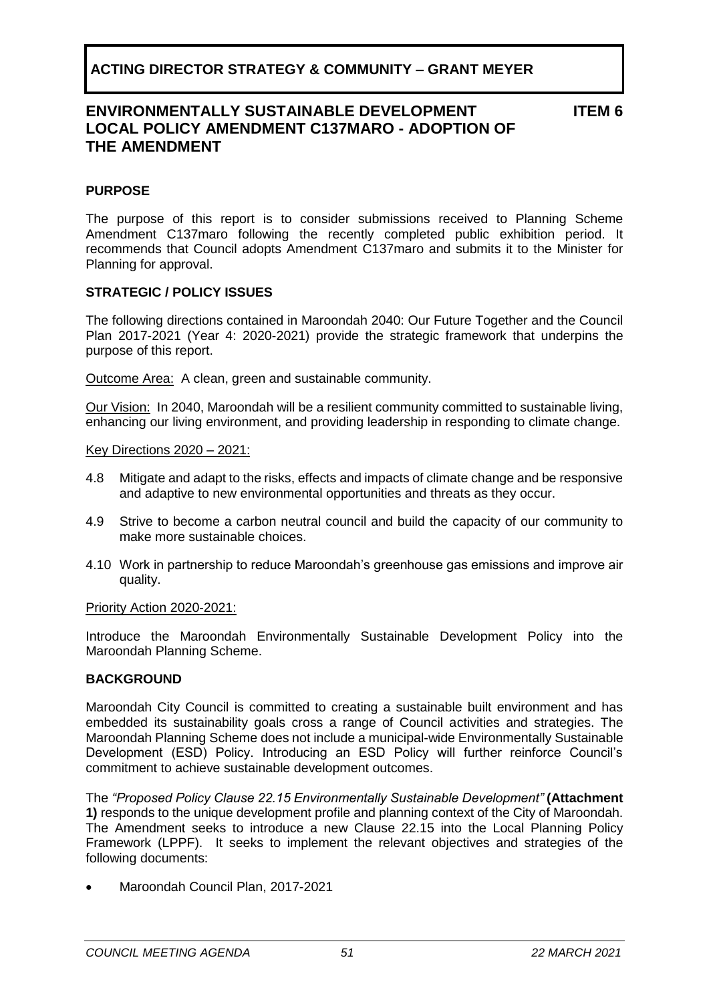### **ENVIRONMENTALLY SUSTAINABLE DEVELOPMENT LOCAL POLICY AMENDMENT C137MARO - ADOPTION OF THE AMENDMENT**

**ITEM 6**

#### <span id="page-50-0"></span>**PURPOSE**

The purpose of this report is to consider submissions received to Planning Scheme Amendment C137maro following the recently completed public exhibition period. It recommends that Council adopts Amendment C137maro and submits it to the Minister for Planning for approval.

#### **STRATEGIC / POLICY ISSUES**

The following directions contained in Maroondah 2040: Our Future Together and the Council Plan 2017-2021 (Year 4: 2020-2021) provide the strategic framework that underpins the purpose of this report.

Outcome Area:A clean, green and sustainable community.

Our Vision:In 2040, Maroondah will be a resilient community committed to sustainable living, enhancing our living environment, and providing leadership in responding to climate change.

#### Key Directions 2020 – 2021:

- 4.8 Mitigate and adapt to the risks, effects and impacts of climate change and be responsive and adaptive to new environmental opportunities and threats as they occur.
- 4.9 Strive to become a carbon neutral council and build the capacity of our community to make more sustainable choices.
- 4.10 Work in partnership to reduce Maroondah's greenhouse gas emissions and improve air quality.

#### Priority Action 2020-2021:

Introduce the Maroondah Environmentally Sustainable Development Policy into the Maroondah Planning Scheme.

#### **BACKGROUND**

Maroondah City Council is committed to creating a sustainable built environment and has embedded its sustainability goals cross a range of Council activities and strategies. The Maroondah Planning Scheme does not include a municipal-wide Environmentally Sustainable Development (ESD) Policy. Introducing an ESD Policy will further reinforce Council's commitment to achieve sustainable development outcomes.

The *"Proposed Policy Clause 22.15 Environmentally Sustainable Development"* **(Attachment 1)** responds to the unique development profile and planning context of the City of Maroondah. The Amendment seeks to introduce a new Clause 22.15 into the Local Planning Policy Framework (LPPF). It seeks to implement the relevant objectives and strategies of the following documents:

• Maroondah Council Plan, 2017-2021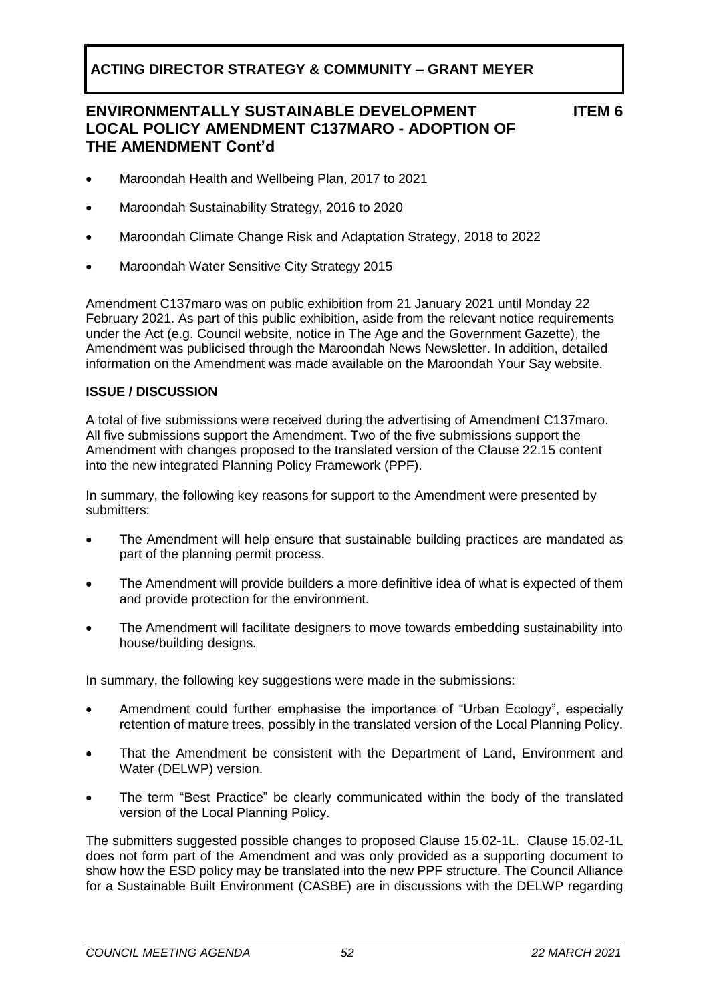## **ENVIRONMENTALLY SUSTAINABLE DEVELOPMENT LOCAL POLICY AMENDMENT C137MARO - ADOPTION OF THE AMENDMENT Cont'd**

**ITEM 6**

- Maroondah Health and Wellbeing Plan, 2017 to 2021
- Maroondah Sustainability Strategy, 2016 to 2020
- Maroondah Climate Change Risk and Adaptation Strategy, 2018 to 2022
- Maroondah Water Sensitive City Strategy 2015

Amendment C137maro was on public exhibition from 21 January 2021 until Monday 22 February 2021. As part of this public exhibition, aside from the relevant notice requirements under the Act (e.g. Council website, notice in The Age and the Government Gazette), the Amendment was publicised through the Maroondah News Newsletter. In addition, detailed information on the Amendment was made available on the Maroondah Your Say website.

#### **ISSUE / DISCUSSION**

A total of five submissions were received during the advertising of Amendment C137maro. All five submissions support the Amendment. Two of the five submissions support the Amendment with changes proposed to the translated version of the Clause 22.15 content into the new integrated Planning Policy Framework (PPF).

In summary, the following key reasons for support to the Amendment were presented by submitters:

- The Amendment will help ensure that sustainable building practices are mandated as part of the planning permit process.
- The Amendment will provide builders a more definitive idea of what is expected of them and provide protection for the environment.
- The Amendment will facilitate designers to move towards embedding sustainability into house/building designs.

In summary, the following key suggestions were made in the submissions:

- Amendment could further emphasise the importance of "Urban Ecology", especially retention of mature trees, possibly in the translated version of the Local Planning Policy.
- That the Amendment be consistent with the Department of Land, Environment and Water (DELWP) version.
- The term "Best Practice" be clearly communicated within the body of the translated version of the Local Planning Policy.

The submitters suggested possible changes to proposed Clause 15.02-1L. Clause 15.02-1L does not form part of the Amendment and was only provided as a supporting document to show how the ESD policy may be translated into the new PPF structure. The Council Alliance for a Sustainable Built Environment (CASBE) are in discussions with the DELWP regarding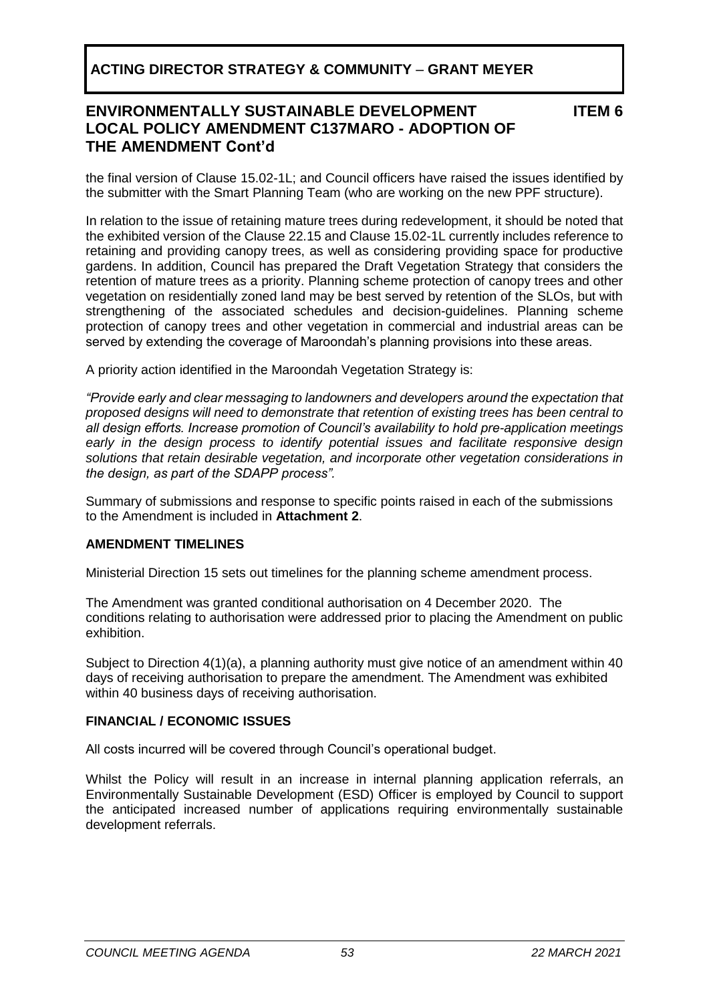### **ENVIRONMENTALLY SUSTAINABLE DEVELOPMENT LOCAL POLICY AMENDMENT C137MARO - ADOPTION OF THE AMENDMENT Cont'd**

**ITEM 6**

the final version of Clause 15.02-1L; and Council officers have raised the issues identified by the submitter with the Smart Planning Team (who are working on the new PPF structure).

In relation to the issue of retaining mature trees during redevelopment, it should be noted that the exhibited version of the Clause 22.15 and Clause 15.02-1L currently includes reference to retaining and providing canopy trees, as well as considering providing space for productive gardens. In addition, Council has prepared the Draft Vegetation Strategy that considers the retention of mature trees as a priority. Planning scheme protection of canopy trees and other vegetation on residentially zoned land may be best served by retention of the SLOs, but with strengthening of the associated schedules and decision-guidelines. Planning scheme protection of canopy trees and other vegetation in commercial and industrial areas can be served by extending the coverage of Maroondah's planning provisions into these areas.

A priority action identified in the Maroondah Vegetation Strategy is:

*"Provide early and clear messaging to landowners and developers around the expectation that proposed designs will need to demonstrate that retention of existing trees has been central to all design efforts. Increase promotion of Council's availability to hold pre-application meetings early in the design process to identify potential issues and facilitate responsive design solutions that retain desirable vegetation, and incorporate other vegetation considerations in the design, as part of the SDAPP process".*

Summary of submissions and response to specific points raised in each of the submissions to the Amendment is included in **Attachment 2**.

### **AMENDMENT TIMELINES**

Ministerial Direction 15 sets out timelines for the planning scheme amendment process.

The Amendment was granted conditional authorisation on 4 December 2020. The conditions relating to authorisation were addressed prior to placing the Amendment on public exhibition.

Subject to Direction 4(1)(a), a planning authority must give notice of an amendment within 40 days of receiving authorisation to prepare the amendment. The Amendment was exhibited within 40 business days of receiving authorisation.

#### **FINANCIAL / ECONOMIC ISSUES**

All costs incurred will be covered through Council's operational budget.

Whilst the Policy will result in an increase in internal planning application referrals, an Environmentally Sustainable Development (ESD) Officer is employed by Council to support the anticipated increased number of applications requiring environmentally sustainable development referrals.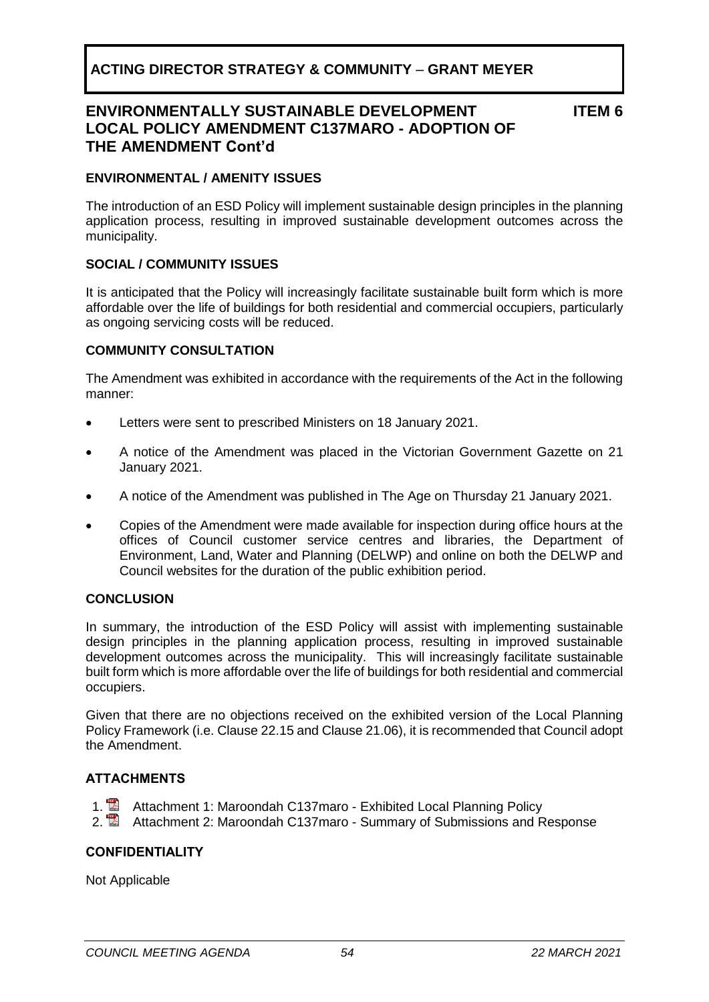### **ENVIRONMENTALLY SUSTAINABLE DEVELOPMENT LOCAL POLICY AMENDMENT C137MARO - ADOPTION OF THE AMENDMENT Cont'd**

**ITEM 6**

#### **ENVIRONMENTAL / AMENITY ISSUES**

The introduction of an ESD Policy will implement sustainable design principles in the planning application process, resulting in improved sustainable development outcomes across the municipality.

#### **SOCIAL / COMMUNITY ISSUES**

It is anticipated that the Policy will increasingly facilitate sustainable built form which is more affordable over the life of buildings for both residential and commercial occupiers, particularly as ongoing servicing costs will be reduced.

#### **COMMUNITY CONSULTATION**

The Amendment was exhibited in accordance with the requirements of the Act in the following manner:

- Letters were sent to prescribed Ministers on 18 January 2021.
- A notice of the Amendment was placed in the Victorian Government Gazette on 21 January 2021.
- A notice of the Amendment was published in The Age on Thursday 21 January 2021.
- Copies of the Amendment were made available for inspection during office hours at the offices of Council customer service centres and libraries, the Department of Environment, Land, Water and Planning (DELWP) and online on both the DELWP and Council websites for the duration of the public exhibition period.

#### **CONCLUSION**

In summary, the introduction of the ESD Policy will assist with implementing sustainable design principles in the planning application process, resulting in improved sustainable development outcomes across the municipality. This will increasingly facilitate sustainable built form which is more affordable over the life of buildings for both residential and commercial occupiers.

Given that there are no objections received on the exhibited version of the Local Planning Policy Framework (i.e. Clause 22.15 and Clause 21.06), it is recommended that Council adopt the Amendment.

#### **ATTACHMENTS**

- 1. Attachment 1: Maroondah C137maro Exhibited Local Planning Policy
- 2. **Attachment 2: Maroondah C137maro Summary of Submissions and Response**

#### **CONFIDENTIALITY**

Not Applicable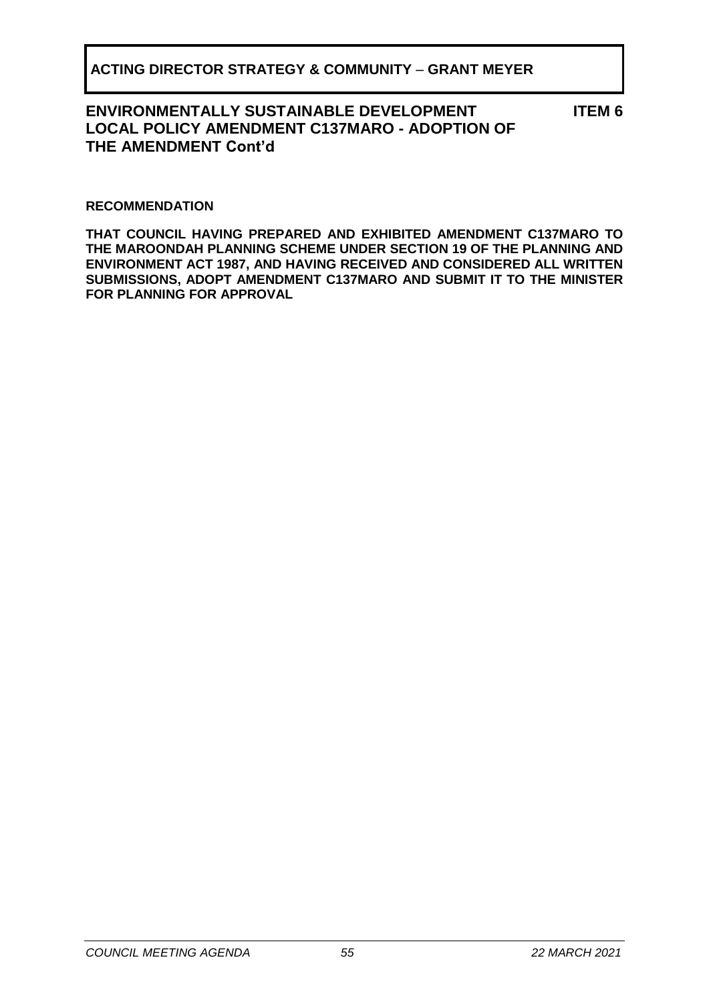### **ENVIRONMENTALLY SUSTAINABLE DEVELOPMENT LOCAL POLICY AMENDMENT C137MARO - ADOPTION OF THE AMENDMENT Cont'd**

**ITEM 6**

#### **RECOMMENDATION**

**THAT COUNCIL HAVING PREPARED AND EXHIBITED AMENDMENT C137MARO TO THE MAROONDAH PLANNING SCHEME UNDER SECTION 19 OF THE PLANNING AND ENVIRONMENT ACT 1987, AND HAVING RECEIVED AND CONSIDERED ALL WRITTEN SUBMISSIONS, ADOPT AMENDMENT C137MARO AND SUBMIT IT TO THE MINISTER FOR PLANNING FOR APPROVAL**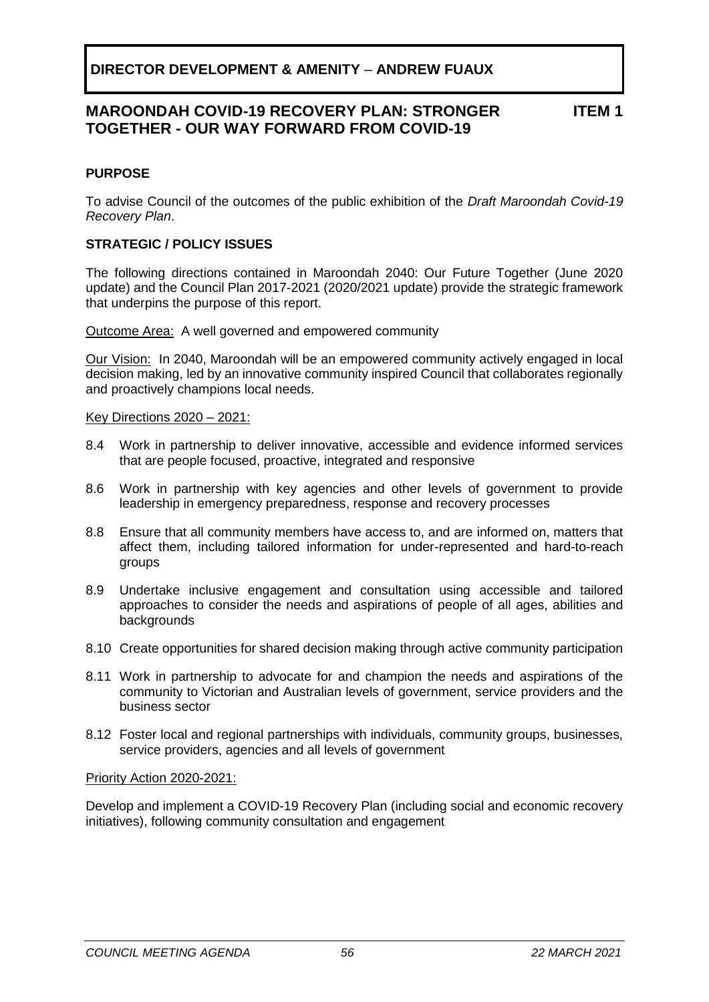### **MAROONDAH COVID-19 RECOVERY PLAN: STRONGER TOGETHER - OUR WAY FORWARD FROM COVID-19**

### **ITEM 1**

#### <span id="page-55-0"></span>**PURPOSE**

To advise Council of the outcomes of the public exhibition of the *Draft Maroondah Covid-19 Recovery Plan*.

#### **STRATEGIC / POLICY ISSUES**

The following directions contained in Maroondah 2040: Our Future Together (June 2020 update) and the Council Plan 2017-2021 (2020/2021 update) provide the strategic framework that underpins the purpose of this report.

Outcome Area:A well governed and empowered community

Our Vision:In 2040, Maroondah will be an empowered community actively engaged in local decision making, led by an innovative community inspired Council that collaborates regionally and proactively champions local needs.

#### Key Directions 2020 – 2021:

- 8.4 Work in partnership to deliver innovative, accessible and evidence informed services that are people focused, proactive, integrated and responsive
- 8.6 Work in partnership with key agencies and other levels of government to provide leadership in emergency preparedness, response and recovery processes
- 8.8 Ensure that all community members have access to, and are informed on, matters that affect them, including tailored information for under-represented and hard-to-reach groups
- 8.9 Undertake inclusive engagement and consultation using accessible and tailored approaches to consider the needs and aspirations of people of all ages, abilities and **backgrounds**
- 8.10 Create opportunities for shared decision making through active community participation
- 8.11 Work in partnership to advocate for and champion the needs and aspirations of the community to Victorian and Australian levels of government, service providers and the business sector
- 8.12 Foster local and regional partnerships with individuals, community groups, businesses, service providers, agencies and all levels of government

#### Priority Action 2020-2021:

Develop and implement a COVID-19 Recovery Plan (including social and economic recovery initiatives), following community consultation and engagement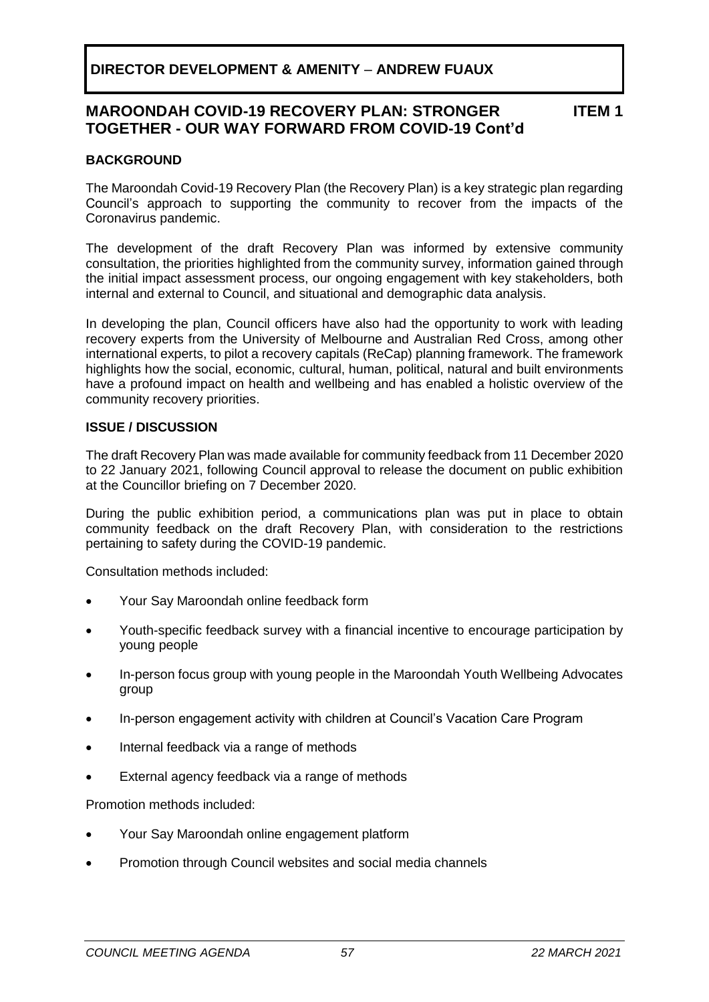#### **MAROONDAH COVID-19 RECOVERY PLAN: STRONGER TOGETHER - OUR WAY FORWARD FROM COVID-19 Cont'd ITEM 1**

### **BACKGROUND**

The Maroondah Covid-19 Recovery Plan (the Recovery Plan) is a key strategic plan regarding Council's approach to supporting the community to recover from the impacts of the Coronavirus pandemic.

The development of the draft Recovery Plan was informed by extensive community consultation, the priorities highlighted from the community survey, information gained through the initial impact assessment process, our ongoing engagement with key stakeholders, both internal and external to Council, and situational and demographic data analysis.

In developing the plan, Council officers have also had the opportunity to work with leading recovery experts from the University of Melbourne and Australian Red Cross, among other international experts, to pilot a recovery capitals (ReCap) planning framework. The framework highlights how the social, economic, cultural, human, political, natural and built environments have a profound impact on health and wellbeing and has enabled a holistic overview of the community recovery priorities.

#### **ISSUE / DISCUSSION**

The draft Recovery Plan was made available for community feedback from 11 December 2020 to 22 January 2021, following Council approval to release the document on public exhibition at the Councillor briefing on 7 December 2020.

During the public exhibition period, a communications plan was put in place to obtain community feedback on the draft Recovery Plan, with consideration to the restrictions pertaining to safety during the COVID-19 pandemic.

Consultation methods included:

- Your Say Maroondah online feedback form
- Youth-specific feedback survey with a financial incentive to encourage participation by young people
- In-person focus group with young people in the Maroondah Youth Wellbeing Advocates group
- In-person engagement activity with children at Council's Vacation Care Program
- Internal feedback via a range of methods
- External agency feedback via a range of methods

Promotion methods included:

- Your Say Maroondah online engagement platform
- Promotion through Council websites and social media channels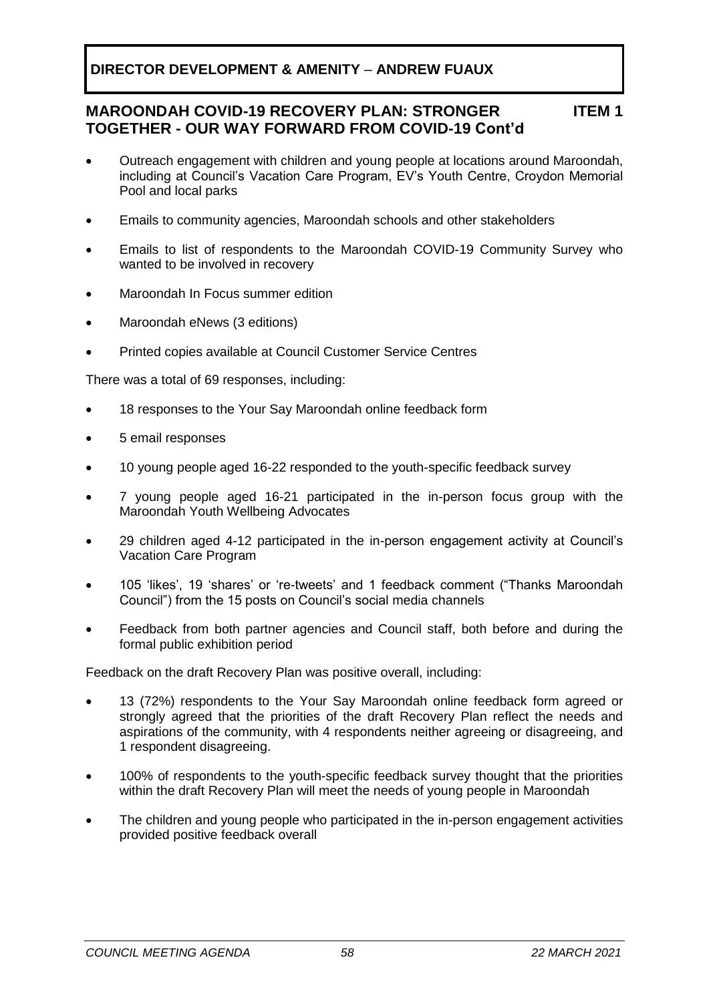#### **MAROONDAH COVID-19 RECOVERY PLAN: STRONGER TOGETHER - OUR WAY FORWARD FROM COVID-19 Cont'd ITEM 1**

- Outreach engagement with children and young people at locations around Maroondah, including at Council's Vacation Care Program, EV's Youth Centre, Croydon Memorial Pool and local parks
- Emails to community agencies, Maroondah schools and other stakeholders
- Emails to list of respondents to the Maroondah COVID-19 Community Survey who wanted to be involved in recovery
- Maroondah In Focus summer edition
- Maroondah eNews (3 editions)
- Printed copies available at Council Customer Service Centres

There was a total of 69 responses, including:

- 18 responses to the Your Say Maroondah online feedback form
- 5 email responses
- 10 young people aged 16-22 responded to the youth-specific feedback survey
- 7 young people aged 16-21 participated in the in-person focus group with the Maroondah Youth Wellbeing Advocates
- 29 children aged 4-12 participated in the in-person engagement activity at Council's Vacation Care Program
- 105 'likes', 19 'shares' or 're-tweets' and 1 feedback comment ("Thanks Maroondah Council") from the 15 posts on Council's social media channels
- Feedback from both partner agencies and Council staff, both before and during the formal public exhibition period

Feedback on the draft Recovery Plan was positive overall, including:

- 13 (72%) respondents to the Your Say Maroondah online feedback form agreed or strongly agreed that the priorities of the draft Recovery Plan reflect the needs and aspirations of the community, with 4 respondents neither agreeing or disagreeing, and 1 respondent disagreeing.
- 100% of respondents to the youth-specific feedback survey thought that the priorities within the draft Recovery Plan will meet the needs of young people in Maroondah
- The children and young people who participated in the in-person engagement activities provided positive feedback overall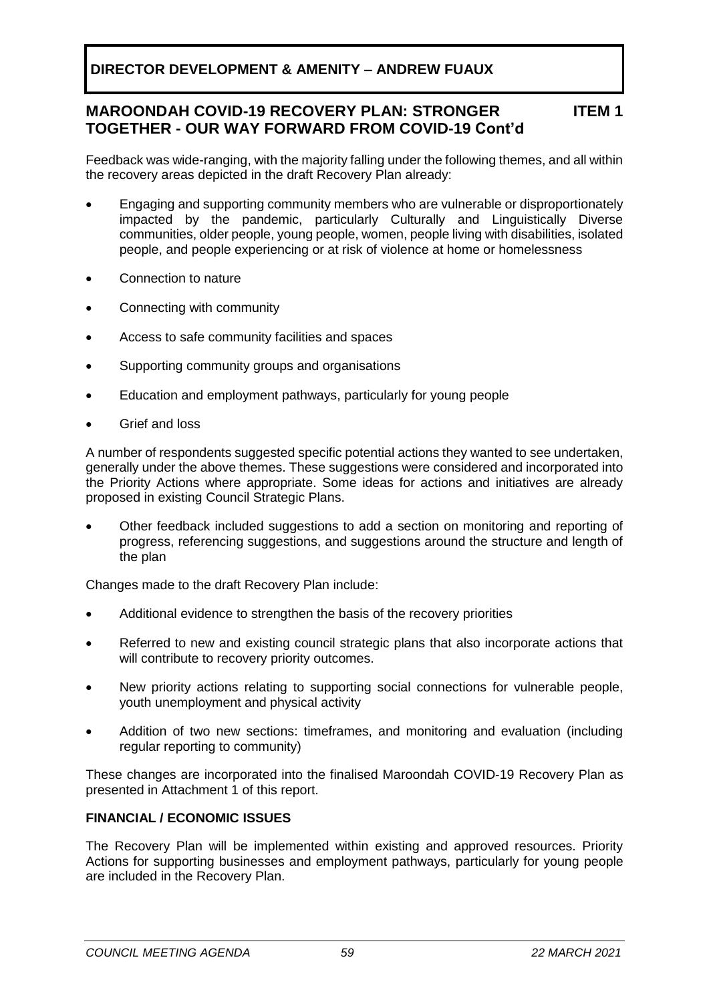#### **MAROONDAH COVID-19 RECOVERY PLAN: STRONGER TOGETHER - OUR WAY FORWARD FROM COVID-19 Cont'd ITEM 1**

Feedback was wide-ranging, with the majority falling under the following themes, and all within the recovery areas depicted in the draft Recovery Plan already:

- Engaging and supporting community members who are vulnerable or disproportionately impacted by the pandemic, particularly Culturally and Linguistically Diverse communities, older people, young people, women, people living with disabilities, isolated people, and people experiencing or at risk of violence at home or homelessness
- Connection to nature
- Connecting with community
- Access to safe community facilities and spaces
- Supporting community groups and organisations
- Education and employment pathways, particularly for young people
- Grief and loss

A number of respondents suggested specific potential actions they wanted to see undertaken, generally under the above themes. These suggestions were considered and incorporated into the Priority Actions where appropriate. Some ideas for actions and initiatives are already proposed in existing Council Strategic Plans.

• Other feedback included suggestions to add a section on monitoring and reporting of progress, referencing suggestions, and suggestions around the structure and length of the plan

Changes made to the draft Recovery Plan include:

- Additional evidence to strengthen the basis of the recovery priorities
- Referred to new and existing council strategic plans that also incorporate actions that will contribute to recovery priority outcomes.
- New priority actions relating to supporting social connections for vulnerable people, youth unemployment and physical activity
- Addition of two new sections: timeframes, and monitoring and evaluation (including regular reporting to community)

These changes are incorporated into the finalised Maroondah COVID-19 Recovery Plan as presented in Attachment 1 of this report.

#### **FINANCIAL / ECONOMIC ISSUES**

The Recovery Plan will be implemented within existing and approved resources. Priority Actions for supporting businesses and employment pathways, particularly for young people are included in the Recovery Plan.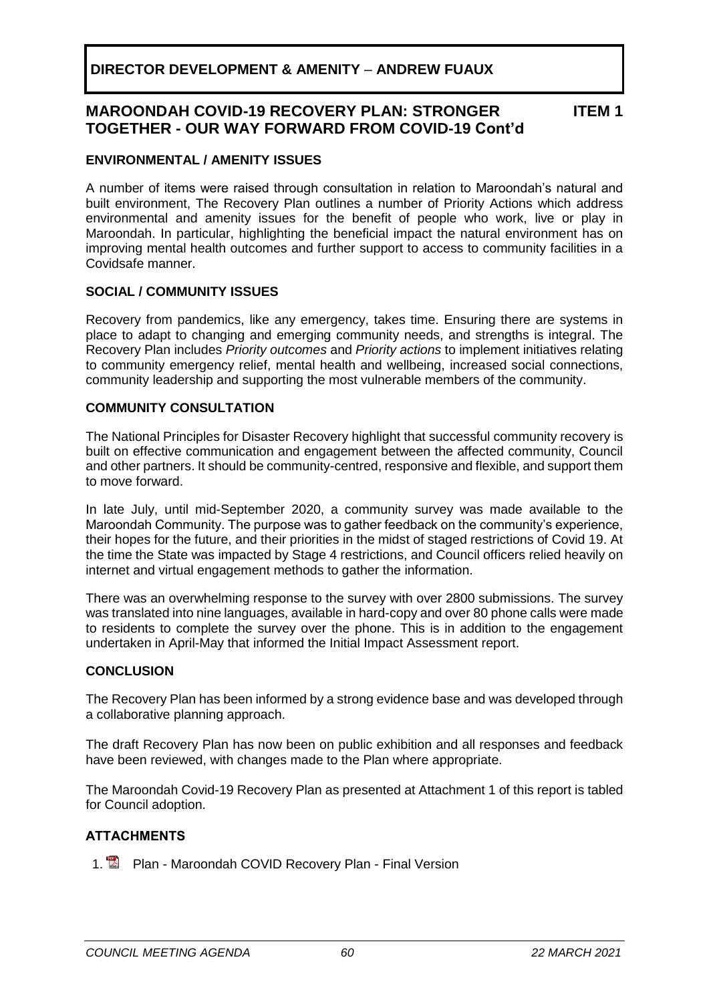#### **MAROONDAH COVID-19 RECOVERY PLAN: STRONGER TOGETHER - OUR WAY FORWARD FROM COVID-19 Cont'd ITEM 1**

### **ENVIRONMENTAL / AMENITY ISSUES**

A number of items were raised through consultation in relation to Maroondah's natural and built environment, The Recovery Plan outlines a number of Priority Actions which address environmental and amenity issues for the benefit of people who work, live or play in Maroondah. In particular, highlighting the beneficial impact the natural environment has on improving mental health outcomes and further support to access to community facilities in a Covidsafe manner.

#### **SOCIAL / COMMUNITY ISSUES**

Recovery from pandemics, like any emergency, takes time. Ensuring there are systems in place to adapt to changing and emerging community needs, and strengths is integral. The Recovery Plan includes *Priority outcomes* and *Priority actions* to implement initiatives relating to community emergency relief, mental health and wellbeing, increased social connections, community leadership and supporting the most vulnerable members of the community.

#### **COMMUNITY CONSULTATION**

The National Principles for Disaster Recovery highlight that successful community recovery is built on effective communication and engagement between the affected community, Council and other partners. It should be community-centred, responsive and flexible, and support them to move forward.

In late July, until mid-September 2020, a community survey was made available to the Maroondah Community. The purpose was to gather feedback on the community's experience, their hopes for the future, and their priorities in the midst of staged restrictions of Covid 19. At the time the State was impacted by Stage 4 restrictions, and Council officers relied heavily on internet and virtual engagement methods to gather the information.

There was an overwhelming response to the survey with over 2800 submissions. The survey was translated into nine languages, available in hard-copy and over 80 phone calls were made to residents to complete the survey over the phone. This is in addition to the engagement undertaken in April-May that informed the Initial Impact Assessment report.

#### **CONCLUSION**

The Recovery Plan has been informed by a strong evidence base and was developed through a collaborative planning approach.

The draft Recovery Plan has now been on public exhibition and all responses and feedback have been reviewed, with changes made to the Plan where appropriate.

The Maroondah Covid-19 Recovery Plan as presented at Attachment 1 of this report is tabled for Council adoption.

#### **ATTACHMENTS**

1. **Plan - Maroondah COVID Recovery Plan - Final Version**